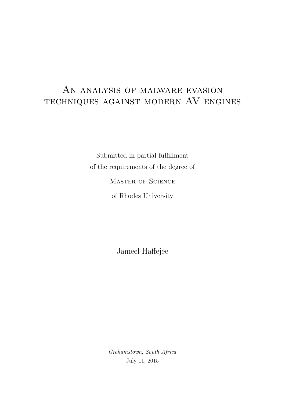## An analysis of malware evasion techniques against modern AV engines

Submitted in partial fulfillment of the requirements of the degree of

MASTER OF SCIENCE

of Rhodes University

Jameel Haffejee

Grahamstown, South Africa July 11, 2015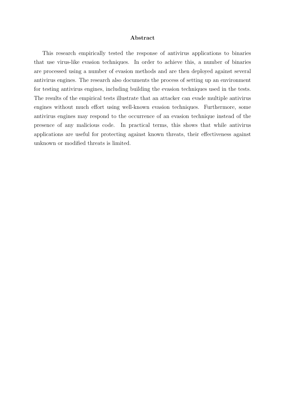#### Abstract

This research empirically tested the response of antivirus applications to binaries that use virus-like evasion techniques. In order to achieve this, a number of binaries are processed using a number of evasion methods and are then deployed against several antivirus engines. The research also documents the process of setting up an environment for testing antivirus engines, including building the evasion techniques used in the tests. The results of the empirical tests illustrate that an attacker can evade multiple antivirus engines without much effort using well-known evasion techniques. Furthermore, some antivirus engines may respond to the occurrence of an evasion technique instead of the presence of any malicious code. In practical terms, this shows that while antivirus applications are useful for protecting against known threats, their effectiveness against unknown or modified threats is limited.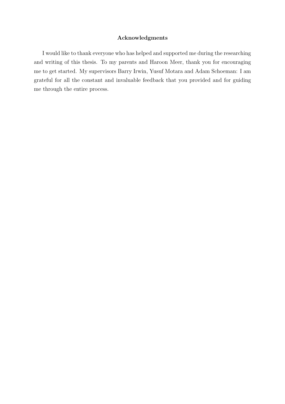#### Acknowledgments

I would like to thank everyone who has helped and supported me during the researching and writing of this thesis. To my parents and Haroon Meer, thank you for encouraging me to get started. My supervisors Barry Irwin, Yusuf Motara and Adam Schoeman: I am grateful for all the constant and invaluable feedback that you provided and for guiding me through the entire process.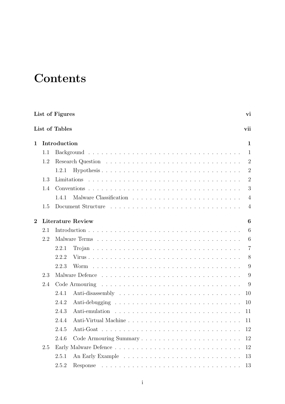## **Contents**

|                |     | List of Figures          | vi             |
|----------------|-----|--------------------------|----------------|
|                |     | List of Tables           | vii            |
| 1              |     | Introduction             | 1              |
|                | 1.1 |                          | $\mathbf{1}$   |
|                | 1.2 |                          | $\overline{2}$ |
|                |     | 1.2.1                    | $\overline{2}$ |
|                | 1.3 | Limitations              | $\overline{2}$ |
|                | 1.4 |                          | 3              |
|                |     | 1.4.1                    | $\overline{4}$ |
|                | 1.5 |                          | $\overline{4}$ |
| $\overline{2}$ |     | <b>Literature Review</b> | 6              |
|                | 2.1 |                          | 6              |
|                | 2.2 |                          | 6              |
|                |     | 2.2.1                    | $\overline{7}$ |
|                |     | 2.2.2                    | 8              |
|                |     | 2.2.3<br>Worm            | 9              |
|                | 2.3 |                          | 9              |
|                | 2.4 | Code Armouring           | 9              |
|                |     | 2.4.1                    | 10             |
|                |     | 2.4.2                    | 10             |
|                |     | 2.4.3<br>Anti-emulation  | 11             |
|                |     | 2.4.4                    | 11             |
|                |     | 2.4.5<br>Anti-Goat       | 12             |
|                |     | 2.4.6                    | 12             |
|                | 2.5 |                          | 12             |
|                |     | 2.5.1                    | 13             |
|                |     | 2.5.2                    | 13             |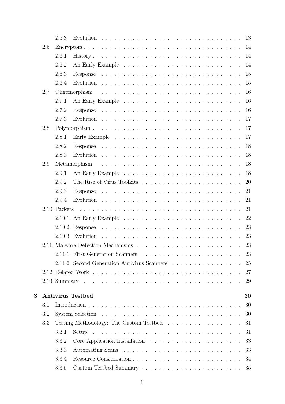|          |     | 2.5.3        |                                             | 13 |
|----------|-----|--------------|---------------------------------------------|----|
|          | 2.6 |              |                                             | 14 |
|          |     | 2.6.1        |                                             | 14 |
|          |     | 2.6.2        |                                             | 14 |
|          |     | 2.6.3        |                                             | 15 |
|          |     | 2.6.4        |                                             | 15 |
|          | 2.7 |              |                                             | 16 |
|          |     | 2.7.1        |                                             | 16 |
|          |     | 2.7.2        |                                             | 16 |
|          |     | 2.7.3        |                                             | 17 |
|          | 2.8 |              |                                             | 17 |
|          |     | 2.8.1        |                                             | 17 |
|          |     | 2.8.2        |                                             | 18 |
|          |     | 2.8.3        |                                             | 18 |
|          | 2.9 |              |                                             | 18 |
|          |     | 2.9.1        |                                             | 18 |
|          |     | 2.9.2        |                                             | 20 |
|          |     | 2.9.3        |                                             | 21 |
|          |     | 2.9.4        |                                             | 21 |
|          |     | 2.10 Packers |                                             | 21 |
|          |     |              |                                             | 22 |
|          |     |              |                                             | 23 |
|          |     |              |                                             | 23 |
|          |     |              |                                             | 23 |
|          |     |              | 2.11.1 First Generation Scanners            | 23 |
|          |     |              | 2.11.2 Second Generation Antivirus Scanners | 25 |
|          |     |              |                                             | 27 |
|          |     |              |                                             | 29 |
|          |     |              |                                             |    |
| $\bf{3}$ |     |              | <b>Antivirus Testbed</b>                    | 30 |
|          | 3.1 |              |                                             | 30 |
|          | 3.2 |              |                                             | 30 |
|          | 3.3 |              |                                             | 31 |
|          |     | 3.3.1        |                                             | 31 |
|          |     | 3.3.2        |                                             | 33 |
|          |     | 3.3.3        |                                             | 33 |
|          |     | 3.3.4        |                                             | 34 |
|          |     | 3.3.5        |                                             | 35 |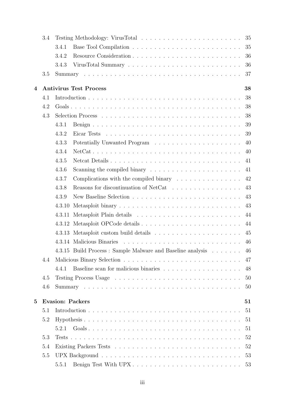|          | 3.4 | 35                                                                                    |  |
|----------|-----|---------------------------------------------------------------------------------------|--|
|          |     | 35<br>3.4.1                                                                           |  |
|          |     | 3.4.2<br>36                                                                           |  |
|          |     | 3.4.3<br>36                                                                           |  |
|          | 3.5 | 37                                                                                    |  |
| 4        |     | <b>Antivirus Test Process</b><br>38                                                   |  |
|          | 4.1 | 38                                                                                    |  |
|          | 4.2 | 38                                                                                    |  |
|          | 4.3 | 38                                                                                    |  |
|          |     | 4.3.1<br>39                                                                           |  |
|          |     | 4.3.2<br>39                                                                           |  |
|          |     | 4.3.3<br>40                                                                           |  |
|          |     | 4.3.4<br>40                                                                           |  |
|          |     | 4.3.5<br>Netcat Details<br>41                                                         |  |
|          |     | 4.3.6<br>41                                                                           |  |
|          |     | 4.3.7<br>42<br>Complications with the compiled binary $\dots \dots \dots \dots \dots$ |  |
|          |     | 4.3.8<br>Reasons for discontinuation of NetCat<br>43                                  |  |
|          |     | 4.3.9<br>43                                                                           |  |
|          |     | 43<br>4.3.10                                                                          |  |
|          |     | 44<br>4.3.11                                                                          |  |
|          |     | 44                                                                                    |  |
|          |     | 45                                                                                    |  |
|          |     | 46                                                                                    |  |
|          |     | 4.3.15 Build Process : Sample Malware and Baseline analysis<br>46                     |  |
|          | 4.4 | 47                                                                                    |  |
|          |     | 48<br>4.4.1                                                                           |  |
|          | 4.5 | 50                                                                                    |  |
|          | 4.6 | 50                                                                                    |  |
| $\bf{5}$ |     | <b>Evasion: Packers</b><br>51                                                         |  |
|          | 5.1 | 51                                                                                    |  |
|          | 5.2 | 51                                                                                    |  |
|          |     | 51<br>5.2.1                                                                           |  |
|          | 5.3 | 52                                                                                    |  |
|          | 5.4 | 52                                                                                    |  |
|          | 5.5 | 53                                                                                    |  |
|          |     | 5.5.1                                                                                 |  |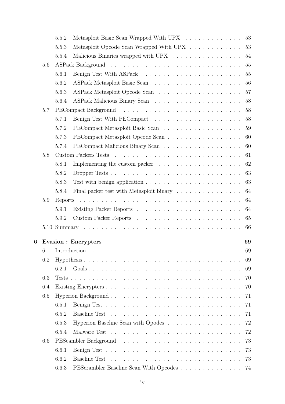|   |         | 5.5.2   | Metasploit Basic Scan Wrapped With UPX                                                                                      | 53 |
|---|---------|---------|-----------------------------------------------------------------------------------------------------------------------------|----|
|   |         | 5.5.3   | Metasploit Opcode Scan Wrapped With UPX                                                                                     | 53 |
|   |         | 5.5.4   | Malicious Binaries wrapped with UPX $\ldots \ldots \ldots \ldots \ldots$                                                    | 54 |
|   | 5.6     |         |                                                                                                                             | 55 |
|   |         | 5.6.1   |                                                                                                                             | 55 |
|   |         | 5.6.2   |                                                                                                                             | 56 |
|   |         | 5.6.3   |                                                                                                                             | 57 |
|   |         | 5.6.4   |                                                                                                                             | 58 |
|   | 5.7     |         |                                                                                                                             | 58 |
|   |         | 5.7.1   | Benign Test With PECompact                                                                                                  | 58 |
|   |         | 5.7.2   |                                                                                                                             | 59 |
|   |         | 5.7.3   | PECompact Metasploit Opcode Scan $\ldots \ldots \ldots \ldots \ldots \ldots \ldots$                                         | 60 |
|   |         | 5.7.4   |                                                                                                                             | 60 |
|   | $5.8\,$ |         |                                                                                                                             | 61 |
|   |         | 5.8.1   |                                                                                                                             | 62 |
|   |         | 5.8.2   |                                                                                                                             | 63 |
|   |         | 5.8.3   |                                                                                                                             | 63 |
|   |         | 5.8.4   | Final packer test with Metasploit binary $\ldots \ldots \ldots \ldots \ldots$                                               | 64 |
|   | 5.9     | Reports | <u>.</u><br>The contract of the contract of the contract of the contract of the contract of the contract of the contract of | 64 |
|   |         | 5.9.1   |                                                                                                                             | 64 |
|   |         | 5.9.2   |                                                                                                                             | 65 |
|   |         |         |                                                                                                                             | 66 |
| 6 |         |         | <b>Evasion : Encrypters</b>                                                                                                 | 69 |
|   | 6.1     |         |                                                                                                                             | 69 |
|   | 6.2     |         |                                                                                                                             | 69 |
|   |         | 6.2.1   |                                                                                                                             | 69 |
|   | 6.3     |         |                                                                                                                             | 70 |
|   | 6.4     |         |                                                                                                                             | 70 |
|   | 6.5     |         |                                                                                                                             | 71 |
|   |         | 6.5.1   |                                                                                                                             | 71 |
|   |         | 6.5.2   |                                                                                                                             | 71 |
|   |         | 6.5.3   |                                                                                                                             | 72 |
|   |         |         |                                                                                                                             | 72 |
|   | 6.6     | 6.5.4   |                                                                                                                             | 73 |
|   |         |         |                                                                                                                             |    |
|   |         | 6.6.1   |                                                                                                                             | 73 |
|   |         | 6.6.2   |                                                                                                                             | 73 |
|   |         | 6.6.3   | PEScrambler Baseline Scan With Opcodes                                                                                      | 74 |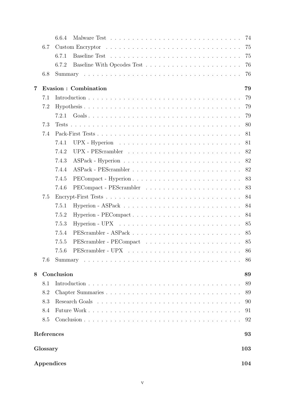|   |            | 6.6.4      |                                                                                       |     |
|---|------------|------------|---------------------------------------------------------------------------------------|-----|
|   | 6.7        |            |                                                                                       | 75  |
|   |            | 6.7.1      |                                                                                       | 75  |
|   |            | 6.7.2      |                                                                                       | 76  |
|   | 6.8        |            |                                                                                       | 76  |
| 7 |            |            | Evasion : Combination                                                                 | 79  |
|   | 7.1        |            |                                                                                       | 79  |
|   | 7.2        |            |                                                                                       | 79  |
|   |            | 7.2.1      |                                                                                       | 79  |
|   | 7.3        |            |                                                                                       | 80  |
|   | 7.4        |            |                                                                                       | 81  |
|   |            | 7.4.1      | UPX - Hyperion $\ldots \ldots \ldots \ldots \ldots \ldots \ldots \ldots \ldots$       | 81  |
|   |            | 7.4.2      |                                                                                       | 82  |
|   |            | 7.4.3      | $ASPack - Hyperion \dots \dots \dots \dots \dots \dots \dots \dots \dots \dots \dots$ | 82  |
|   |            | 7.4.4      |                                                                                       | 82  |
|   |            | 7.4.5      | PECompact - Hyperion                                                                  | 83  |
|   |            | 7.4.6      |                                                                                       | 83  |
|   | 7.5        |            |                                                                                       | 84  |
|   |            | 7.5.1      |                                                                                       | 84  |
|   |            | 7.5.2      | Hyperion - PECompact                                                                  | 84  |
|   |            | 7.5.3      |                                                                                       | 85  |
|   |            | 7.5.4      |                                                                                       | 85  |
|   |            | 7.5.5      |                                                                                       | 85  |
|   |            |            |                                                                                       | 86  |
|   | 7.6        |            |                                                                                       | 86  |
| 8 |            | Conclusion |                                                                                       | 89  |
|   | 8.1        |            |                                                                                       | 89  |
|   | 8.2        |            |                                                                                       | 89  |
|   | 8.3        |            |                                                                                       | 90  |
|   | 8.4        |            |                                                                                       | 91  |
|   | 8.5        |            |                                                                                       | 92  |
|   | References |            |                                                                                       | 93  |
|   | Glossary   |            |                                                                                       | 103 |
|   |            | Appendices |                                                                                       | 104 |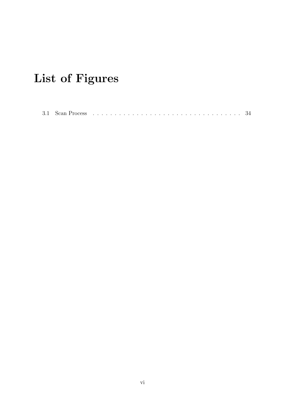# List of Figures

|--|--|--|--|--|--|--|--|--|--|--|--|--|--|--|--|--|--|--|--|--|--|--|--|--|--|--|--|--|--|--|--|--|--|--|--|--|--|--|--|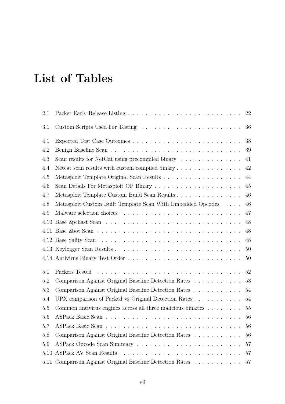## List of Tables

| 2.1  |                                                                            | 22     |
|------|----------------------------------------------------------------------------|--------|
| 3.1  |                                                                            | 36     |
| 4.1  |                                                                            | 38     |
| 4.2  |                                                                            | 39     |
| 4.3  | Scan results for NetCat using precompiled binary $\dots \dots \dots \dots$ | 41     |
| 4.4  |                                                                            | 42     |
| 4.5  |                                                                            | 44     |
| 4.6  |                                                                            | 45     |
| 4.7  | Metasploit Template Custom Build Scan Results                              | 46     |
| 4.8  | Metasploit Custom Built Template Scan With Embedded Opcodes                | 46     |
| 4.9  |                                                                            | 47     |
| 4.10 |                                                                            | 48     |
|      |                                                                            | 48     |
|      |                                                                            | 48     |
|      |                                                                            | 50     |
|      |                                                                            | 50     |
| 5.1  | Packers Tested                                                             | $52\,$ |
| 5.2  | Comparison Against Original Baseline Detection Rates                       | 53     |
| 5.3  | Comparison Against Original Baseline Detection Rates                       | 54     |
| 5.4  | UPX comparison of Packed vs Original Detection Rates                       | 54     |
| 5.5  | Common antivirus engines across all three malicious binaries               | 55     |
| 5.6  |                                                                            | 56     |
| 5.7  |                                                                            | 56     |
| 5.8  | Comparison Against Original Baseline Detection Rates                       | 56     |
| 5.9  |                                                                            | 57     |
| 5.10 |                                                                            | 57     |
|      | 5.11 Comparison Against Original Baseline Detection Rates                  | 57     |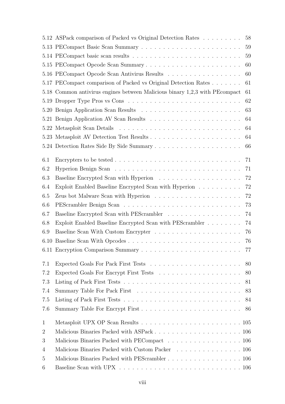|                | 5.12 ASPack comparison of Packed vs Original Detection Rates                                              | 58 |
|----------------|-----------------------------------------------------------------------------------------------------------|----|
|                |                                                                                                           | 59 |
|                |                                                                                                           | 59 |
|                |                                                                                                           | 60 |
|                | 5.16 PECompact Opcode Scan Antivirus Results                                                              | 60 |
|                | 5.17 PECompact comparison of Packed vs Original Detection Rates                                           | 61 |
|                | 5.18 Common antivirus engines between Malicious binary 1,2,3 with PE compact                              | 61 |
|                |                                                                                                           | 62 |
|                |                                                                                                           | 63 |
|                |                                                                                                           | 64 |
|                |                                                                                                           | 64 |
|                |                                                                                                           | 64 |
|                |                                                                                                           | 66 |
| 6.1            |                                                                                                           | 71 |
| 6.2            |                                                                                                           | 71 |
| 6.3            |                                                                                                           | 72 |
| 6.4            | Exploit Enabled Baseline Encrypted Scan with Hyperion $\ldots \ldots \ldots$                              | 72 |
| 6.5            |                                                                                                           | 72 |
| 6.6            |                                                                                                           | 73 |
| 6.7            |                                                                                                           | 74 |
| 6.8            | Exploit Enabled Baseline Encrypted Scan with PEScrambler                                                  | 74 |
| 6.9            |                                                                                                           | 76 |
|                |                                                                                                           | 76 |
|                |                                                                                                           |    |
| 7.1            |                                                                                                           | 80 |
| 7.2            |                                                                                                           | 80 |
| 7.3            |                                                                                                           | 81 |
| 7.4            |                                                                                                           | 83 |
| 7.5            |                                                                                                           | 84 |
| 7.6            |                                                                                                           | 86 |
| $\mathbf{1}$   |                                                                                                           |    |
| $\overline{2}$ |                                                                                                           |    |
| 3              | Malicious Binaries Packed with PECompact 106                                                              |    |
| 4              | Malicious Binaries Packed with Custom Packer 106                                                          |    |
| $\overline{5}$ | Malicious Binaries Packed with PEScrambler 106                                                            |    |
| 6              | Baseline Scan with UPX $\ldots \ldots \ldots \ldots \ldots \ldots \ldots \ldots \ldots \ldots \ldots 106$ |    |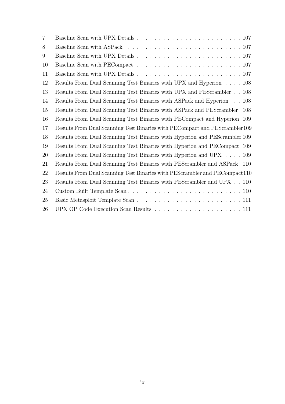| $\overline{7}$ |                                                                                                                  |
|----------------|------------------------------------------------------------------------------------------------------------------|
| 8              |                                                                                                                  |
| 9              | Baseline Scan with UPX Details $\ldots \ldots \ldots \ldots \ldots \ldots \ldots \ldots \ldots \ldots 107$       |
| 10             | Baseline Scan with PECompact $\dots \dots \dots \dots \dots \dots \dots \dots \dots \dots \dots \dots \dots 107$ |
| 11             |                                                                                                                  |
| 12             | Results From Dual Scanning Test Binaries with UPX and Hyperion 108                                               |
| 13             | Results From Dual Scanning Test Binaries with UPX and PEScrambler 108                                            |
| 14             | Results From Dual Scanning Test Binaries with ASPack and Hyperion 108                                            |
| 15             | Results From Dual Scanning Test Binaries with ASPack and PEScrambler 108                                         |
| 16             | Results From Dual Scanning Test Binaries with PECompact and Hyperion 109                                         |
| 17             | Results From Dual Scanning Test Binaries with PECompact and PEScrambler 109                                      |
| 18             | Results From Dual Scanning Test Binaries with Hyperion and PEScrambler 109                                       |
| 19             | Results From Dual Scanning Test Binaries with Hyperion and PECompact 109                                         |
| 20             | Results From Dual Scanning Test Binaries with Hyperion and UPX 109                                               |
| 21             | Results From Dual Scanning Test Binaries with PEScrambler and ASPack 110                                         |
| 22             | Results From Dual Scanning Test Binaries with PEScrambler and PECompact 110                                      |
| 23             | Results From Dual Scanning Test Binaries with PES<br>crambler and $\rm UPX~$ . . 110 $\,$                        |
| 24             |                                                                                                                  |
| 25             |                                                                                                                  |
| 26             |                                                                                                                  |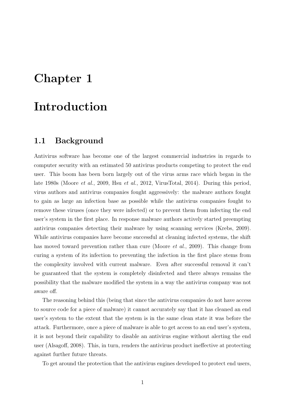# Chapter 1

## Introduction

## 1.1 Background

Antivirus software has become one of the largest commercial industries in regards to computer security with an estimated 50 antivirus products competing to protect the end user. This boom has been born largely out of the virus arms race which began in the late 1980s (Moore et al., 2009, Hsu et al., 2012, VirusTotal, 2014). During this period, virus authors and antivirus companies fought aggressively: the malware authors fought to gain as large an infection base as possible while the antivirus companies fought to remove these viruses (once they were infected) or to prevent them from infecting the end user's system in the first place. In response malware authors actively started preempting antivirus companies detecting their malware by using scanning services (Krebs, 2009). While antivirus companies have become successful at cleaning infected systems, the shift has moved toward prevention rather than cure (Moore *et al.*, 2009). This change from curing a system of its infection to preventing the infection in the first place stems from the complexity involved with current malware. Even after successful removal it can't be guaranteed that the system is completely disinfected and there always remains the possibility that the malware modified the system in a way the antivirus company was not aware off.

The reasoning behind this (being that since the antivirus companies do not have access to source code for a piece of malware) it cannot accurately say that it has cleaned an end user's system to the extent that the system is in the same clean state it was before the attack. Furthermore, once a piece of malware is able to get access to an end user's system, it is not beyond their capability to disable an antivirus engine without alerting the end user (Alsagoff, 2008). This, in turn, renders the antivirus product ineffective at protecting against further future threats.

To get around the protection that the antivirus engines developed to protect end users,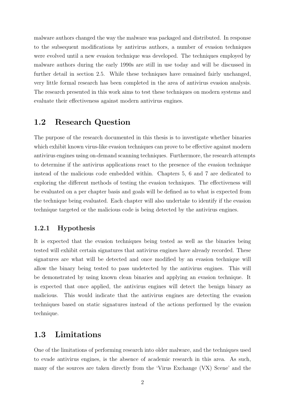malware authors changed the way the malware was packaged and distributed. In response to the subsequent modifications by antivirus authors, a number of evasion techniques were evolved until a new evasion technique was developed. The techniques employed by malware authors during the early 1990s are still in use today and will be discussed in further detail in section 2.5. While these techniques have remained fairly unchanged, very little formal research has been completed in the area of antivirus evasion analysis. The research presented in this work aims to test these techniques on modern systems and evaluate their effectiveness against modern antivirus engines.

## 1.2 Research Question

The purpose of the research documented in this thesis is to investigate whether binaries which exhibit known virus-like evasion techniques can prove to be effective against modern antivirus engines using on-demand scanning techniques. Furthermore, the research attempts to determine if the antivirus applications react to the presence of the evasion technique instead of the malicious code embedded within. Chapters 5, 6 and 7 are dedicated to exploring the different methods of testing the evasion techniques. The effectiveness will be evaluated on a per chapter basis and goals will be defined as to what is expected from the technique being evaluated. Each chapter will also undertake to identify if the evasion technique targeted or the malicious code is being detected by the antivirus engines.

#### 1.2.1 Hypothesis

It is expected that the evasion techniques being tested as well as the binaries being tested will exhibit certain signatures that antivirus engines have already recorded. These signatures are what will be detected and once modified by an evasion technique will allow the binary being tested to pass undetected by the antivirus engines. This will be demonstrated by using known clean binaries and applying an evasion technique. It is expected that once applied, the antivirus engines will detect the benign binary as malicious. This would indicate that the antivirus engines are detecting the evasion techniques based on static signatures instead of the actions performed by the evasion technique.

## 1.3 Limitations

One of the limitations of performing research into older malware, and the techniques used to evade antivirus engines, is the absence of academic research in this area. As such, many of the sources are taken directly from the 'Virus Exchange (VX) Scene' and the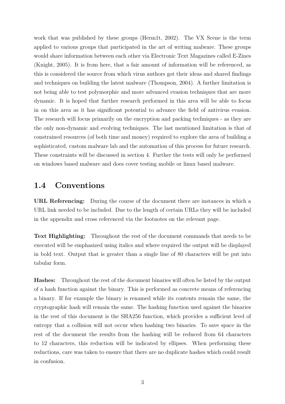work that was published by these groups (Herm1t, 2002). The VX Scene is the term applied to various groups that participated in the art of writing malware. These groups would share information between each other via Electronic Text Magazines called E-Zines (Knight, 2005). It is from here, that a fair amount of information will be referenced, as this is considered the source from which virus authors got their ideas and shared findings and techniques on building the latest malware (Thompson, 2004). A further limitation is not being able to test polymorphic and more advanced evasion techniques that are more dynamic. It is hoped that further research performed in this area will be able to focus in on this area as it has significant potential to advance the field of antivirus evasion. The research will focus primarily on the encryption and packing techniques - as they are the only non-dynamic and evolving techniques. The last mentioned limitation is that of constrained resources (of both time and money) required to explore the area of building a sophisticated, custom malware lab and the automation of this process for future research. These constraints will be discussed in section 4. Further the tests will only be performed on windows based malware and does cover testing mobile or linux based malware.

## 1.4 Conventions

URL Referencing: During the course of the document there are instances in which a URL link needed to be included. Due to the length of certain URLs they will be included in the appendix and cross referenced via the footnotes on the relevant page.

Text Highlighting: Throughout the rest of the document commands that needs to be executed will be emphasized using italics and where required the output will be displayed in bold text. Output that is greater than a single line of 80 characters will be put into tabular form.

Hashes: Throughout the rest of the document binaries will often be listed by the output of a hash function against the binary. This is performed as concrete means of referencing a binary. If for example the binary is renamed while its contents remain the same, the cryptographic hash will remain the same. The hashing function used against the binaries in the rest of this document is the SHA256 function, which provides a sufficient level of entropy that a collision will not occur when hashing two binaries. To save space in the rest of the document the results from the hashing will be reduced from 64 characters to 12 characters, this reduction will be indicated by ellipses. When performing these reductions, care was taken to ensure that there are no duplicate hashes which could result in confusion.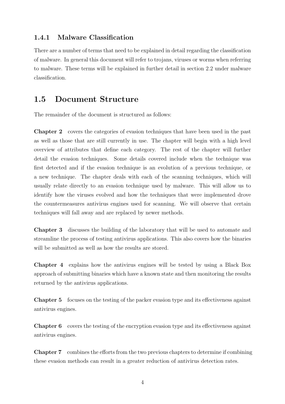#### 1.4.1 Malware Classification

There are a number of terms that need to be explained in detail regarding the classification of malware. In general this document will refer to trojans, viruses or worms when referring to malware. These terms will be explained in further detail in section 2.2 under malware classification.

## 1.5 Document Structure

The remainder of the document is structured as follows:

Chapter 2 covers the categories of evasion techniques that have been used in the past as well as those that are still currently in use. The chapter will begin with a high level overview of attributes that define each category. The rest of the chapter will further detail the evasion techniques. Some details covered include when the technique was first detected and if the evasion technique is an evolution of a previous technique, or a new technique. The chapter deals with each of the scanning techniques, which will usually relate directly to an evasion technique used by malware. This will allow us to identify how the viruses evolved and how the techniques that were implemented drove the countermeasures antivirus engines used for scanning. We will observe that certain techniques will fall away and are replaced by newer methods.

Chapter 3 discusses the building of the laboratory that will be used to automate and streamline the process of testing antivirus applications. This also covers how the binaries will be submitted as well as how the results are stored.

Chapter 4 explains how the antivirus engines will be tested by using a Black Box approach of submitting binaries which have a known state and then monitoring the results returned by the antivirus applications.

Chapter 5 focuses on the testing of the packer evasion type and its effectiveness against antivirus engines.

Chapter 6 covers the testing of the encryption evasion type and its effectiveness against antivirus engines.

Chapter 7 combines the efforts from the two previous chapters to determine if combining these evasion methods can result in a greater reduction of antivirus detection rates.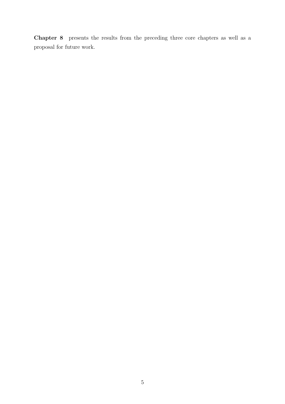Chapter 8 presents the results from the preceding three core chapters as well as a proposal for future work.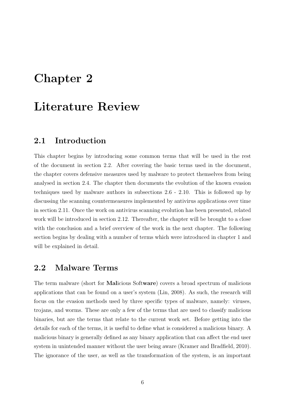## Chapter 2

## Literature Review

### 2.1 Introduction

This chapter begins by introducing some common terms that will be used in the rest of the document in section 2.2. After covering the basic terms used in the document, the chapter covers defensive measures used by malware to protect themselves from being analysed in section 2.4. The chapter then documents the evolution of the known evasion techniques used by malware authors in subsections 2.6 - 2.10. This is followed up by discussing the scanning countermeasures implemented by antivirus applications over time in section 2.11. Once the work on antivirus scanning evolution has been presented, related work will be introduced in section 2.12. Thereafter, the chapter will be brought to a close with the conclusion and a brief overview of the work in the next chapter. The following section begins by dealing with a number of terms which were introduced in chapter 1 and will be explained in detail.

### 2.2 Malware Terms

The term malware (short for Malicious Software) covers a broad spectrum of malicious applications that can be found on a user's system (Lin, 2008). As such, the research will focus on the evasion methods used by three specific types of malware, namely: viruses, trojans, and worms. These are only a few of the terms that are used to classify malicious binaries, but are the terms that relate to the current work set. Before getting into the details for each of the terms, it is useful to define what is considered a malicious binary. A malicious binary is generally defined as any binary application that can affect the end user system in unintended manner without the user being aware (Kramer and Bradfield, 2010). The ignorance of the user, as well as the transformation of the system, is an important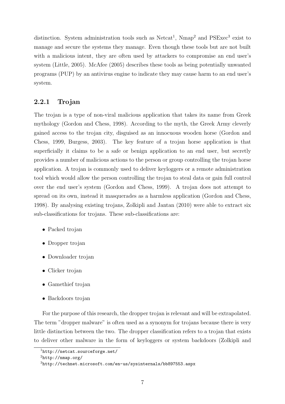distinction. System administration tools such as  $\text{Neta}^1$ ,  $\text{Nmap}^2$  and  $\text{PSE}^3$  exist to manage and secure the systems they manage. Even though these tools but are not built with a malicious intent, they are often used by attackers to compromise an end user's system (Little, 2005). McAfee (2005) describes these tools as being potentially unwanted programs (PUP) by an antivirus engine to indicate they may cause harm to an end user's system.

#### 2.2.1 Trojan

The trojan is a type of non-viral malicious application that takes its name from Greek mythology (Gordon and Chess, 1998). According to the myth, the Greek Army cleverly gained access to the trojan city, disguised as an innocuous wooden horse (Gordon and Chess, 1999, Burgess, 2003). The key feature of a trojan horse application is that superficially it claims to be a safe or benign application to an end user, but secretly provides a number of malicious actions to the person or group controlling the trojan horse application. A trojan is commonly used to deliver keyloggers or a remote administration tool which would allow the person controlling the trojan to steal data or gain full control over the end user's system (Gordon and Chess, 1999). A trojan does not attempt to spread on its own, instead it masquerades as a harmless application (Gordon and Chess, 1998). By analysing existing trojans, Zolkipli and Jantan (2010) were able to extract six sub-classifications for trojans. These sub-classifications are:

- Packed trojan
- Dropper trojan
- Downloader trojan
- Clicker trojan
- Gamethief trojan
- Backdoors trojan

For the purpose of this research, the dropper trojan is relevant and will be extrapolated. The term "dropper malware" is often used as a synonym for trojans because there is very little distinction between the two. The dropper classification refers to a trojan that exists to deliver other malware in the form of keyloggers or system backdoors (Zolkipli and

<sup>1</sup>http://netcat.sourceforge.net/

 ${}^{2}$ http://nmap.org/

<sup>3</sup>http://technet.microsoft.com/en-us/sysinternals/bb897553.aspx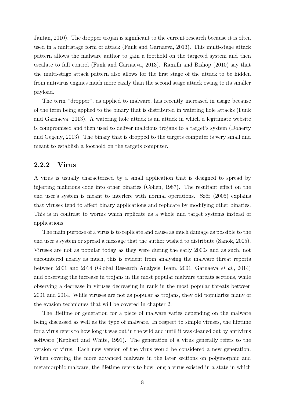Jantan, 2010). The dropper trojan is significant to the current research because it is often used in a multistage form of attack (Funk and Garnaeva, 2013). This multi-stage attack pattern allows the malware author to gain a foothold on the targeted system and then escalate to full control (Funk and Garnaeva, 2013). Ramilli and Bishop (2010) say that the multi-stage attack pattern also allows for the first stage of the attack to be hidden from antivirus engines much more easily than the second stage attack owing to its smaller payload.

The term "dropper", as applied to malware, has recently increased in usage because of the term being applied to the binary that is distributed in watering hole attacks (Funk and Garnaeva, 2013). A watering hole attack is an attack in which a legitimate website is compromised and then used to deliver malicious trojans to a target's system (Doherty and Gegeny, 2013). The binary that is dropped to the targets computer is very small and meant to establish a foothold on the targets computer.

#### 2.2.2 Virus

A virus is usually characterised by a small application that is designed to spread by injecting malicious code into other binaries (Cohen, 1987). The resultant effect on the end user's system is meant to interfere with normal operations. Ször (2005) explains that viruses tend to affect binary applications and replicate by modifying other binaries. This is in contrast to worms which replicate as a whole and target systems instead of applications.

The main purpose of a virus is to replicate and cause as much damage as possible to the end user's system or spread a message that the author wished to distribute (Sanok, 2005). Viruses are not as popular today as they were during the early 2000s and as such, not encountered nearly as much, this is evident from analysing the malware threat reports between 2001 and 2014 (Global Research Analysis Team, 2001, Garnaeva et al., 2014) and observing the increase in trojans in the most popular malware threats sections, while observing a decrease in viruses decreasing in rank in the most popular threats between 2001 and 2014. While viruses are not as popular as trojans, they did popularize many of the evasion techniques that will be covered in chapter 2.

The lifetime or generation for a piece of malware varies depending on the malware being discussed as well as the type of malware. In respect to simple viruses, the lifetime for a virus refers to how long it was out in the wild and until it was cleaned out by antivirus software (Kephart and White, 1991). The generation of a virus generally refers to the version of virus. Each new version of the virus would be considered a new generation. When covering the more advanced malware in the later sections on polymorphic and metamorphic malware, the lifetime refers to how long a virus existed in a state in which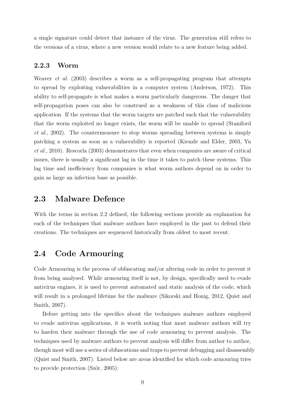a single signature could detect that instance of the virus. The generation still refers to the versions of a virus, where a new version would relate to a new feature being added.

#### 2.2.3 Worm

Weaver *et al.* (2003) describes a worm as a self-propagating program that attempts to spread by exploiting vulnerabilities in a computer system (Anderson, 1972). This ability to self-propagate is what makes a worm particularly dangerous. The danger that self-propagation poses can also be construed as a weakness of this class of malicious application. If the systems that the worm targets are patched such that the vulnerability that the worm exploited no longer exists, the worm will be unable to spread (Staniford et al., 2002). The countermeasure to stop worms spreading between systems is simply patching a system as soon as a vulnerability is reported (Kienzle and Elder, 2003, Yu et al., 2010). Rescorla (2003) demonstrates that even when companies are aware of critical issues, there is usually a significant lag in the time it takes to patch these systems. This lag time and inefficiency from companies is what worm authors depend on in order to gain as large an infection base as possible.

### 2.3 Malware Defence

With the terms in section 2.2 defined, the following sections provide an explanation for each of the techniques that malware authors have employed in the past to defend their creations. The techniques are sequenced historically from oldest to most recent.

## 2.4 Code Armouring

Code Armouring is the process of obfuscating and/or altering code in order to prevent it from being analysed. While armouring itself is not, by design, specifically used to evade antivirus engines, it is used to prevent automated and static analysis of the code, which will result in a prolonged lifetime for the malware (Sikorski and Honig, 2012, Quist and Smith, 2007).

Before getting into the specifics about the techniques malware authors employed to evade antivirus applications, it is worth noting that most malware authors will try to harden their malware through the use of code armouring to prevent analysis. The techniques used by malware authors to prevent analysis will differ from author to author, though most will use a series of obfuscations and traps to prevent debugging and disassembly (Quist and Smith, 2007). Listed below are areas identified for which code armouring tries to provide protection  $(Sz\ddot{o}r, 2005)$ :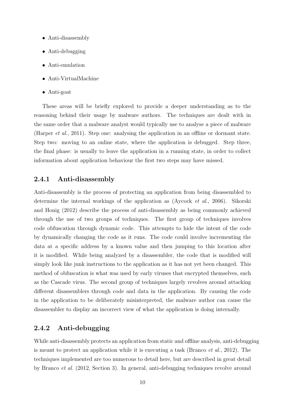- Anti-disassembly
- Anti-debugging
- Anti-emulation
- Anti-VirtualMachine
- Anti-goat

These areas will be briefly explored to provide a deeper understanding as to the reasoning behind their usage by malware authors. The techniques are dealt with in the same order that a malware analyst would typically use to analyse a piece of malware (Harper et al., 2011). Step one: analysing the application in an offline or dormant state. Step two: moving to an online state, where the application is debugged. Step three, the final phase: is usually to leave the application in a running state, in order to collect information about application behaviour the first two steps may have missed.

#### 2.4.1 Anti-disassembly

Anti-disassembly is the process of protecting an application from being disassembled to determine the internal workings of the application as (Aycock et al., 2006). Sikorski and Honig (2012) describe the process of anti-disassembly as being commonly achieved through the use of two groups of techniques. The first group of techniques involves code obfuscation through dynamic code. This attempts to hide the intent of the code by dynamically changing the code as it runs. The code could involve incrementing the data at a specific address by a known value and then jumping to this location after it is modified. While being analyzed by a disassembler, the code that is modified will simply look like junk instructions to the application as it has not yet been changed. This method of obfuscation is what was used by early viruses that encrypted themselves, such as the Cascade virus. The second group of techniques largely revolves around attacking different disassemblers through code and data in the application. By causing the code in the application to be deliberately misinterpreted, the malware author can cause the disassembler to display an incorrect view of what the application is doing internally.

#### 2.4.2 Anti-debugging

While anti-disassembly protects an application from static and offline analysis, anti-debugging is meant to protect an application while it is executing a task (Branco *et al.*, 2012). The techniques implemented are too numerous to detail here, but are described in great detail by Branco et al. (2012, Section 3). In general, anti-debugging techniques revolve around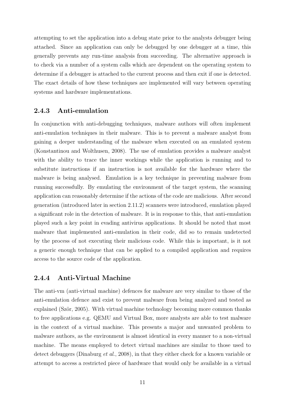attempting to set the application into a debug state prior to the analysts debugger being attached. Since an application can only be debugged by one debugger at a time, this generally prevents any run-time analysis from succeeding. The alternative approach is to check via a number of a system calls which are dependent on the operating system to determine if a debugger is attached to the current process and then exit if one is detected. The exact details of how these techniques are implemented will vary between operating systems and hardware implementations.

#### 2.4.3 Anti-emulation

In conjunction with anti-debugging techniques, malware authors will often implement anti-emulation techniques in their malware. This is to prevent a malware analyst from gaining a deeper understanding of the malware when executed on an emulated system (Konstantinou and Wolthusen, 2008). The use of emulation provides a malware analyst with the ability to trace the inner workings while the application is running and to substitute instructions if an instruction is not available for the hardware where the malware is being analysed. Emulation is a key technique in preventing malware from running successfully. By emulating the environment of the target system, the scanning application can reasonably determine if the actions of the code are malicious. After second generation (introduced later in section 2.11.2) scanners were introduced, emulation played a significant role in the detection of malware. It is in response to this, that anti-emulation played such a key point in evading antivirus applications. It should be noted that most malware that implemented anti-emulation in their code, did so to remain undetected by the process of not executing their malicious code. While this is important, is it not a generic enough technique that can be applied to a compiled application and requires access to the source code of the application.

#### 2.4.4 Anti-Virtual Machine

The anti-vm (anti-virtual machine) defences for malware are very similar to those of the anti-emulation defence and exist to prevent malware from being analyzed and tested as explained (Ször, 2005). With virtual machine technology becoming more common thanks to free applications e.g. QEMU and Virtual Box, more analysts are able to test malware in the context of a virtual machine. This presents a major and unwanted problem to malware authors, as the environment is almost identical in every manner to a non-virtual machine. The means employed to detect virtual machines are similar to those used to detect debuggers (Dinaburg et al., 2008), in that they either check for a known variable or attempt to access a restricted piece of hardware that would only be available in a virtual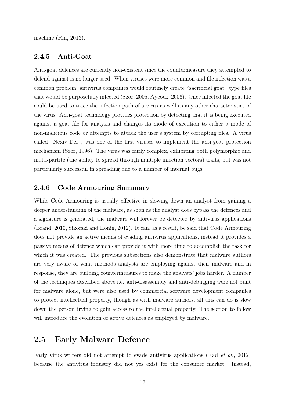machine (Rin, 2013).

#### 2.4.5 Anti-Goat

Anti-goat defences are currently non-existent since the countermeasure they attempted to defend against is no longer used. When viruses were more common and file infection was a common problem, antivirus companies would routinely create "sacrificial goat" type files that would be purposefully infected (Ször, 2005, Aycock, 2006). Once infected the goat file could be used to trace the infection path of a virus as well as any other characteristics of the virus. Anti-goat technology provides protection by detecting that it is being executed against a goat file for analysis and changes its mode of execution to either a mode of non-malicious code or attempts to attack the user's system by corrupting files. A virus called "Nexiv Der", was one of the first viruses to implement the anti-goat protection mechanism (Ször, 1996). The virus was fairly complex, exhibiting both polymorphic and multi-partite (the ability to spread through multiple infection vectors) traits, but was not particularly successful in spreading due to a number of internal bugs.

#### 2.4.6 Code Armouring Summary

While Code Armouring is usually effective in slowing down an analyst from gaining a deeper understanding of the malware, as soon as the analyst does bypass the defences and a signature is generated, the malware will forever be detected by antivirus applications (Brand, 2010, Sikorski and Honig, 2012). It can, as a result, be said that Code Armouring does not provide an active means of evading antivirus applications, instead it provides a passive means of defence which can provide it with more time to accomplish the task for which it was created. The previous subsections also demonstrate that malware authors are very aware of what methods analysts are employing against their malware and in response, they are building countermeasures to make the analysts' jobs harder. A number of the techniques described above i.e. anti-disassembly and anti-debugging were not built for malware alone, but were also used by commercial software development companies to protect intellectual property, though as with malware authors, all this can do is slow down the person trying to gain access to the intellectual property. The section to follow will introduce the evolution of active defences as employed by malware.

## 2.5 Early Malware Defence

Early virus writers did not attempt to evade antivirus applications (Rad et al., 2012) because the antivirus industry did not yes exist for the consumer market. Instead,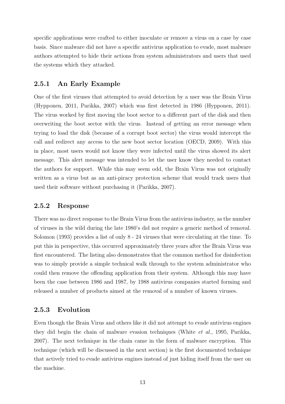specific applications were crafted to either inoculate or remove a virus on a case by case basis. Since malware did not have a specific antivirus application to evade, most malware authors attempted to hide their actions from system administrators and users that used the systems which they attacked.

#### 2.5.1 An Early Example

One of the first viruses that attempted to avoid detection by a user was the Brain Virus (Hypponen, 2011, Parikka, 2007) which was first detected in 1986 (Hypponen, 2011). The virus worked by first moving the boot sector to a different part of the disk and then overwriting the boot sector with the virus. Instead of getting an error message when trying to load the disk (because of a corrupt boot sector) the virus would intercept the call and redirect any access to the new boot sector location (OECD, 2009). With this in place, most users would not know they were infected until the virus showed its alert message. This alert message was intended to let the user know they needed to contact the authors for support. While this may seem odd, the Brain Virus was not originally written as a virus but as an anti-piracy protection scheme that would track users that used their software without purchasing it (Parikka, 2007).

#### 2.5.2 Response

There was no direct response to the Brain Virus from the antivirus industry, as the number of viruses in the wild during the late 1980's did not require a generic method of removal. Solomon (1993) provides a list of only 8 - 24 viruses that were circulating at the time. To put this in perspective, this occurred approximately three years after the Brain Virus was first encountered. The listing also demonstrates that the common method for disinfection was to simply provide a simple technical walk through to the system administrator who could then remove the offending application from their system. Although this may have been the case between 1986 and 1987, by 1988 antivirus companies started forming and released a number of products aimed at the removal of a number of known viruses.

#### 2.5.3 Evolution

Even though the Brain Virus and others like it did not attempt to evade antivirus engines they did begin the chain of malware evasion techniques (White et al., 1995, Parikka, 2007). The next technique in the chain came in the form of malware encryption. This technique (which will be discussed in the next section) is the first documented technique that actively tried to evade antivirus engines instead of just hiding itself from the user on the machine.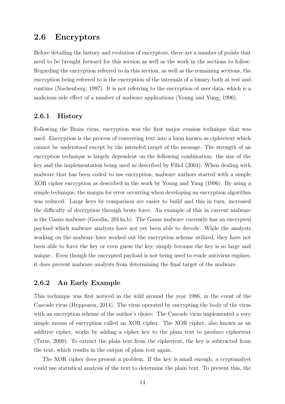### 2.6 Encryptors

Before detailing the history and evolution of encryptors, there are a number of points that need to be brought forward for this section as well as the work in the sections to follow. Regarding the encryption referred to in this section, as well as the remaining sections, the encryption being referred to is the encryption of the internals of a binary both at rest and runtime (Nachenberg, 1997). It is not referring to the encryption of user data, which is a malicious side effect of a number of malware applications (Young and Yung, 1996).

#### 2.6.1 History

Following the Brain virus, encryption was the first major evasion technique that was used. Encryption is the process of converting text into a form known as ciphertext which cannot be understood except by the intended target of the message. The strength of an encryption technique is largely dependent on the following combination: the size of the key and the implementation being used as described by Filiol (2004). When dealing with malware that has been coded to use encryption, malware authors started with a simple XOR cipher encryption as described in the work by Young and Yung (1996). By using a simple technique, the margin for error occurring when developing an encryption algorithm was reduced. Large keys by comparison are easier to build and this in turn, increased the difficulty of decryption through brute force. An example of this in current malware is the Gauss malware (Goodin, 2014a,b). The Gauss malware currently has an encrypted payload which malware analysts have not yet been able to decode. While the analysts working on the malware have worked out the encryption scheme utilized, they have not been able to force the key or even guess the key, simply because the key is so large and unique . Even though the encrypted payload is not being used to evade antivirus engines, it does prevent malware analysts from determining the final target of the malware.

#### 2.6.2 An Early Example

This technique was first noticed in the wild around the year 1986, in the event of the Cascade virus (Hypponen, 2014). The virus operated by encrypting the body of the virus with an encryption scheme of the author's choice. The Cascade virus implemented a very simple means of encryption called an XOR cipher. The XOR cipher, also known as an additive cipher, works by adding a cipher key to the plain text to produce ciphertext (Tutte, 2000). To extract the plain text from the ciphertext, the key is subtracted from the text, which results in the output of plain text again.

The XOR cipher does present a problem. If the key is small enough, a cryptanalyst could use statistical analysis of the text to determine the plain text. To prevent this, the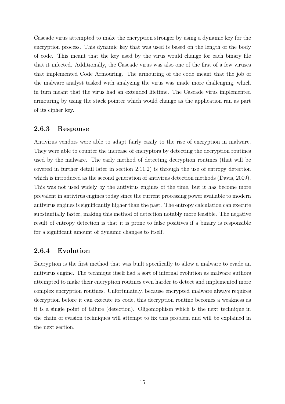Cascade virus attempted to make the encryption stronger by using a dynamic key for the encryption process. This dynamic key that was used is based on the length of the body of code. This meant that the key used by the virus would change for each binary file that it infected. Additionally, the Cascade virus was also one of the first of a few viruses that implemented Code Armouring. The armouring of the code meant that the job of the malware analyst tasked with analyzing the virus was made more challenging, which in turn meant that the virus had an extended lifetime. The Cascade virus implemented armouring by using the stack pointer which would change as the application ran as part of its cipher key.

#### 2.6.3 Response

Antivirus vendors were able to adapt fairly easily to the rise of encryption in malware. They were able to counter the increase of encryptors by detecting the decryption routines used by the malware. The early method of detecting decryption routines (that will be covered in further detail later in section 2.11.2) is through the use of entropy detection which is introduced as the second generation of antivirus detection methods (Davis, 2009). This was not used widely by the antivirus engines of the time, but it has become more prevalent in antivirus engines today since the current processing power available to modern antivirus engines is significantly higher than the past. The entropy calculation can execute substantially faster, making this method of detection notably more feasible. The negative result of entropy detection is that it is prone to false positives if a binary is responsible for a significant amount of dynamic changes to itself.

#### 2.6.4 Evolution

Encryption is the first method that was built specifically to allow a malware to evade an antivirus engine. The technique itself had a sort of internal evolution as malware authors attempted to make their encryption routines even harder to detect and implemented more complex encryption routines. Unfortunately, because encrypted malware always requires decryption before it can execute its code, this decryption routine becomes a weakness as it is a single point of failure (detection). Oligomophism which is the next technique in the chain of evasion techniques will attempt to fix this problem and will be explained in the next section.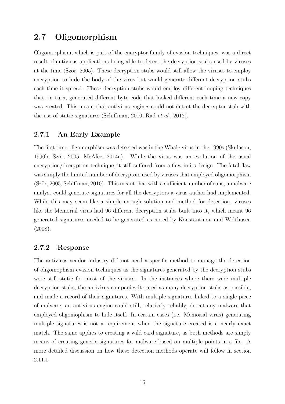## 2.7 Oligomorphism

Oligomorphism, which is part of the encryptor family of evasion techniques, was a direct result of antivirus applications being able to detect the decryption stubs used by viruses at the time (Ször, 2005). These decryption stubs would still allow the viruses to employ encryption to hide the body of the virus but would generate different decryption stubs each time it spread. These decryption stubs would employ different looping techniques that, in turn, generated different byte code that looked different each time a new copy was created. This meant that antivirus engines could not detect the decryptor stub with the use of static signatures (Schiffman, 2010, Rad et al., 2012).

#### 2.7.1 An Early Example

The first time oligomorphism was detected was in the Whale virus in the 1990s (Skulason, 1990b, Ször, 2005, McAfee, 2014a). While the virus was an evolution of the usual encryption/decryption technique, it still suffered from a flaw in its design. The fatal flaw was simply the limited number of decryptors used by viruses that employed oligomorphism  $(Ször, 2005, Schiffman, 2010)$ . This meant that with a sufficient number of runs, a malware analyst could generate signatures for all the decryptors a virus author had implemented. While this may seem like a simple enough solution and method for detection, viruses like the Memorial virus had 96 different decryption stubs built into it, which meant 96 generated signatures needed to be generated as noted by Konstantinou and Wolthusen (2008).

#### 2.7.2 Response

The antivirus vendor industry did not need a specific method to manage the detection of oligomophism evasion techniques as the signatures generated by the decryption stubs were still static for most of the viruses. In the instances where there were multiple decryption stubs, the antivirus companies iterated as many decryption stubs as possible, and made a record of their signatures. With multiple signatures linked to a single piece of malware, an antivirus engine could still, relatively reliably, detect any malware that employed oligomophism to hide itself. In certain cases (i.e. Memorial virus) generating multiple signatures is not a requirement when the signature created is a nearly exact match. The same applies to creating a wild card signature, as both methods are simply means of creating generic signatures for malware based on multiple points in a file. A more detailed discussion on how these detection methods operate will follow in section 2.11.1.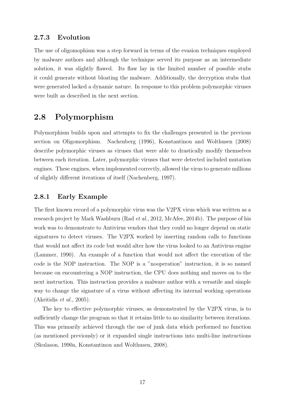#### 2.7.3 Evolution

The use of oligomophism was a step forward in terms of the evasion techniques employed by malware authors and although the technique served its purpose as an intermediate solution, it was slightly flawed. Its flaw lay in the limited number of possible stubs it could generate without bloating the malware. Additionally, the decryption stubs that were generated lacked a dynamic nature. In response to this problem polymorphic viruses were built as described in the next section.

## 2.8 Polymorphism

Polymorphism builds upon and attempts to fix the challenges presented in the previous section on Oligomorphism. Nachenberg (1996), Konstantinou and Wolthusen (2008) describe polymorphic viruses as viruses that were able to drastically modify themselves between each iteration. Later, polymorphic viruses that were detected included mutation engines. These engines, when implemented correctly, allowed the virus to generate millions of slightly different iterations of itself (Nachenberg, 1997).

#### 2.8.1 Early Example

The first known record of a polymorphic virus was the V2PX virus which was written as a research project by Mark Washburn (Rad et al., 2012, McAfee, 2014b). The purpose of his work was to demonstrate to Antivirus vendors that they could no longer depend on static signatures to detect viruses. The V2PX worked by inserting random calls to functions that would not affect its code but would alter how the virus looked to an Antivirus engine (Lammer, 1990). An example of a function that would not affect the execution of the code is the NOP instruction. The NOP is a "nooperation" instruction, it is so named because on encountering a NOP instruction, the CPU does nothing and moves on to the next instruction. This instruction provides a malware author with a versatile and simple way to change the signature of a virus without affecting its internal working operations  $(Akritidis et al., 2005).$ 

The key to effective polymorphic viruses, as demonstrated by the V2PX virus, is to sufficiently change the program so that it retains little to no similarity between iterations. This was primarily achieved through the use of junk data which performed no function (as mentioned previously) or it expanded single instructions into multi-line instructions (Skulason, 1990a, Konstantinou and Wolthusen, 2008).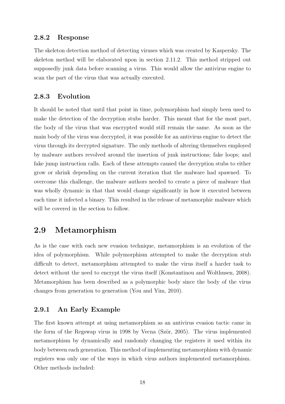#### 2.8.2 Response

The skeleton detection method of detecting viruses which was created by Kaspersky. The skeleton method will be elaborated upon in section 2.11.2. This method stripped out supposedly junk data before scanning a virus. This would allow the antivirus engine to scan the part of the virus that was actually executed.

#### 2.8.3 Evolution

It should be noted that until that point in time, polymorphism had simply been used to make the detection of the decryption stubs harder. This meant that for the most part, the body of the virus that was encrypted would still remain the same. As soon as the main body of the virus was decrypted, it was possible for an antivirus engine to detect the virus through its decrypted signature. The only methods of altering themselves employed by malware authors revolved around the insertion of junk instructions; fake loops; and fake jump instruction calls. Each of these attempts caused the decryption stubs to either grow or shrink depending on the current iteration that the malware had spawned. To overcome this challenge, the malware authors needed to create a piece of malware that was wholly dynamic in that that would change significantly in how it executed between each time it infected a binary. This resulted in the release of metamorphic malware which will be covered in the section to follow.

## 2.9 Metamorphism

As is the case with each new evasion technique, metamorphism is an evolution of the idea of polymorphism. While polymorphism attempted to make the decryption stub difficult to detect, metamorphism attempted to make the virus itself a harder task to detect without the need to encrypt the virus itself (Konstantinou and Wolthusen, 2008). Metamorphism has been described as a polymorphic body since the body of the virus changes from generation to generation (You and Yim, 2010).

#### 2.9.1 An Early Example

The first known attempt at using metamorphism as an antivirus evasion tactic came in the form of the Regswap virus in 1998 by Vecna (Ször, 2005). The virus implemented metamorphism by dynamically and randomly changing the registers it used within its body between each generation. This method of implementing metamorphism with dynamic registers was only one of the ways in which virus authors implemented metamorphism. Other methods included: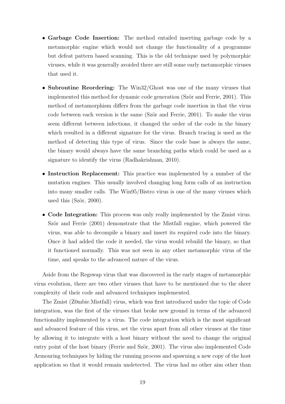- Garbage Code Insertion: The method entailed inserting garbage code by a metamorphic engine which would not change the functionality of a programme but defeat pattern based scanning. This is the old technique used by polymorphic viruses, while it was generally avoided there are still some early metamorphic viruses that used it.
- Subroutine Reordering: The Win32/Ghost was one of the many viruses that implemented this method for dynamic code generation (Ször and Ferrie, 2001). This method of metamorphism differs from the garbage code insertion in that the virus code between each version is the same (Ször and Ferrie, 2001). To make the virus seem different between infections, it changed the order of the code in the binary which resulted in a different signature for the virus. Branch tracing is used as the method of detecting this type of virus. Since the code base is always the same, the binary would always have the same branching paths which could be used as a signature to identify the virus (Radhakrishnan, 2010).
- Instruction Replacement: This practice was implemented by a number of the mutation engines. This usually involved changing long form calls of an instruction into many smaller calls. The Win95/Bistro virus is one of the many viruses which used this  $(Ször, 2000)$ .
- Code Integration: This process was only really implemented by the Zmist virus. Ször and Ferrie  $(2001)$  demonstrate that the Mistfall engine, which powered the virus, was able to decompile a binary and insert its required code into the binary. Once it had added the code it needed, the virus would rebuild the binary, so that it functioned normally. This was not seen in any other metamorphic virus of the time, and speaks to the advanced nature of the virus.

Aside from the Regswap virus that was discovered in the early stages of metamorphic virus evolution, there are two other viruses that have to be mentioned due to the sheer complexity of their code and advanced techniques implemented.

The Zmist (Z0mbie.Mistfall) virus, which was first introduced under the topic of Code integration, was the first of the viruses that broke new ground in terms of the advanced functionality implemented by a virus. The code integration which is the most significant and advanced feature of this virus, set the virus apart from all other viruses at the time by allowing it to integrate with a host binary without the need to change the original entry point of the host binary (Ferrie and Ször, 2001). The virus also implemented Code Armouring techniques by hiding the running process and spawning a new copy of the host application so that it would remain undetected. The virus had no other aim other than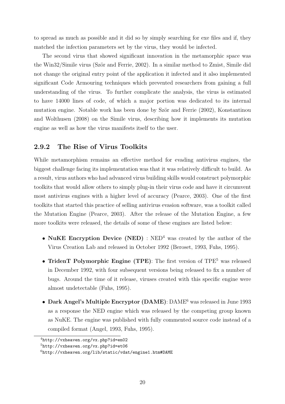to spread as much as possible and it did so by simply searching for exe files and if, they matched the infection parameters set by the virus, they would be infected.

The second virus that showed significant innovation in the metamorphic space was the Win32/Simile virus (Ször and Ferrie, 2002). In a similar method to Zmist, Simile did not change the original entry point of the application it infected and it also implemented significant Code Armouring techniques which prevented researchers from gaining a full understanding of the virus. To further complicate the analysis, the virus is estimated to have 14000 lines of code, of which a major portion was dedicated to its internal mutation engine. Notable work has been done by Ször and Ferrie (2002), Konstantinou and Wolthusen (2008) on the Simile virus, describing how it implements its mutation engine as well as how the virus manifests itself to the user.

#### 2.9.2 The Rise of Virus Toolkits

While metamorphism remains an effective method for evading antivirus engines, the biggest challenge facing its implementation was that it was relatively difficult to build. As a result, virus authors who had advanced virus building skills would construct polymorphic toolkits that would allow others to simply plug-in their virus code and have it circumvent most antivirus engines with a higher level of accuracy (Pearce, 2003). One of the first toolkits that started this practice of selling antivirus evasion software, was a toolkit called the Mutation Engine (Pearce, 2003). After the release of the Mutation Engine, a few more toolkits were released, the details of some of these engines are listed below:

- NuKE Encryption Device (NED) :  $NED<sup>4</sup>$  was created by the author of the Virus Creation Lab and released in October 1992 (Beroset, 1993, Fuhs, 1995).
- TridenT Polymorphic Engine (TPE): The first version of TPE<sup>5</sup> was released in December 1992, with four subsequent versions being released to fix a number of bugs. Around the time of it release, viruses created with this specific engine were almost undetectable (Fuhs, 1995).
- Dark Angel's Multiple Encryptor (DAME): DAME<sup>6</sup> was released in June 1993 as a response the NED engine which was released by the competing group known as NuKE. The engine was published with fully commented source code instead of a compiled format (Angel, 1993, Fuhs, 1995).

<sup>4</sup>http://vxheaven.org/vx.php?id=en02

 $5$ http://vxheaven.org/vx.php?id=et06

<sup>6</sup>http://vxheaven.org/lib/static/vdat/engine1.htm#DAME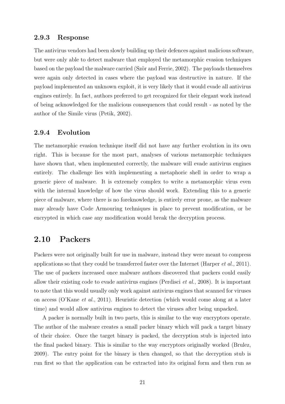#### 2.9.3 Response

The antivirus vendors had been slowly building up their defences against malicious software, but were only able to detect malware that employed the metamorphic evasion techniques based on the payload the malware carried (Ször and Ferrie, 2002). The payloads themselves were again only detected in cases where the payload was destructive in nature. If the payload implemented an unknown exploit, it is very likely that it would evade all antivirus engines entirely. In fact, authors preferred to get recognized for their elegant work instead of being acknowledged for the malicious consequences that could result - as noted by the author of the Simile virus (Petik, 2002).

#### 2.9.4 Evolution

The metamorphic evasion technique itself did not have any further evolution in its own right. This is because for the most part, analyses of various metamorphic techniques have shown that, when implemented correctly, the malware will evade antivirus engines entirely. The challenge lies with implementing a metaphoric shell in order to wrap a generic piece of malware. It is extremely complex to write a metamorphic virus even with the internal knowledge of how the virus should work. Extending this to a generic piece of malware, where there is no foreknowledge, is entirely error prone, as the malware may already have Code Armouring techniques in place to prevent modification, or be encrypted in which case any modification would break the decryption process.

## 2.10 Packers

Packers were not originally built for use in malware, instead they were meant to compress applications so that they could be transferred faster over the Internet (Harper et al., 2011). The use of packers increased once malware authors discovered that packers could easily allow their existing code to evade antivirus engines (Perdisci et al., 2008). It is important to note that this would usually only work against antivirus engines that scanned for viruses on access (O'Kane et al., 2011). Heuristic detection (which would come along at a later time) and would allow antivirus engines to detect the viruses after being unpacked.

A packer is normally built in two parts, this is similar to the way encryptors operate. The author of the malware creates a small packer binary which will pack a target binary of their choice. Once the target binary is packed, the decryption stub is injected into the final packed binary. This is similar to the way encryptors originally worked (Brulez, 2009). The entry point for the binary is then changed, so that the decryption stub is run first so that the application can be extracted into its original form and then run as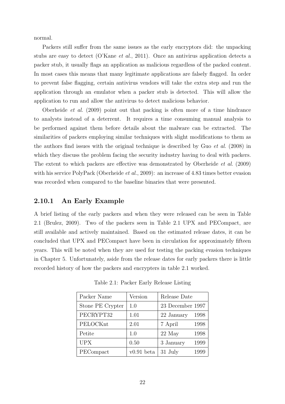normal.

Packers still suffer from the same issues as the early encryptors did: the unpacking stubs are easy to detect (O'Kane *et al.*, 2011). Once an antivirus application detects a packer stub, it usually flags an application as malicious regardless of the packed content. In most cases this means that many legitimate applications are falsely flagged. In order to prevent false flagging, certain antivirus vendors will take the extra step and run the application through an emulator when a packer stub is detected. This will allow the application to run and allow the antivirus to detect malicious behavior.

Oberheide et al. (2009) point out that packing is often more of a time hindrance to analysts instead of a deterrent. It requires a time consuming manual analysis to be performed against them before details about the malware can be extracted. The similarities of packers employing similar techniques with slight modifications to them as the authors find issues with the original technique is described by Guo et al. (2008) in which they discuss the problem facing the security industry having to deal with packers. The extent to which packers are effective was demonstrated by Oberheide et al. (2009) with his service PolyPack (Oberheide *et al.*, 2009): an increase of 4.83 times better evasion was recorded when compared to the baseline binaries that were presented.

#### 2.10.1 An Early Example

A brief listing of the early packers and when they were released can be seen in Table 2.1 (Brulez, 2009). Two of the packers seen in Table 2.1 UPX and PECompact, are still available and actively maintained. Based on the estimated release dates, it can be concluded that UPX and PECompact have been in circulation for approximately fifteen years. This will be noted when they are used for testing the packing evasion techniques in Chapter 5. Unfortunately, aside from the release dates for early packers there is little recorded history of how the packers and encrypters in table 2.1 worked.

| Packer Name      | Version      | Release Date       |
|------------------|--------------|--------------------|
| Stone PE Crypter | 1.0          | 23 December 1997   |
| PECRYPT32        | 1.01         | 1998<br>22 January |
| PELOCKnt         | 2.01         | 7 April<br>1998    |
| Petite           | 1.0          | 1998<br>22 May     |
| <b>UPX</b>       | 0.50         | 1999<br>3 January  |
| PECompact        | $v0.91$ beta | 31 July<br>1999    |

Table 2.1: Packer Early Release Listing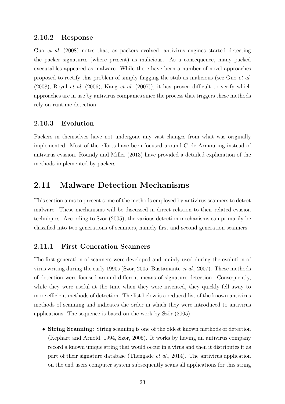#### 2.10.2 Response

Guo et al. (2008) notes that, as packers evolved, antivirus engines started detecting the packer signatures (where present) as malicious. As a consequence, many packed executables appeared as malware. While there have been a number of novel approaches proposed to rectify this problem of simply flagging the stub as malicious (see Guo et al.  $(2008)$ , Royal *et al.*  $(2006)$ , Kang *et al.*  $(2007)$ ), it has proven difficult to verify which approaches are in use by antivirus companies since the process that triggers these methods rely on runtime detection.

#### 2.10.3 Evolution

Packers in themselves have not undergone any vast changes from what was originally implemented. Most of the efforts have been focused around Code Armouring instead of antivirus evasion. Roundy and Miller (2013) have provided a detailed explanation of the methods implemented by packers.

## 2.11 Malware Detection Mechanisms

This section aims to present some of the methods employed by antivirus scanners to detect malware. These mechanisms will be discussed in direct relation to their related evasion techniques. According to Ször (2005), the various detection mechanisms can primarily be classified into two generations of scanners, namely first and second generation scanners.

#### 2.11.1 First Generation Scanners

The first generation of scanners were developed and mainly used during the evolution of virus writing during the early 1990s (Ször, 2005, Bustamante *et al.*, 2007). These methods of detection were focused around different means of signature detection. Consequently, while they were useful at the time when they were invented, they quickly fell away to more efficient methods of detection. The list below is a reduced list of the known antivirus methods of scanning and indicates the order in which they were introduced to antivirus applications. The sequence is based on the work by Ször  $(2005)$ .

• String Scanning: String scanning is one of the oldest known methods of detection (Kephart and Arnold, 1994, Ször, 2005). It works by having an antivirus company record a known unique string that would occur in a virus and then it distributes it as part of their signature database (Thengade et al., 2014). The antivirus application on the end users computer system subsequently scans all applications for this string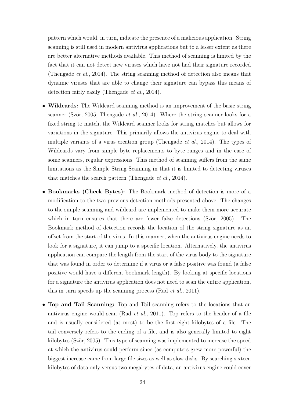pattern which would, in turn, indicate the presence of a malicious application. String scanning is still used in modern antivirus applications but to a lesser extent as there are better alternative methods available. This method of scanning is limited by the fact that it can not detect new viruses which have not had their signature recorded (Thengade et al., 2014). The string scanning method of detection also means that dynamic viruses that are able to change their signature can bypass this means of detection fairly easily (Thengade et al., 2014).

- Wildcards: The Wildcard scanning method is an improvement of the basic string scanner (Ször, 2005, Thengade *et al.*, 2014). Where the string scanner looks for a fixed string to match, the Wildcard scanner looks for string matches but allows for variations in the signature. This primarily allows the antivirus engine to deal with multiple variants of a virus creation group (Thengade et al., 2014). The types of Wildcards vary from simple byte replacements to byte ranges and in the case of some scanners, regular expressions. This method of scanning suffers from the same limitations as the Simple String Scanning in that it is limited to detecting viruses that matches the search pattern (Thengade et al., 2014).
- Bookmarks (Check Bytes): The Bookmark method of detection is more of a modification to the two previous detection methods presented above. The changes to the simple scanning and wildcard are implemented to make them more accurate which in turn ensures that there are fewer false detections  $(Sz\ddot{o}r, 2005)$ . The Bookmark method of detection records the location of the string signature as an offset from the start of the virus. In this manner, when the antivirus engine needs to look for a signature, it can jump to a specific location. Alternatively, the antivirus application can compare the length from the start of the virus body to the signature that was found in order to determine if a virus or a false positive was found (a false positive would have a different bookmark length). By looking at specific locations for a signature the antivirus application does not need to scan the entire application, this in turn speeds up the scanning process (Rad et al., 2011).
- Top and Tail Scanning: Top and Tail scanning refers to the locations that an antivirus engine would scan (Rad *et al.*, 2011). Top refers to the header of a file and is usually considered (at most) to be the first eight kilobytes of a file. The tail conversely refers to the ending of a file, and is also generally limited to eight kilobytes (Ször, 2005). This type of scanning was implemented to increase the speed at which the antivirus could perform since (as computers grew more powerful) the biggest increase came from large file sizes as well as slow disks. By searching sixteen kilobytes of data only versus two megabytes of data, an antivirus engine could cover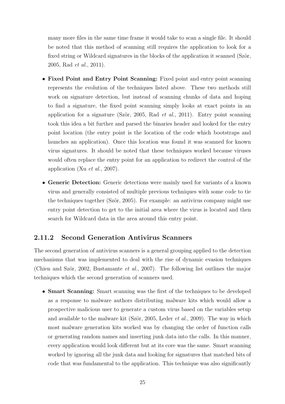many more files in the same time frame it would take to scan a single file. It should be noted that this method of scanning still requires the application to look for a fixed string or Wildcard signatures in the blocks of the application it scanned (Ször, 2005, Rad et al., 2011).

- Fixed Point and Entry Point Scanning: Fixed point and entry point scanning represents the evolution of the techniques listed above. These two methods still work on signature detection, but instead of scanning chunks of data and hoping to find a signature, the fixed point scanning simply looks at exact points in an application for a signature (Ször, 2005, Rad *et al.*, 2011). Entry point scanning took this idea a bit further and parsed the binaries header and looked for the entry point location (the entry point is the location of the code which bootstraps and launches an application). Once this location was found it was scanned for known virus signatures. It should be noted that these techniques worked because viruses would often replace the entry point for an application to redirect the control of the application (Xu et al., 2007).
- Generic Detection: Generic detections were mainly used for variants of a known virus and generally consisted of multiple previous techniques with some code to tie the techniques together (Ször, 2005). For example: an antivirus company might use entry point detection to get to the initial area where the virus is located and then search for Wildcard data in the area around this entry point.

## 2.11.2 Second Generation Antivirus Scanners

The second generation of antivirus scanners is a general grouping applied to the detection mechanisms that was implemented to deal with the rise of dynamic evasion techniques (Chien and Ször, 2002, Bustamante *et al.*, 2007). The following list outlines the major techniques which the second generation of scanners used.

• **Smart Scanning:** Smart scanning was the first of the techniques to be developed as a response to malware authors distributing malware kits which would allow a prospective malicious user to generate a custom virus based on the variables setup and available to the malware kit (Ször, 2005, Leder *et al.*, 2009). The way in which most malware generation kits worked was by changing the order of function calls or generating random names and inserting junk data into the calls. In this manner, every application would look different but at its core was the same. Smart scanning worked by ignoring all the junk data and looking for signatures that matched bits of code that was fundamental to the application. This technique was also significantly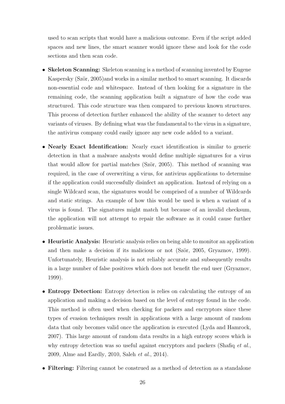used to scan scripts that would have a malicious outcome. Even if the script added spaces and new lines, the smart scanner would ignore these and look for the code sections and then scan code.

- Skeleton Scanning: Skeleton scanning is a method of scanning invented by Eugene Kaspersky (Ször, 2005)and works in a similar method to smart scanning. It discards non-essential code and whitespace. Instead of then looking for a signature in the remaining code, the scanning application built a signature of how the code was structured. This code structure was then compared to previous known structures. This process of detection further enhanced the ability of the scanner to detect any variants of viruses. By defining what was the fundamental to the virus in a signature, the antivirus company could easily ignore any new code added to a variant.
- Nearly Exact Identification: Nearly exact identification is similar to generic detection in that a malware analysts would define multiple signatures for a virus that would allow for partial matches (Ször, 2005). This method of scanning was required, in the case of overwriting a virus, for antivirus applications to determine if the application could successfully disinfect an application. Instead of relying on a single Wildcard scan, the signatures would be comprised of a number of Wildcards and static strings. An example of how this would be used is when a variant of a virus is found. The signatures might match but because of an invalid checksum, the application will not attempt to repair the software as it could cause further problematic issues.
- Heuristic Analysis: Heuristic analysis relies on being able to monitor an application and then make a decision if its malicious or not (Ször, 2005, Gryaznov, 1999). Unfortunately, Heuristic analysis is not reliably accurate and subsequently results in a large number of false positives which does not benefit the end user (Gryaznov, 1999).
- Entropy Detection: Entropy detection is relies on calculating the entropy of an application and making a decision based on the level of entropy found in the code. This method is often used when checking for packers and encryptors since these types of evasion techniques result in applications with a large amount of random data that only becomes valid once the application is executed (Lyda and Hamrock, 2007). This large amount of random data results in a high entropy scores which is why entropy detection was so useful against encryptors and packers (Shafiq *et al.*, 2009, Alme and Eardly, 2010, Saleh et al., 2014).
- Filtering: Filtering cannot be construed as a method of detection as a standalone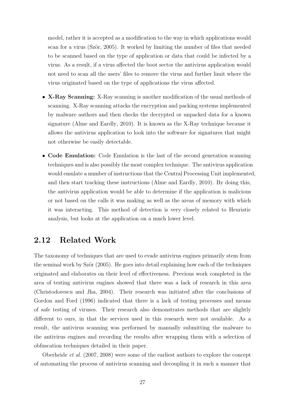model, rather it is accepted as a modification to the way in which applications would scan for a virus (Ször, 2005). It worked by limiting the number of files that needed to be scanned based on the type of application or data that could be infected by a virus. As a result, if a virus affected the boot sector the antivirus application would not need to scan all the users' files to remove the virus and further limit where the virus originated based on the type of applications the virus affected.

- X-Ray Scanning: X-Ray scanning is another modification of the usual methods of scanning. X-Ray scanning attacks the encryption and packing systems implemented by malware authors and then checks the decrypted or unpacked data for a known signature (Alme and Eardly, 2010). It is known as the X-Ray technique because it allows the antivirus application to look into the software for signatures that might not otherwise be easily detectable.
- Code Emulation: Code Emulation is the last of the second generation scanning techniques and is also possibly the most complex technique. The antivirus application would emulate a number of instructions that the Central Processing Unit implemented, and then start tracking these instructions (Alme and Eardly, 2010). By doing this, the antivirus application would be able to determine if the application is malicious or not based on the calls it was making as well as the areas of memory with which it was interacting. This method of detection is very closely related to Heuristic analysis, but looks at the application on a much lower level.

# 2.12 Related Work

The taxonomy of techniques that are used to evade antivirus engines primarily stem from the seminal work by Ször  $(2005)$ . He goes into detail explaining how each of the techniques originated and elaborates on their level of effectiveness. Previous work completed in the area of testing antivirus engines showed that there was a lack of research in this area (Christodorescu and Jha, 2004). Their research was initiated after the conclusions of Gordon and Ford (1996) indicated that there is a lack of testing processes and means of safe testing of viruses. Their research also demonstrates methods that are slightly different to ours, in that the services used in this research were not available. As a result, the antivirus scanning was performed by manually submitting the malware to the antivirus engines and recording the results after wrapping them with a selection of obfuscation techniques detailed in their paper.

Oberheide et al. (2007, 2008) were some of the earliest authors to explore the concept of automating the process of antivirus scanning and decoupling it in such a manner that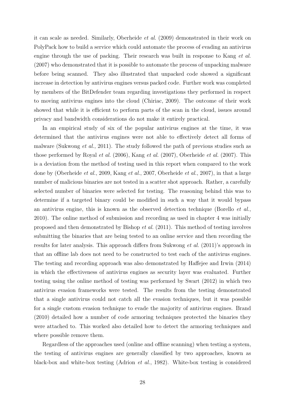it can scale as needed. Similarly, Oberheide et al. (2009) demonstrated in their work on PolyPack how to build a service which could automate the process of evading an antivirus engine through the use of packing. Their research was built in response to Kang *et al.* (2007) who demonstrated that it is possible to automate the process of unpacking malware before being scanned. They also illustrated that unpacked code showed a significant increase in detection by antivirus engines versus packed code. Further work was completed by members of the BitDefender team regarding investigations they performed in respect to moving antivirus engines into the cloud (Chiriac, 2009). The outcome of their work showed that while it is efficient to perform parts of the scan in the cloud, issues around privacy and bandwidth considerations do not make it entirely practical.

In an empirical study of six of the popular antivirus engines at the time, it was determined that the antivirus engines were not able to effectively detect all forms of malware (Sukwong *et al.*, 2011). The study followed the path of previous studies such as those performed by Royal et al. (2006), Kang et al. (2007), Oberheide et al. (2007). This is a deviation from the method of testing used in this report when compared to the work done by (Oberheide et al., 2009, Kang et al., 2007, Oberheide et al., 2007), in that a large number of malicious binaries are not tested in a scatter shot approach. Rather, a carefully selected number of binaries were selected for testing. The reasoning behind this was to determine if a targeted binary could be modified in such a way that it would bypass an antivirus engine, this is known as the observed detection technique (Borello et al., 2010). The online method of submission and recording as used in chapter 4 was initially proposed and then demonstrated by Bishop et al. (2011). This method of testing involves submitting the binaries that are being tested to an online service and then recording the results for later analysis. This approach differs from Sukwong et al. (2011)'s approach in that an offline lab does not need to be constructed to test each of the antivirus engines. The testing and recording approach was also demonstrated by Haffejee and Irwin (2014) in which the effectiveness of antivirus engines as security layer was evaluated. Further testing using the online method of testing was performed by Swart (2012) in which two antivirus evasion frameworks were tested. The results from the testing demonstrated that a single antivirus could not catch all the evasion techniques, but it was possible for a single custom evasion technique to evade the majority of antivirus engines. Brand (2010) detailed how a number of code armoring techniques protected the binaries they were attached to. This worked also detailed how to detect the armoring techniques and where possible remove them.

Regardless of the approaches used (online and offline scanning) when testing a system, the testing of antivirus engines are generally classified by two approaches, known as black-box and white-box testing (Adrion et al., 1982). White-box testing is considered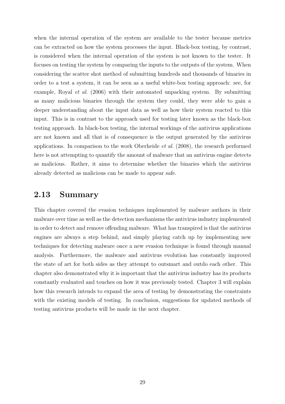when the internal operation of the system are available to the tester because metrics can be extracted on how the system processes the input. Black-box testing, by contrast, is considered when the internal operation of the system is not known to the tester. It focuses on testing the system by comparing the inputs to the outputs of the system. When considering the scatter shot method of submitting hundreds and thousands of binaries in order to a test a system, it can be seen as a useful white-box testing approach: see, for example, Royal et al. (2006) with their automated unpacking system. By submitting as many malicious binaries through the system they could, they were able to gain a deeper understanding about the input data as well as how their system reacted to this input. This is in contrast to the approach used for testing later known as the black-box testing approach. In black-box testing, the internal workings of the antivirus applications are not known and all that is of consequence is the output generated by the antivirus applications. In comparison to the work Oberheide et al. (2008), the research performed here is not attempting to quantify the amount of malware that an antivirus engine detects as malicious. Rather, it aims to determine whether the binaries which the antivirus already detected as malicious can be made to appear safe.

## 2.13 Summary

This chapter covered the evasion techniques implemented by malware authors in their malware over time as well as the detection mechanisms the antivirus industry implemented in order to detect and remove offending malware. What has transpired is that the antivirus engines are always a step behind, and simply playing catch up by implementing new techniques for detecting malware once a new evasion technique is found through manual analysis. Furthermore, the malware and antivirus evolution has constantly improved the state of art for both sides as they attempt to outsmart and outdo each other. This chapter also demonstrated why it is important that the antivirus industry has its products constantly evaluated and touches on how it was previously tested. Chapter 3 will explain how this research intends to expand the area of testing by demonstrating the constraints with the existing models of testing. In conclusion, suggestions for updated methods of testing antivirus products will be made in the next chapter.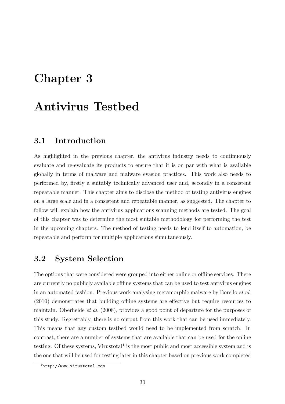# Chapter 3

# Antivirus Testbed

## 3.1 Introduction

As highlighted in the previous chapter, the antivirus industry needs to continuously evaluate and re-evaluate its products to ensure that it is on par with what is available globally in terms of malware and malware evasion practices. This work also needs to performed by, firstly a suitably technically advanced user and, secondly in a consistent repeatable manner. This chapter aims to disclose the method of testing antivirus engines on a large scale and in a consistent and repeatable manner, as suggested. The chapter to follow will explain how the antivirus applications scanning methods are tested. The goal of this chapter was to determine the most suitable methodology for performing the test in the upcoming chapters. The method of testing needs to lend itself to automation, be repeatable and perform for multiple applications simultaneously.

## 3.2 System Selection

The options that were considered were grouped into either online or offline services. There are currently no publicly available offline systems that can be used to test antivirus engines in an automated fashion. Previous work analysing metamorphic malware by Borello et al. (2010) demonstrates that building offline systems are effective but require resources to maintain. Oberheide et al. (2008), provides a good point of departure for the purposes of this study. Regrettably, there is no output from this work that can be used immediately. This means that any custom testbed would need to be implemented from scratch. In contrast, there are a number of systems that are available that can be used for the online testing. Of these systems, Virustotal<sup>1</sup> is the most public and most accessible system and is the one that will be used for testing later in this chapter based on previous work completed

<sup>1</sup>http://www.virustotal.com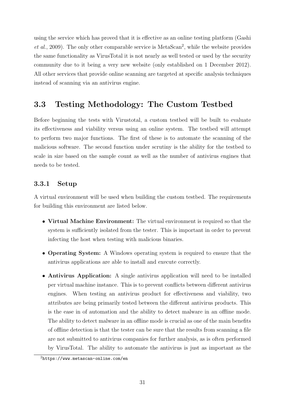using the service which has proved that it is effective as an online testing platform (Gashi  $et al., 2009$ . The only other comparable service is MetaScan<sup>2</sup>, while the website provides the same functionality as VirusTotal it is not nearly as well tested or used by the security community due to it being a very new website (only established on 1 December 2012). All other services that provide online scanning are targeted at specific analysis techniques instead of scanning via an antivirus engine.

# 3.3 Testing Methodology: The Custom Testbed

Before beginning the tests with Virustotal, a custom testbed will be built to evaluate its effectiveness and viability versus using an online system. The testbed will attempt to perform two major functions. The first of these is to automate the scanning of the malicious software. The second function under scrutiny is the ability for the testbed to scale in size based on the sample count as well as the number of antivirus engines that needs to be tested.

## 3.3.1 Setup

A virtual environment will be used when building the custom testbed. The requirements for building this environment are listed below.

- Virtual Machine Environment: The virtual environment is required so that the system is sufficiently isolated from the tester. This is important in order to prevent infecting the host when testing with malicious binaries.
- Operating System: A Windows operating system is required to ensure that the antivirus applications are able to install and execute correctly.
- Antivirus Application: A single antivirus application will need to be installed per virtual machine instance. This is to prevent conflicts between different antivirus engines. When testing an antivirus product for effectiveness and viability, two attributes are being primarily tested between the different antivirus products. This is the ease in of automation and the ability to detect malware in an offline mode. The ability to detect malware in an offline mode is crucial as one of the main benefits of offline detection is that the tester can be sure that the results from scanning a file are not submitted to antivirus companies for further analysis, as is often performed by VirusTotal. The ability to automate the antivirus is just as important as the

<sup>2</sup>https://www.metascan-online.com/en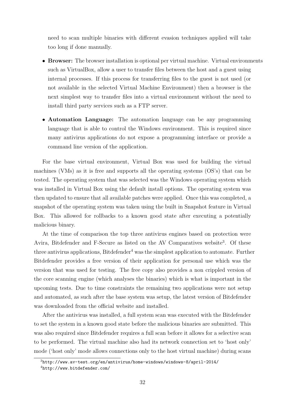need to scan multiple binaries with different evasion techniques applied will take too long if done manually.

- Browser: The browser installation is optional per virtual machine. Virtual environments such as VirtualBox, allow a user to transfer files between the host and a guest using internal processes. If this process for transferring files to the guest is not used (or not available in the selected Virtual Machine Environment) then a browser is the next simplest way to transfer files into a virtual environment without the need to install third party services such as a FTP server.
- Automation Language: The automation language can be any programming language that is able to control the Windows environment. This is required since many antivirus applications do not expose a programming interface or provide a command line version of the application.

For the base virtual environment, Virtual Box was used for building the virtual machines (VMs) as it is free and supports all the operating systems (OS's) that can be tested. The operating system that was selected was the Windows operating system which was installed in Virtual Box using the default install options. The operating system was then updated to ensure that all available patches were applied. Once this was completed, a snapshot of the operating system was taken using the built in Snapshot feature in Virtual Box. This allowed for rollbacks to a known good state after executing a potentially malicious binary.

At the time of comparison the top three antivirus engines based on protection were Avira, Bitdefender and F-Secure as listed on the AV Comparatives website<sup>3</sup>. Of these three antivirus applications, Bitdefender<sup>4</sup> was the simplest application to automate. Further Bitdefender provides a free version of their application for personal use which was the version that was used for testing. The free copy also provides a non crippled version of the core scanning engine (which analyses the binaries) which is what is important in the upcoming tests. Due to time constraints the remaining two applications were not setup and automated, as such after the base system was setup, the latest version of Bitdefender was downloaded from the official website and installed.

After the antivirus was installed, a full system scan was executed with the Bitdefender to set the system in a known good state before the malicious binaries are submitted. This was also required since Bitdefender requires a full scan before it allows for a selective scan to be performed. The virtual machine also had its network connection set to 'host only' mode ('host only' mode allows connections only to the host virtual machine) during scans

<sup>3</sup>http://www.av-test.org/en/antivirus/home-windows/windows-8/april-2014/

<sup>4</sup>http://www.bitdefender.com/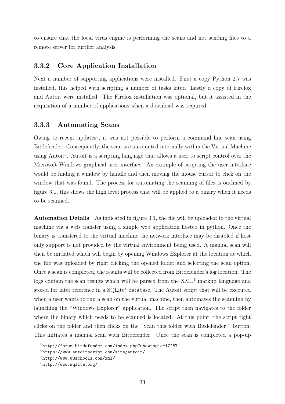to ensure that the local virus engine is performing the scans and not sending files to a remote server for further analysis.

### 3.3.2 Core Application Installation

Next a number of supporting applications were installed. First a copy Python 2.7 was installed, this helped with scripting a number of tasks later. Lastly a copy of Firefox and Autoit were installed. The Firefox installation was optional, but it assisted in the acquisition of a number of applications when a download was required.

### 3.3.3 Automating Scans

Owing to recent updates<sup>5</sup>, it was not possible to perform a command line scan using Bitdefender. Consequently, the scan are automated internally within the Virtual Machine using Autoit<sup>6</sup>. Autoit is a scripting language that allows a user to script control over the Microsoft Windows graphical user interface. An example of scripting the user interface would be finding a window by handle and then moving the mouse cursor to click on the window that was found. The process for automating the scanning of files is outlined by figure 3.1, this shows the high level process that will be applied to a binary when it needs to be scanned.

Automation Details As indicated in figure 3.1, the file will be uploaded to the virtual machine via a web transfer using a simple web application hosted in python. Once the binary is transfered to the virtual machine the network interface may be disabled if host only support is not provided by the virtual environment being used. A manual scan will then be initiated which will begin by opening Windows Explorer at the location at which the file was uploaded by right clicking the opened folder and selecting the scan option. Once a scan is completed, the results will be collected from Bitdefender's log location. The logs contain the scan results which will be parsed from the  $XML<sup>7</sup>$  markup language and stored for later reference in a SQLite<sup>8</sup> database. The Autoit script that will be executed when a user wants to run a scan on the virtual machine, then automates the scanning by launching the "Windows Explorer" application. The script then navigates to the folder where the binary which needs to be scanned is located. At this point, the script right clicks on the folder and then clicks on the "Scan this folder with Bitdefender " button. This initiates a manual scan with Bitdefender. Once the scan is completed a pop-up

<sup>5</sup>http://forum.bitdefender.com/index.php?showtopic=17457

<sup>6</sup>https://www.autoitscript.com/site/autoit/

<sup>7</sup>http://www.w3schools.com/xml/

<sup>8</sup>http://www.sqlite.org/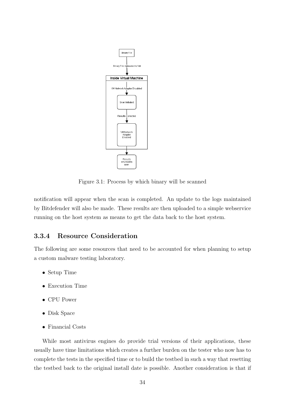

Figure 3.1: Process by which binary will be scanned

notification will appear when the scan is completed. An update to the logs maintained by Bitdefender will also be made. These results are then uploaded to a simple webservice running on the host system as means to get the data back to the host system.

## 3.3.4 Resource Consideration

The following are some resources that need to be accounted for when planning to setup a custom malware testing laboratory.

- Setup Time
- Execution Time
- CPU Power
- Disk Space
- Financial Costs

While most antivirus engines do provide trial versions of their applications, these usually have time limitations which creates a further burden on the tester who now has to complete the tests in the specified time or to build the testbed in such a way that resetting the testbed back to the original install date is possible. Another consideration is that if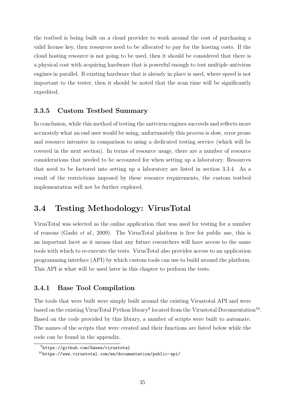the testbed is being built on a cloud provider to work around the cost of purchasing a valid license key, then resources need to be allocated to pay for the hosting costs. If the cloud hosting resource is not going to be used, then it should be considered that there is a physical cost with acquiring hardware that is powerful enough to test multiple antivirus engines in parallel. If existing hardware that is already in place is used, where speed is not important to the tester, then it should be noted that the scan time will be significantly expedited.

### 3.3.5 Custom Testbed Summary

In conclusion, while this method of testing the antivirus engines succeeds and reflects more accurately what an end user would be using, unfortunately this process is slow, error prone and resource intensive in comparison to using a dedicated testing service (which will be covered in the next section). In terms of resource usage, there are a number of resource considerations that needed to be accounted for when setting up a laboratory. Resources that need to be factored into setting up a laboratory are listed in section 3.3.4. As a result of the restrictions imposed by these resource requirements, the custom testbed implementation will not be further explored.

# 3.4 Testing Methodology: VirusTotal

VirusTotal was selected as the online application that was used for testing for a number of reasons (Gashi et al., 2009). The VirusTotal platform is free for public use, this is an important facet as it means that any future researchers will have access to the same tools with which to re-execute the tests. VirusTotal also provides access to an application programming interface (API) by which custom tools can use to build around the platform. This API is what will be used later in this chapter to perform the tests.

## 3.4.1 Base Tool Compilation

The tools that were built were simply built around the existing Virustotal API and were based on the existing VirusTotal Python library<sup>9</sup> located from the Virustotal Documentation<sup>10</sup>. Based on the code provided by this library, a number of scripts were built to automate. The names of the scripts that were created and their functions are listed below while the code can be found in the appendix.

<sup>9</sup>https://github.com/Gawen/virustotal

 $10$ https://www.virustotal.com/en/documentation/public-api/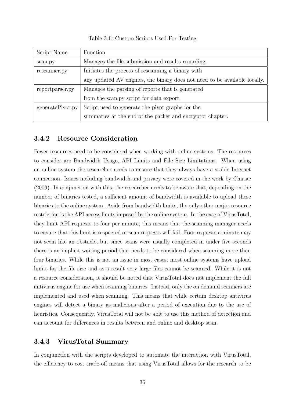Table 3.1: Custom Scripts Used For Testing

| Script Name      | <b>Function</b>                                                           |  |
|------------------|---------------------------------------------------------------------------|--|
| scan.py          | Manages the file submission and results recording.                        |  |
| rescanner.py     | Initiates the process of rescanning a binary with                         |  |
|                  | any updated AV engines, the binary does not need to be available locally. |  |
| reportparser.py  | Manages the parsing of reports that is generated                          |  |
|                  | from the scan.py script for data export.                                  |  |
| generatePivot.py | Script used to generate the pivot graphs for the                          |  |
|                  | summaries at the end of the packer and encryptor chapter.                 |  |

#### 3.4.2 Resource Consideration

Fewer resources need to be considered when working with online systems. The resources to consider are Bandwidth Usage, API Limits and File Size Limitations. When using an online system the researcher needs to ensure that they always have a stable Internet connection. Issues including bandwidth and privacy were covered in the work by Chiriac (2009). In conjunction with this, the researcher needs to be aware that, depending on the number of binaries tested, a sufficient amount of bandwidth is available to upload these binaries to the online system. Aside from bandwidth limits, the only other major resource restriction is the API access limits imposed by the online system. In the case of VirusTotal, they limit API requests to four per minute, this means that the scanning manager needs to ensure that this limit is respected or scan requests will fail. Four requests a minute may not seem like an obstacle, but since scans were usually completed in under five seconds there is an implicit waiting period that needs to be considered when scanning more than four binaries. While this is not an issue in most cases, most online systems have upload limits for the file size and as a result very large files cannot be scanned. While it is not a resource consideration, it should be noted that VirusTotal does not implement the full antivirus engine for use when scanning binaries. Instead, only the on demand scanners are implemented and used when scanning. This means that while certain desktop antivirus engines will detect a binary as malicious after a period of execution due to the use of heuristics. Consequently, VirusTotal will not be able to use this method of detection and can account for differences in results between and online and desktop scan.

#### 3.4.3 VirusTotal Summary

In conjunction with the scripts developed to automate the interaction with VirusTotal, the efficiency to cost trade-off means that using VirusTotal allows for the research to be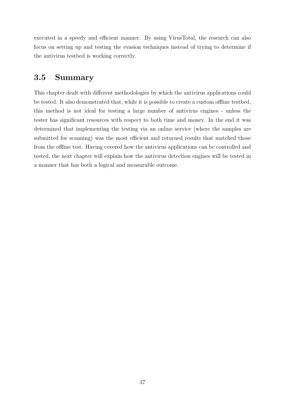executed in a speedy and efficient manner. By using VirusTotal, the research can also focus on setting up and testing the evasion techniques instead of trying to determine if the antivirus testbed is working correctly.

# 3.5 Summary

This chapter dealt with different methodologies by which the antivirus applications could be tested. It also demonstrated that, while it is possible to create a custom offline testbed, this method is not ideal for testing a large number of antivirus engines - unless the tester has significant resources with respect to both time and money. In the end it was determined that implementing the testing via an online service (where the samples are submitted for scanning) was the most efficient and returned results that matched those from the offline test. Having covered how the antivirus applications can be controlled and tested, the next chapter will explain how the antivirus detection engines will be tested in a manner that has both a logical and measurable outcome.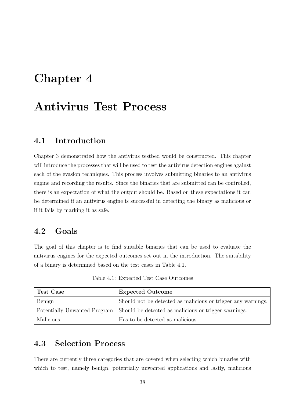# Chapter 4

# Antivirus Test Process

## 4.1 Introduction

Chapter 3 demonstrated how the antivirus testbed would be constructed. This chapter will introduce the processes that will be used to test the antivirus detection engines against each of the evasion techniques. This process involves submitting binaries to an antivirus engine and recording the results. Since the binaries that are submitted can be controlled, there is an expectation of what the output should be. Based on these expectations it can be determined if an antivirus engine is successful in detecting the binary as malicious or if it fails by marking it as safe.

## 4.2 Goals

The goal of this chapter is to find suitable binaries that can be used to evaluate the antivirus engines for the expected outcomes set out in the introduction. The suitability of a binary is determined based on the test cases in Table 4.1.

| Test Case                    | <b>Expected Outcome</b>                                      |
|------------------------------|--------------------------------------------------------------|
| Benign                       | Should not be detected as malicious or trigger any warnings. |
| Potentially Unwanted Program | Should be detected as malicious or trigger warnings.         |
| Malicious                    | Has to be detected as malicious.                             |

Table 4.1: Expected Test Case Outcomes

# 4.3 Selection Process

There are currently three categories that are covered when selecting which binaries with which to test, namely benign, potentially unwanted applications and lastly, malicious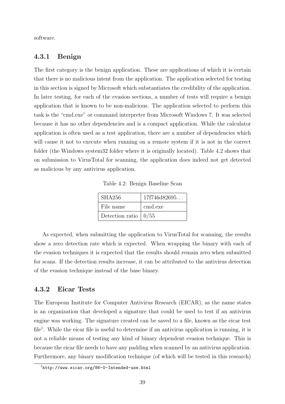software.

#### 4.3.1 Benign

The first category is the benign application. These are applications of which it is certain that there is no malicious intent from the application. The application selected for testing in this section is signed by Microsoft which substantiates the credibility of the application. In later testing, for each of the evasion sections, a number of tests will require a benign application that is known to be non-malicious. The application selected to perform this task is the "cmd.exe" or command interpreter from Microsoft Windows 7. It was selected because it has no other dependencies and is a compact application. While the calculator application is often used as a test application, there are a number of dependencies which will cause it not to execute when running on a remote system if it is not in the correct folder (the Windows system32 folder where it is originally located). Table 4.2 shows that on submission to VirusTotal for scanning, the application does indeed not get detected as malicious by any antivirus application.

Table 4.2: Benign Baseline Scan

| <b>SHA256</b>           | 17f746d82695 |
|-------------------------|--------------|
| File name               | cmd.exe      |
| Detection ratio $ 0/55$ |              |

As expected, when submitting the application to VirusTotal for scanning, the results show a zero detection rate which is expected. When wrapping the binary with each of the evasion techniques it is expected that the results should remain zero when submitted for scans. If the detection results increase, it can be attributed to the antivirus detection of the evasion technique instead of the base binary.

#### 4.3.2 Eicar Tests

The European Institute for Computer Antivirus Research (EICAR), as the name states is an organization that developed a signature that could be used to test if an antivirus engine was working. The signature created can be saved to a file, known as the eicar test file<sup>1</sup>. While the eicar file is useful to determine if an antivirus application is running, it is not a reliable means of testing any kind of binary dependent evasion technique. This is because the eicar file needs to have any padding when scanned by an antivirus application. Furthermore, any binary modification technique (of which will be tested in this research)

 $1$ http://www.eicar.org/86-0-Intended-use.html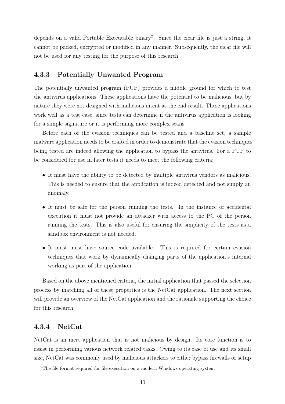depends on a valid Portable Executable binary<sup>2</sup>. Since the eicar file is just a string, it cannot be packed, encrypted or modified in any manner. Subsequently, the eicar file will not be used for any testing for the purpose of this research.

#### 4.3.3 Potentially Unwanted Program

The potentially unwanted program (PUP) provides a middle ground for which to test the antivirus applications. These applications have the potential to be malicious, but by nature they were not designed with malicious intent as the end result. These applications work well as a test case, since tests can determine if the antivirus application is looking for a simple signature or it is performing more complex scans.

Before each of the evasion techniques can be tested and a baseline set, a sample malware application needs to be crafted in order to demonstrate that the evasion techniques being tested are indeed allowing the application to bypass the antivirus. For a PUP to be considered for use in later tests it needs to meet the following criteria:

- It must have the ability to be detected by multiple antivirus vendors as malicious. This is needed to ensure that the application is indeed detected and not simply an anomaly.
- It must be safe for the person running the tests. In the instance of accidental execution it must not provide an attacker with access to the PC of the person running the tests. This is also useful for ensuring the simplicity of the tests as a sandbox environment is not needed.
- It must must have source code available. This is required for certain evasion techniques that work by dynamically changing parts of the application's internal working as part of the application.

Based on the above mentioned criteria, the initial application that passed the selection process by matching all of these properties is the NetCat application. The next section will provide an overview of the NetCat application and the rationale supporting the choice for this research.

#### 4.3.4 NetCat

NetCat is an inert application that is not malicious by design. Its core function is to assist in performing various network related tasks. Owing to its ease of use and its small size, NetCat was commonly used by malicious attackers to either bypass firewalls or setup

<sup>&</sup>lt;sup>2</sup>The file format required for file execution on a modern Windows operating system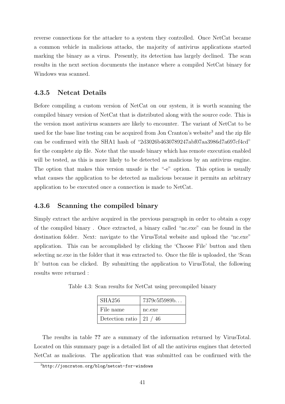reverse connections for the attacker to a system they controlled. Once NetCat became a common vehicle in malicious attacks, the majority of antivirus applications started marking the binary as a virus. Presently, its detection has largely declined. The scan results in the next section documents the instance where a compiled NetCat binary for Windows was scanned.

#### 4.3.5 Netcat Details

Before compiling a custom version of NetCat on our system, it is worth scanning the compiled binary version of NetCat that is distributed along with the source code. This is the version most antivirus scanners are likely to encounter. The variant of NetCat to be used for the base line testing can be acquired from Jon Cranton's website<sup>3</sup> and the zip file can be confirmed with the SHA1 hash of "2d3026b4630789247abf07aa3986d7a697cf4cd" for the complete zip file. Note that the unsafe binary which has remote execution enabled will be tested, as this is more likely to be detected as malicious by an antivirus engine. The option that makes this version unsafe is the "-e" option. This option is usually what causes the application to be detected as malicious because it permits an arbitrary application to be executed once a connection is made to NetCat.

#### 4.3.6 Scanning the compiled binary

Simply extract the archive acquired in the previous paragraph in order to obtain a copy of the compiled binary . Once extracted, a binary called "nc.exe" can be found in the destination folder. Next: navigate to the VirusTotal website and upload the "nc.exe" application. This can be accomplished by clicking the 'Choose File' button and then selecting nc.exe in the folder that it was extracted to. Once the file is uploaded, the 'Scan It' button can be clicked. By submitting the application to VirusTotal, the following results were returned :

Table 4.3: Scan results for NetCat using precompiled binary

| SHA256                          | 7379c5f5989b |
|---------------------------------|--------------|
| File name                       | nc.exe       |
| Detection ratio $\vert$ 21 / 46 |              |

The results in table ?? are a summary of the information returned by VirusTotal. Located on this summary page is a detailed list of all the antivirus engines that detected NetCat as malicious. The application that was submitted can be confirmed with the

<sup>3</sup>http://joncraton.org/blog/netcat-for-windows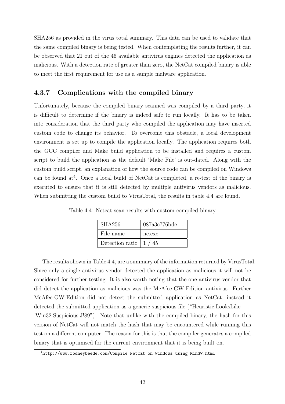SHA256 as provided in the virus total summary. This data can be used to validate that the same compiled binary is being tested. When contemplating the results further, it can be observed that 21 out of the 46 available antivirus engines detected the application as malicious. With a detection rate of greater than zero, the NetCat compiled binary is able to meet the first requirement for use as a sample malware application.

## 4.3.7 Complications with the compiled binary

Unfortunately, because the compiled binary scanned was compiled by a third party, it is difficult to determine if the binary is indeed safe to run locally. It has to be taken into consideration that the third party who compiled the application may have inserted custom code to change its behavior. To overcome this obstacle, a local development environment is set up to compile the application locally. The application requires both the GCC compiler and Make build application to be installed and requires a custom script to build the application as the default 'Make File' is out-dated. Along with the custom build script, an explanation of how the source code can be compiled on Windows can be found  $at^4$ . Once a local build of NetCat is completed, a re-test of the binary is executed to ensure that it is still detected by multiple antivirus vendors as malicious. When submitting the custom build to VirusTotal, the results in table 4.4 are found.

| <b>SHA256</b>                        | 087a3c776bde |
|--------------------------------------|--------------|
| File name                            | nc.exe       |
| Detection ratio $\vert 1 \rangle$ 45 |              |

Table 4.4: Netcat scan results with custom compiled binary

The results shown in Table 4.4, are a summary of the information returned by VirusTotal. Since only a single antivirus vendor detected the application as malicious it will not be considered for further testing. It is also worth noting that the one antivirus vendor that did detect the application as malicious was the McAfee-GW-Edition antivirus. Further McAfee-GW-Edition did not detect the submitted application as NetCat, instead it detected the submitted application as a generic suspicious file ("Heuristic.LooksLike- .Win32.Suspicious.J!89"). Note that unlike with the compiled binary, the hash for this version of NetCat will not match the hash that may be encountered while running this test on a different computer. The reason for this is that the compiler generates a compiled binary that is optimised for the current environment that it is being built on.

<sup>4</sup>http://www.rodneybeede.com/Compile\_Netcat\_on\_Windows\_using\_MinGW.html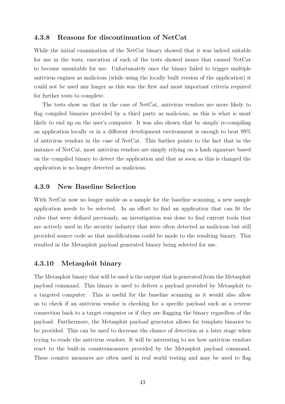#### 4.3.8 Reasons for discontinuation of NetCat

While the initial examination of the NetCat binary showed that it was indeed suitable for use in the tests, execution of each of the tests showed issues that caused NetCat to become unsuitable for use. Unfortunately once the binary failed to trigger multiple antivirus engines as malicious (while using the locally built version of the application) it could not be used any longer as this was the first and most important criteria required for further tests to complete.

The tests show us that in the case of NetCat, antivirus vendors are more likely to flag compiled binaries provided by a third party as malicious, as this is what is most likely to end up on the user's computer. It was also shown that by simply re-compiling an application locally or in a different development environment is enough to beat 99% of antivirus vendors in the case of NetCat. This further points to the fact that in the instance of NetCat, most antivirus vendors are simply relying on a hash signature based on the compiled binary to detect the application and that as soon as this is changed the application is no longer detected as malicious.

#### 4.3.9 New Baseline Selection

With NetCat now no longer usable as a sample for the baseline scanning, a new sample application needs to be selected. In an effort to find an application that can fit the rules that were defined previously, an investigation was done to find current tools that are actively used in the security industry that were often detected as malicious but still provided source code so that modifications could be made to the resulting binary. This resulted in the Metasploit payload generated binary being selected for use.

#### 4.3.10 Metasploit binary

The Metasploit binary that will be used is the output that is generated from the Metasploit payload command. This binary is used to deliver a payload provided by Metasploit to a targeted computer. This is useful for the baseline scanning as it would also allow us to check if an antivirus vendor is checking for a specific payload such as a reverse connection back to a target computer or if they are flagging the binary regardless of the payload. Furthermore, the Metasploit payload generator allows for template binaries to be provided. This can be used to decrease the chance of detection at a later stage when trying to evade the antivirus vendors. It will be interesting to see how antivirus vendors react to the built-in countermeasures provided by the Metasploit payload command. These counter measures are often used in real world testing and may be used to flag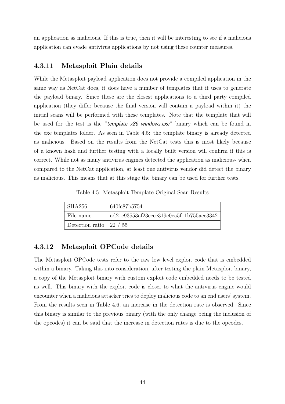an application as malicious. If this is true, then it will be interesting to see if a malicious application can evade antivirus applications by not using these counter measures.

#### 4.3.11 Metasploit Plain details

While the Metasploit payload application does not provide a compiled application in the same way as NetCat does, it does have a number of templates that it uses to generate the payload binary. Since these are the closest applications to a third party compiled application (they differ because the final version will contain a payload within it) the initial scans will be performed with these templates. Note that the template that will be used for the test is the "template x86 windows.exe" binary which can be found in the exe templates folder. As seen in Table 4.5: the template binary is already detected as malicious. Based on the results from the NetCat tests this is most likely because of a known hash and further testing with a locally built version will confirm if this is correct. While not as many antivirus engines detected the application as malicious- when compared to the NetCat application, at least one antivirus vendor did detect the binary as malicious. This means that at this stage the binary can be used for further tests.

Table 4.5: Metasploit Template Original Scan Results

| SHA256                          | 640fc87b5754                             |
|---------------------------------|------------------------------------------|
| File name                       | ad21c93553af23ecec319c0ea5f11b755acc3342 |
| Detection ratio $\vert$ 22 / 55 |                                          |

#### 4.3.12 Metasploit OPCode details

The Metasploit OPCode tests refer to the raw low level exploit code that is embedded within a binary. Taking this into consideration, after testing the plain Metasploit binary, a copy of the Metasploit binary with custom exploit code embedded needs to be tested as well. This binary with the exploit code is closer to what the antivirus engine would encounter when a malicious attacker tries to deploy malicious code to an end users' system. From the results seen in Table 4.6, an increase in the detection rate is observed. Since this binary is similar to the previous binary (with the only change being the inclusion of the opcodes) it can be said that the increase in detection rates is due to the opcodes.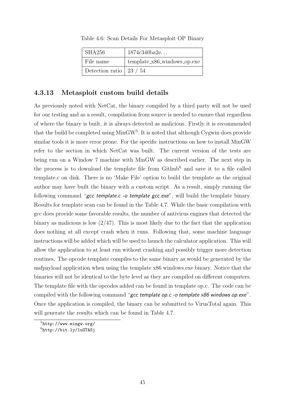| SHA256                          | 1874c340ba2e                  |
|---------------------------------|-------------------------------|
| File name                       | $template_x86_windows_op.exe$ |
| Detection ratio $\vert$ 23 / 54 |                               |

Table 4.6: Scan Details For Metasploit OP Binary

## 4.3.13 Metasploit custom build details

As previously noted with NetCat, the binary compiled by a third party will not be used for our testing and as a result, compilation from source is needed to ensure that regardless of where the binary is built, it is always detected as malicious. Firstly it is recommended that the build be completed using MinGW<sup>5</sup>. It is noted that although Cygwin does provide similar tools it is more error prone. For the specific instructions on how to install MinGW refer to the section in which NetCat was built. The current version of the tests are being run on a Window 7 machine with MinGW as described earlier. The next step in the process is to download the template file from  $Github<sup>6</sup>$  and save it to a file called template.c on disk. There is no 'Make File' option to build the template as the original author may have built the binary with a custom script. As a result, simply running the following command "gcc template.c -o template gcc.exe", will build the template binary. Results for template scan can be found in the Table 4.7. While the basic compilation with gcc does provide some favorable results, the number of antivirus engines that detected the binary as malicious is low  $\left(\frac{2}{47}\right)$ . This is most likely due to the fact that the application does nothing at all except crash when it runs. Following that, some machine language instructions will be added which will be used to launch the calculator application. This will allow the application to at least run without crashing and possibly trigger more detection routines. The opcode template compiles to the same binary as would be generated by the msfpayload application when using the template x86 windows.exe binary. Notice that the binaries will not be identical to the byte level as they are compiled on different computers. The template file with the opcodes added can be found in template op.c. The code can be compiled with the following command "gcc template op.c -o template x86 windows op.exe". Once the application is compiled, the binary can be submitted to VirusTotal again. This will generate the results which can be found in Table 4.7.

<sup>5</sup>http://www.mingw.org/

 $<sup>6</sup>$ http://bit.ly/1uGTASj</sup>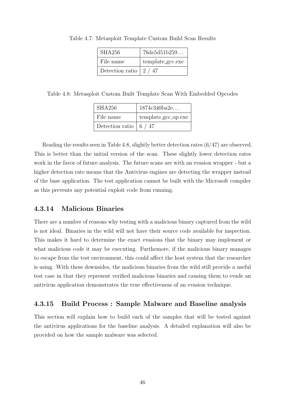| <b>SHA256</b>   | 76de5d51b259     |
|-----------------|------------------|
| File name       | template_gcc.exe |
| Detection ratio | 2 / 47           |

Table 4.7: Metasploit Template Custom Build Scan Results

Table 4.8: Metasploit Custom Built Template Scan With Embedded Opcodes

| SHA256                               | 1874c340ba2e        |
|--------------------------------------|---------------------|
| File name                            | template_gcc_op.exe |
| Detection ratio $\vert 6 / 47 \vert$ |                     |

Reading the results seen in Table 4.8, slightly better detection rates (6/47) are observed. This is better than the initial version of the scan. These slightly lower detection rates work in the favor of future analysis. The future scans are with an evasion wrapper - but a higher detection rate means that the Antivirus engines are detecting the wrapper instead of the base application. The test application cannot be built with the Microsoft compiler as this prevents any potential exploit code from running.

## 4.3.14 Malicious Binaries

There are a number of reasons why testing with a malicious binary captured from the wild is not ideal. Binaries in the wild will not have their source code available for inspection. This makes it hard to determine the exact evasions that the binary may implement or what malicious code it may be executing. Furthemore, if the malicious binary manages to escape from the test environment, this could affect the host system that the researcher is using. With these downsides, the malicious binaries from the wild still provide a useful test case in that they represent verified malicious binaries and causing them to evade an antivirus application demonstrates the true effectiveness of an evasion technique.

## 4.3.15 Build Process : Sample Malware and Baseline analysis

This section will explain how to build each of the samples that will be tested against the antivirus applications for the baseline analysis. A detailed explanation will also be provided on how the sample malware was selected.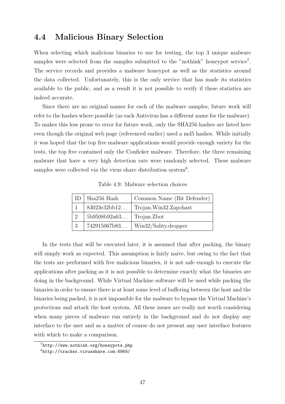## 4.4 Malicious Binary Selection

When selecting which malicious binaries to use for testing, the top 3 unique malware samples were selected from the samples submitted to the "nothink" honeypot service<sup>7</sup>. The service records and provides a malware honeypot as well as the statistics around the data collected. Unfortunately, this is the only service that has made its statistics available to the public, and as a result it is not possible to verify if these statistics are indeed accurate.

Since there are no original names for each of the malware samples, future work will refer to the hashes where possible (as each Antivirus has a different name for the malware). To makes this less prone to error for future work, only the SHA256 hashes are listed here even though the original web page (referenced earlier) used a md5 hashes. While initially it was hoped that the top five malware applications would provide enough variety for the tests, the top five contained only the Conficker malware. Therefore, the three remaining malware that have a very high detection rate were randomly selected. These malware samples were collected via the virus share distribution system<sup>8</sup>.

|   | $\vert$ Sha256 Hash | Common Name (Bit Defender) |
|---|---------------------|----------------------------|
|   | 83023e32bb12        | Trojan.Win32.Zapchast      |
|   | 5b9508b92a63        | Trojan.Zbot                |
| 3 | 742915067b83        | Win32/Sality.dropper       |

Table 4.9: Malware selection choices

In the tests that will be executed later, it is assumed that after packing, the binary will simply work as expected. This assumption is fairly naive, but owing to the fact that the tests are performed with live malicious binaries, it is not safe enough to execute the applications after packing as it is not possible to determine exactly what the binaries are doing in the background. While Virtual Machine software will be used while packing the binaries in order to ensure there is at least some level of buffering between the host and the binaries being packed, it is not impossible for the malware to bypass the Virtual Machine's protections and attack the host system. All these issues are really not worth considering when many pieces of malware run entirely in the background and do not display any interface to the user and as a matter of course do not present any user interface features with which to make a comparison.

<sup>7</sup>http://www.nothink.org/honeypots.php

<sup>8</sup>http://tracker.virusshare.com:6969/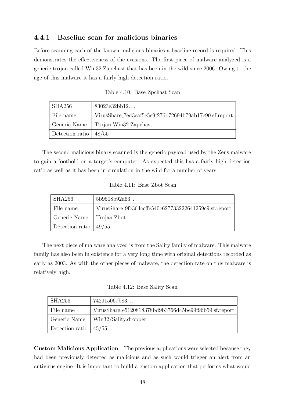## 4.4.1 Baseline scan for malicious binaries

Before scanning each of the known malicious binaries a baseline record is required. This demonstrates the effectiveness of the evasions. The first piece of malware analyzed is a generic trojan called Win32.Zapchast that has been in the wild since 2006. Owing to the age of this malware it has a fairly high detection ratio.

| Table 4.10: Base Zpchast Scan |  |  |  |
|-------------------------------|--|--|--|
|-------------------------------|--|--|--|

| SHA256          | 83023e32bb12                                          |
|-----------------|-------------------------------------------------------|
| File name       | VirusShare_7ed3caf5e5e9f276b72694b79ab17c90.sf.report |
| Generic Name    | Trojan.Win32.Zapchast                                 |
| Detection ratio | $\mid 48/55$                                          |

The second malicious binary scanned is the generic payload used by the Zeus malware to gain a foothold on a target's computer. As expected this has a fairly high detection ratio as well as it has been in circulation in the wild for a number of years.

Table 4.11: Base Zbot Scan

| SHA256                  | 5b9508b92a63                                          |
|-------------------------|-------------------------------------------------------|
| File name               | VirusShare_9fc364ccffe540c627733222641259c9.sf.report |
| Generic Name            | Trojan. Zbot                                          |
| Detection ratio $49/55$ |                                                       |

The next piece of malware analyzed is from the Sality family of malware. This malware family has also been in existence for a very long time with original detections recorded as early as 2003. As with the other pieces of malware, the detection rate on this malware is relatively high.

Table 4.12: Base Sality Scan

| SHA256                  | 742915067b83                                          |
|-------------------------|-------------------------------------------------------|
| File name               | VirusShare_e5120818378bd9b3766d45be99f96b59.sf.report |
| Generic Name            | Win32/Sality.dropper                                  |
| Detection ratio $45/55$ |                                                       |

Custom Malicious Application The previous applications were selected because they had been previously detected as malicious and as such would trigger an alert from an antivirus engine. It is important to build a custom application that performs what would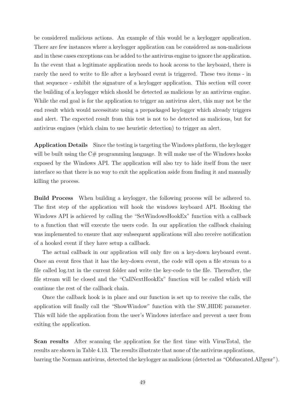be considered malicious actions. An example of this would be a keylogger application. There are few instances where a keylogger application can be considered as non-malicious and in these cases exceptions can be added to the antivirus engine to ignore the application. In the event that a legitimate application needs to hook access to the keyboard, there is rarely the need to write to file after a keyboard event is triggered. These two items - in that sequence - exhibit the signature of a keylogger application. This section will cover the building of a keylogger which should be detected as malicious by an antivirus engine. While the end goal is for the application to trigger an antivirus alert, this may not be the end result which would necessitate using a prepackaged keylogger which already triggers and alert. The expected result from this test is not to be detected as malicious, but for antivirus engines (which claim to use heuristic detection) to trigger an alert.

Application Details Since the testing is targeting the Windows platform, the keylogger will be built using the  $C#$  programming language. It will make use of the Windows hooks exposed by the Windows API. The application will also try to hide itself from the user interface so that there is no way to exit the application aside from finding it and manually killing the process.

Build Process When building a keylogger, the following process will be adhered to. The first step of the application will hook the windows keyboard API. Hooking the Windows API is achieved by calling the "SetWindowsHookEx" function with a callback to a function that will execute the users code. In our application the callback chaining was implemented to ensure that any subsequent applications will also receive notification of a hooked event if they have setup a callback.

The actual callback in our application will only fire on a key-down keyboard event. Once an event fires that it has the key-down event, the code will open a file stream to a file called log.txt in the current folder and write the key-code to the file. Thereafter, the file stream will be closed and the "CallNextHookEx" function will be called which will continue the rest of the callback chain.

Once the callback hook is in place and our function is set up to receive the calls, the application will finally call the "ShowWindow" function with the SW HIDE parameter. This will hide the application from the user's Windows interface and prevent a user from exiting the application.

Scan results After scanning the application for the first time with VirusTotal, the results are shown in Table 4.13. The results illustrate that none of the antivirus applications, barring the Norman antivirus, detected the keylogger as malicious (detected as "Obfuscated.AI!genr").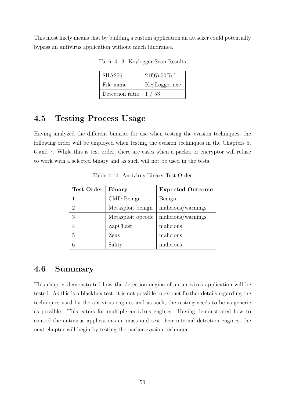This most likely means that by building a custom application an attacker could potentially bypass an antivirus application without much hindrance.

| SHA256                               | 21f97a50f7ef  |
|--------------------------------------|---------------|
| File name                            | KeyLogger.exe |
| Detection ratio $\vert 1 / 53 \vert$ |               |

Table 4.13: Keylogger Scan Results

# 4.5 Testing Process Usage

Having analyzed the different binaries for use when testing the evasion techniques, the following order will be employed when testing the evasion techniques in the Chapters 5, 6 and 7. While this is test order, there are cases when a packer or encryptor will refuse to work with a selected binary and as such will not be used in the tests.

| <b>Test Order</b> | <b>Binary</b>     | <b>Expected Outcome</b> |
|-------------------|-------------------|-------------------------|
|                   | CMD Benign        | Benign                  |
| 2                 | Metasploit benign | malicious/warnings      |
| 3                 | Metasploit opcode | malicious/warnings      |
|                   | ZapChast          | malicious               |
| 5                 | Zeus              | malicious               |
|                   | Sality            | malicious               |

Table 4.14: Antivirus Binary Test Order

## 4.6 Summary

This chapter demonstrated how the detection engine of an antivirus application will be tested. As this is a blackbox test, it is not possible to extract further details regarding the techniques used by the antivirus engines and as such, the testing needs to be as generic as possible. This caters for multiple antivirus engines. Having demonstrated how to control the antivirus applications en mass and test their internal detection engines, the next chapter will begin by testing the packer evasion technique.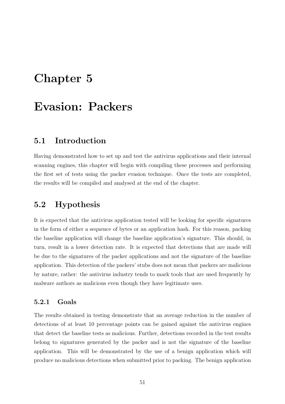# Chapter 5

# Evasion: Packers

## 5.1 Introduction

Having demonstrated how to set up and test the antivirus applications and their internal scanning engines, this chapter will begin with compiling these processes and performing the first set of tests using the packer evasion technique. Once the tests are completed, the results will be compiled and analysed at the end of the chapter.

## 5.2 Hypothesis

It is expected that the antivirus application tested will be looking for specific signatures in the form of either a sequence of bytes or an application hash. For this reason, packing the baseline application will change the baseline application's signature. This should, in turn, result in a lower detection rate. It is expected that detections that are made will be due to the signatures of the packer applications and not the signature of the baseline application. This detection of the packers' stubs does not mean that packers are malicious by nature, rather: the antivirus industry tends to mark tools that are used frequently by malware authors as malicious even though they have legitimate uses.

## 5.2.1 Goals

The results obtained in testing demonstrate that an average reduction in the number of detections of at least 10 percentage points can be gained against the antivirus engines that detect the baseline tests as malicious. Further, detections recorded in the test results belong to signatures generated by the packer and is not the signature of the baseline application. This will be demonstrated by the use of a benign application which will produce no malicious detections when submitted prior to packing. The benign application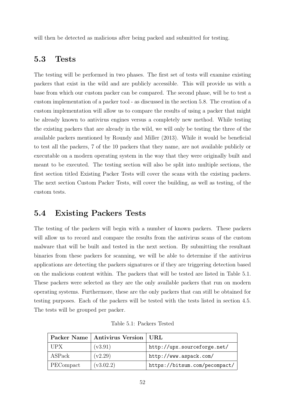will then be detected as malicious after being packed and submitted for testing.

## 5.3 Tests

The testing will be performed in two phases. The first set of tests will examine existing packers that exist in the wild and are publicly accessible. This will provide us with a base from which our custom packer can be compared. The second phase, will be to test a custom implementation of a packer tool - as discussed in the section 5.8. The creation of a custom implementation will allow us to compare the results of using a packer that might be already known to antivirus engines versus a completely new method. While testing the existing packers that are already in the wild, we will only be testing the three of the available packers mentioned by Roundy and Miller (2013). While it would be beneficial to test all the packers, 7 of the 10 packers that they name, are not available publicly or executable on a modern operating system in the way that they were originally built and meant to be executed. The testing section will also be split into multiple sections, the first section titled Existing Packer Tests will cover the scans with the existing packers. The next section Custom Packer Tests, will cover the building, as well as testing, of the custom tests.

## 5.4 Existing Packers Tests

The testing of the packers will begin with a number of known packers. These packers will allow us to record and compare the results from the antivirus scans of the custom malware that will be built and tested in the next section. By submitting the resultant binaries from these packers for scanning, we will be able to determine if the antivirus applications are detecting the packers signatures or if they are triggering detection based on the malicious content within. The packers that will be tested are listed in Table 5.1. These packers were selected as they are the only available packers that run on modern operating systems. Furthermore, these are the only packers that can still be obtained for testing purposes. Each of the packers will be tested with the tests listed in section 4.5. The tests will be grouped per packer.

|            | Packer Name   Antivirus Version   URL |                               |
|------------|---------------------------------------|-------------------------------|
| <b>UPX</b> | (v3.91)                               | http://upx.sourceforge.net/   |
| ASPack     | (v2.29)                               | http://www.aspack.com/        |
| PECompact  | (v3.02.2)                             | https://bitsum.com/pecompact/ |

Table 5.1: Packers Tested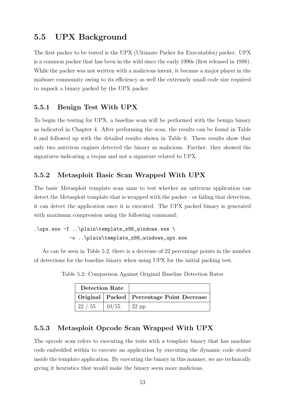# 5.5 UPX Background

The first packer to be tested is the UPX (Ultimate Packer for Executables) packer. UPX is a common packer that has been in the wild since the early 1990s (first released in 1998). While the packer was not written with a malicious intent, it became a major player in the malware community owing to its efficiency as well the extremely small code size required to unpack a binary packed by the UPX packer.

### 5.5.1 Benign Test With UPX

To begin the testing for UPX, a baseline scan will be performed with the benign binary as indicated in Chapter 4. After performing the scan, the results can be found in Table 6 and followed up with the detailed results shown in Table 6. These results show that only two antivirus engines detected the binary as malicious. Further: they showed the signatures indicating a trojan and not a signature related to UPX.

### 5.5.2 Metasploit Basic Scan Wrapped With UPX

The basic Metasploit template scan aims to test whether an antivirus application can detect the Metasploit template that is wrapped with the packer - or failing that detection, it can detect the application once it is executed. The UPX packed binary is generated with maximum compression using the following command:

```
.\upx.exe -f ..\plain\template_x86_windows.exe \
-o ..\plain\template_x86_windows_upx.exe
```
As can be seen in Table 5.2, there is a decrease of 22 percentage points in the number of detections for the baseline binary when using UPX for the initial packing test.

| <b>Detection Rate</b> |                 |                                               |
|-----------------------|-----------------|-----------------------------------------------|
|                       |                 | Original   Packed   Percentage Point Decrease |
| 22 / 55               | $\frac{10}{55}$ | $22$ pp                                       |

Table 5.2: Comparison Against Original Baseline Detection Rates

## 5.5.3 Metasploit Opcode Scan Wrapped With UPX

The opcode scan refers to executing the tests with a template binary that has machine code embedded within to execute an application by executing the dynamic code stored inside the template application. By executing the binary in this manner, we are technically giving it heuristics that would make the binary seem more malicious.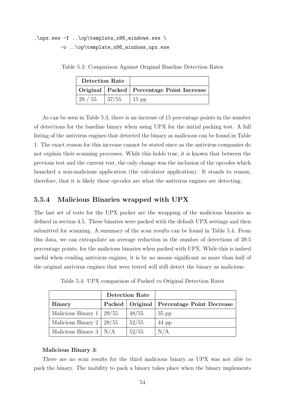## .\upx.exe -f ..\op\template\_x86\_windows.exe \ -o ..\op\template\_x86\_windows\_upx.exe

Table 5.3: Comparison Against Original Baseline Detection Rates

| <b>Detection Rate</b> |              |                                               |
|-----------------------|--------------|-----------------------------------------------|
|                       |              | Original   Packed   Percentage Point Increase |
| 29 / 55               | $\mid 37/55$ | $15$ pp                                       |

As can be seen in Table 5.3, there is an increase of 15 percentage points in the number of detections for the baseline binary when using UPX for the initial packing test. A full listing of the antivirus engines that detected the binary as malicious can be found in Table 1. The exact reason for this increase cannot be stated since as the antivirus companies do not explain their scanning processes. While this holds true, it is known that between the previous test and the current test, the only change was the inclusion of the opcodes which launched a non-malicious application (the calculator application). It stands to reason, therefore, that it is likely these opcodes are what the antivirus engines are detecting.

#### 5.5.4 Malicious Binaries wrapped with UPX

The last set of tests for the UPX packer are the wrapping of the malicious binaries as defined in section 4.5. These binaries were packed with the default UPX settings and then submitted for scanning. A summary of the scan results can be found in Table 5.4. From this data, we can extrapolate an average reduction in the number of detections of 39.5 percentage points, for the malicious binaries when packed with UPX. While this is indeed useful when evading antivirus engines, it is by no means significant as more than half of the original antivirus engines that were tested will still detect the binary as malicious.

|                                 | <b>Detection Rate</b> |       |                                               |
|---------------------------------|-----------------------|-------|-----------------------------------------------|
| <b>Binary</b>                   |                       |       | Packed   Original   Percentage Point Decrease |
| Malicious Binary 1              | 29/55                 | 48/55 | $35$ pp                                       |
| Malicious Binary $2 \mid 28/55$ |                       | 52/55 | $44$ pp                                       |
| Malicious Binary $3   N/A$      |                       | 52/55 | N/A                                           |

Table 5.4: UPX comparison of Packed vs Original Detection Rates

#### Malicious Binary 3:

There are no scan results for the third malicious binary as UPX was not able to pack the binary. The inability to pack a binary takes place when the binary implements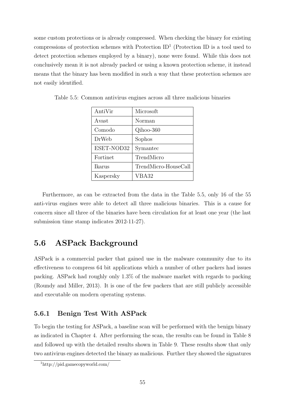some custom protections or is already compressed. When checking the binary for existing compressions of protection schemes with Protection  $ID<sup>1</sup>$  (Protection ID is a tool used to detect protection schemes employed by a binary), none were found. While this does not conclusively mean it is not already packed or using a known protection scheme, it instead means that the binary has been modified in such a way that these protection schemes are not easily identified.

| AntiVir    | Microsoft            |
|------------|----------------------|
| Avast      | Norman               |
| Comodo     | Qihoo-360            |
| DrWeb      | Sophos               |
| ESET-NOD32 | Symantec             |
| Fortinet   | TrendMicro           |
| Ikarus     | TrendMicro-HouseCall |
| Kaspersky  | VBA32                |

Table 5.5: Common antivirus engines across all three malicious binaries

Furthermore, as can be extracted from the data in the Table 5.5, only 16 of the 55 anti-virus engines were able to detect all three malicious binaries. This is a cause for concern since all three of the binaries have been circulation for at least one year (the last submission time stamp indicates 2012-11-27).

## 5.6 ASPack Background

ASPack is a commercial packer that gained use in the malware community due to its effectiveness to compress 64 bit applications which a number of other packers had issues packing. ASPack had roughly only 1.3% of the malware market with regards to packing (Roundy and Miller, 2013). It is one of the few packers that are still publicly accessible and executable on modern operating systems.

## 5.6.1 Benign Test With ASPack

To begin the testing for ASPack, a baseline scan will be performed with the benign binary as indicated in Chapter 4. After performing the scan, the results can be found in Table 8 and followed up with the detailed results shown in Table 9. These results show that only two antivirus engines detected the binary as malicious. Further they showed the signatures

<sup>1</sup>http://pid.gamecopyworld.com/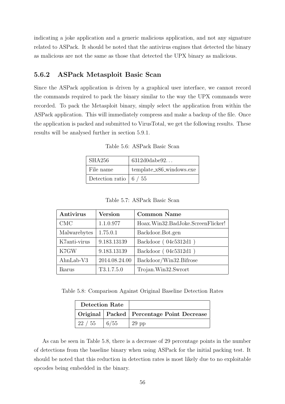indicating a joke application and a generic malicious application, and not any signature related to ASPack. It should be noted that the antivirus engines that detected the binary as malicious are not the same as those that detected the UPX binary as malicious.

#### 5.6.2 ASPack Metasploit Basic Scan

Since the ASPack application is driven by a graphical user interface, we cannot record the commands required to pack the binary similar to the way the UPX commands were recorded. To pack the Metasploit binary, simply select the application from within the ASPack application. This will immediately compress and make a backup of the file. Once the application is packed and submitted to VirusTotal, we get the following results. These results will be analysed further in section 5.9.1.

Table 5.6: ASPack Basic Scan

| SHA256                               | 6312d0dabe92             |
|--------------------------------------|--------------------------|
| File name                            | template_x86_windows.exe |
| Detection ratio $\vert 6 / 55 \vert$ |                          |

Table 5.7: ASPack Basic Scan

| Antivirus    | <b>Version</b> | <b>Common Name</b>                |
|--------------|----------------|-----------------------------------|
| <b>CMC</b>   | 1.1.0.977      | Hoax.Win32.BadJoke.ScreenFlicker! |
| Malwarebytes | 1.75.0.1       | Backdoor.Bot.gen                  |
| K7anti-virus | 9.183.13139    | Backdoor (04c5312d1)              |
| K7GW         | 9.183.13139    | Backdoor (04c5312d1)              |
| $AhnLab-V3$  | 2014.08.24.00  | Backdoor/Win32.Bifrose            |
| Ikarus       | T3.1.7.5.0     | Trojan.Win32.Swrort               |

Table 5.8: Comparison Against Original Baseline Detection Rates

| <b>Detection Rate</b> |      |                                               |
|-----------------------|------|-----------------------------------------------|
|                       |      | Original   Packed   Percentage Point Decrease |
| 122/55                | 6/55 | $29$ pp                                       |

As can be seen in Table 5.8, there is a decrease of 29 percentage points in the number of detections from the baseline binary when using ASPack for the initial packing test. It should be noted that this reduction in detection rates is most likely due to no exploitable opcodes being embedded in the binary.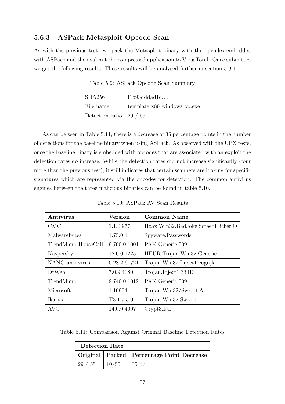## 5.6.3 ASPack Metasploit Opcode Scan

As with the previous test: we pack the Metasploit binary with the opcodes embedded with ASPack and then submit the compressed application to VirusTotal. Once submitted we get the following results. These results will be analysed further in section 5.9.1.

| SHA256                          | f1b93dddad1c                  |
|---------------------------------|-------------------------------|
| File name                       | $template_x86_windows_op.exe$ |
| Detection ratio $\vert$ 29 / 55 |                               |

Table 5.9: ASPack Opcode Scan Summary

As can be seen in Table 5.11, there is a decrease of 35 percentage points in the number of detections for the baseline binary when using ASPack. As observed with the UPX tests, once the baseline binary is embedded with opcodes that are associated with an exploit the detection rates do increase. While the detection rates did not increase significantly (four more than the previous test), it still indicates that certain scanners are looking for specific signatures which are represented via the opcodes for detection. The common antivirus engines between the three malicious binaries can be found in table 5.10.

| Antivirus            | <b>Version</b> | <b>Common Name</b>                 |
|----------------------|----------------|------------------------------------|
| <b>CMC</b>           | 1.1.0.977      | Hoax.Win32.BadJoke.ScreenFlicker!O |
| Malwarebytes         | 1.75.0.1       | Spyware.Passwords                  |
| TrendMicro-HouseCall | 9.700.0.1001   | PAK_Generic.009                    |
| Kaspersky            | 12.0.0.1225    | HEUR:Trojan.Win32.Generic          |
| NANO-anti-virus      | 0.28.2.61721   | Trojan.Win32.Inject1.cugnjk        |
| <b>DrWeb</b>         | 7.0.9.4080     | Trojan.Inject1.33413               |
| TrendMicro           | 9.740.0.1012   | PAK_Generic.009                    |
| Microsoft            | 1.10904        | Trojan:Win32/Swrort.A              |
| Ikarus               | T3.1.7.5.0     | Trojan.Win32.Swrort                |
| <b>AVG</b>           | 14.0.0.4007    | Crypt3.IJL                         |

Table 5.10: ASPack AV Scan Results

Table 5.11: Comparison Against Original Baseline Detection Rates

| <b>Detection Rate</b> |                 |                                               |
|-----------------------|-----------------|-----------------------------------------------|
|                       |                 | Original   Packed   Percentage Point Decrease |
| $'$ 29 / 55           | $\frac{10}{55}$ | $\vert$ 35 pp                                 |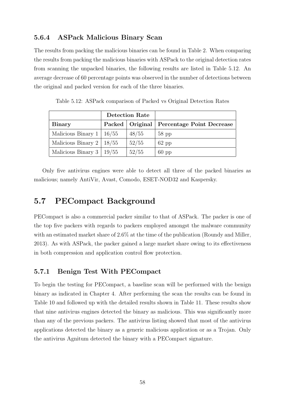## 5.6.4 ASPack Malicious Binary Scan

The results from packing the malicious binaries can be found in Table 2. When comparing the results from packing the malicious binaries with ASPack to the original detection rates from scanning the unpacked binaries, the following results are listed in Table 5.12. An average decrease of 60 percentage points was observed in the number of detections between the original and packed version for each of the three binaries.

|                                 | <b>Detection Rate</b> |       |                                               |
|---------------------------------|-----------------------|-------|-----------------------------------------------|
| <b>Binary</b>                   |                       |       | Packed   Original   Percentage Point Decrease |
| Malicious Binary $1 \mid 16/55$ |                       | 48/55 | $58$ pp                                       |
| Malicious Binary 2   $18/55$    |                       | 52/55 | $62$ pp                                       |
| Malicious Binary $3 \mid$       | 19/55                 | 52/55 | $60$ pp                                       |

Table 5.12: ASPack comparison of Packed vs Original Detection Rates

Only five antivirus engines were able to detect all three of the packed binaries as malicious; namely AntiVir, Avast, Comodo, ESET-NOD32 and Kaspersky.

## 5.7 PECompact Background

PECompact is also a commercial packer similar to that of ASPack. The packer is one of the top five packers with regards to packers employed amongst the malware community with an estimated market share of 2.6% at the time of the publication (Roundy and Miller, 2013). As with ASPack, the packer gained a large market share owing to its effectiveness in both compression and application control flow protection.

#### 5.7.1 Benign Test With PECompact

To begin the testing for PECompact, a baseline scan will be performed with the benign binary as indicated in Chapter 4. After performing the scan the results can be found in Table 10 and followed up with the detailed results shown in Table 11. These results show that nine antivirus engines detected the binary as malicious. This was significantly more than any of the previous packers. The antivirus listing showed that most of the antivirus applications detected the binary as a generic malicious application or as a Trojan. Only the antivirus Agnitum detected the binary with a PECompact signature.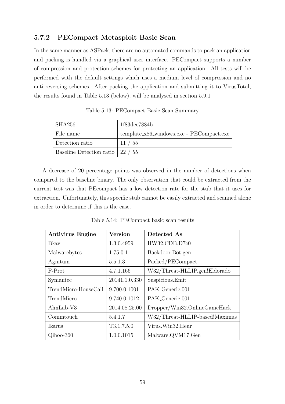## 5.7.2 PECompact Metasploit Basic Scan

In the same manner as ASPack, there are no automated commands to pack an application and packing is handled via a graphical user interface. PECompact supports a number of compression and protection schemes for protecting an application. All tests will be performed with the default settings which uses a medium level of compression and no anti-reversing schemes. After packing the application and submitting it to VirusTotal, the results found in Table 5.13 (below), will be analysed in section 5.9.1

| SHA256                                   | 1f83dce7884b                             |
|------------------------------------------|------------------------------------------|
| File name                                | template_x86_windows.exe - PECompact.exe |
| Detection ratio                          | 11 / 55                                  |
| Baseline Detection ratio $\vert$ 22 / 55 |                                          |

Table 5.13: PECompact Basic Scan Summary

A decrease of 20 percentage points was observed in the number of detections when compared to the baseline binary. The only observation that could be extracted from the current test was that PEcompact has a low detection rate for the stub that it uses for extraction. Unfortunately, this specific stub cannot be easily extracted and scanned alone in order to determine if this is the case.

| <b>Antivirus Engine</b> | <b>Version</b> | Detected As                    |
|-------------------------|----------------|--------------------------------|
| Bkay                    | 1.3.0.4959     | HW32.CDB.D7c0                  |
| Malwarebytes            | 1.75.0.1       | Backdoor.Bot.gen               |
| Agnitum                 | 5.5.1.3        | Packed/PECompact               |
| F-Prot                  | 4.7.1.166      | W32/Threat-HLLIP.gen!Eldorado  |
| Symantec                | 20141.1.0.330  | Suspicious.Emit                |
| TrendMicro-HouseCall    | 9.700.0.1001   | PAK_Generic.001                |
| TrendMicro              | 9.740.0.1012   | PAK_Generic.001                |
| $AhnLab-V3$             | 2014.08.25.00  | Dropper/Win32.OnlineGameHack   |
| Commtouch               | 5.4.1.7        | W32/Threat-HLLIP-based!Maximus |
| Ikarus                  | T3.1.7.5.0     | Virus. Win32. Heur             |
| $Qi$ hoo-360            | 1.0.0.1015     | Malware.QVM17.Gen              |

Table 5.14: PECompact basic scan results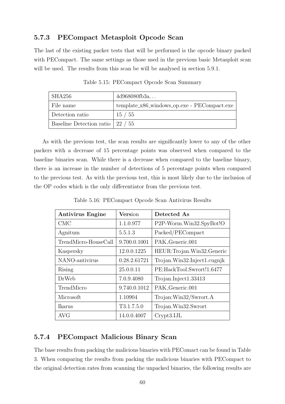## 5.7.3 PECompact Metasploit Opcode Scan

The last of the existing packer tests that will be performed is the opcode binary packed with PECompact. The same settings as those used in the previous basic Metasploit scan will be used. The results from this scan be will be analysed in section 5.9.1.

| SHA256                           | 4d968080fb3a                                |
|----------------------------------|---------------------------------------------|
| File name                        | template_x86_windows_op.exe - PECompact.exe |
| Detection ratio                  | 15/55                                       |
| Baseline Detection ratio 22 / 55 |                                             |

Table 5.15: PECompact Opcode Scan Summary

As with the previous test, the scan results are significantly lower to any of the other packers with a decrease of 15 percentage points was observed when compared to the baseline binaries scan. While there is a decrease when compared to the baseline binary, there is an increase in the number of detections of 5 percentage points when compared to the previous test. As with the previous test, this is most likely due to the inclusion of the OP codes which is the only differentiator from the previous test.

| <b>Antivirus Engine</b> | Version      | Detected As                          |
|-------------------------|--------------|--------------------------------------|
| <b>CMC</b>              | 1.1.0.977    | P <sub>2</sub> P-Worm.Win32.SpyBot!O |
| Agnitum                 | 5.5.1.3      | Packed/PECompact                     |
| TrendMicro-HouseCall    | 9.700.0.1001 | PAK_Generic.001                      |
| Kaspersky               | 12.0.0.1225  | HEUR: Trojan. Win32. Generic         |
| NANO-antivirus          | 0.28.2.61721 | Trojan.Win32.Inject1.cugnjk          |
| <b>Rising</b>           | 25.0.0.11    | PE:HackTool.Swrort!1.6477            |
| DrWeb                   | 7.0.9.4080   | $Trojan-Inject1.33413$               |
| TrendMicro              | 9.740.0.1012 | PAK_Generic.001                      |
| Microsoft               | 1.10904      | Trojan: Win32/Swrort.A               |
| Ikarus                  | T3.1.7.5.0   | Trojan.Win32.Swrort                  |
| <b>AVG</b>              | 14.0.0.4007  | Crypt3.IJL                           |

Table 5.16: PECompact Opcode Scan Antivirus Results

## 5.7.4 PECompact Malicious Binary Scan

The base results from packing the malicious binaries with PEComact can be found in Table 3. When comparing the results from packing the malicious binaries with PECompact to the original detection rates from scanning the unpacked binaries, the following results are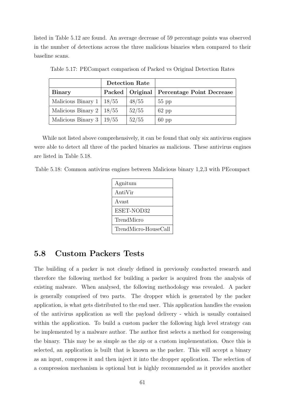listed in Table 5.12 are found. An average decrease of 59 percentage points was observed in the number of detections across the three malicious binaries when compared to their baseline scans.

|                           | <b>Detection Rate</b> |                   |                           |
|---------------------------|-----------------------|-------------------|---------------------------|
| <b>Binary</b>             |                       | Packed   Original | Percentage Point Decrease |
| Malicious Binary $1 \mid$ | 18/55                 | 48/55             | $55$ pp                   |
| Malicious Binary 2        | 18/55                 | 52/55             | $62$ pp                   |
| Malicious Binary 3        | 19/55                 | 52/55             | $60$ pp                   |

Table 5.17: PECompact comparison of Packed vs Original Detection Rates

While not listed above comprehensively, it can be found that only six antivirus engines were able to detect all three of the packed binaries as malicious. These antivirus engines are listed in Table 5.18.

Table 5.18: Common antivirus engines between Malicious binary 1,2,3 with PEcompact

| Agnitum              |
|----------------------|
| AntiVir              |
| A vast               |
| ESET-NOD32           |
| TrendMicro           |
| TrendMicro-HouseCall |

## 5.8 Custom Packers Tests

The building of a packer is not clearly defined in previously conducted research and therefore the following method for building a packer is acquired from the analysis of existing malware. When analysed, the following methodology was revealed. A packer is generally comprised of two parts. The dropper which is generated by the packer application, is what gets distributed to the end user. This application handles the evasion of the antivirus application as well the payload delivery - which is usually contained within the application. To build a custom packer the following high level strategy can be implemented by a malware author. The author first selects a method for compressing the binary. This may be as simple as the zip or a custom implementation. Once this is selected, an application is built that is known as the packer. This will accept a binary as an input, compress it and then inject it into the dropper application. The selection of a compression mechanism is optional but is highly recommended as it provides another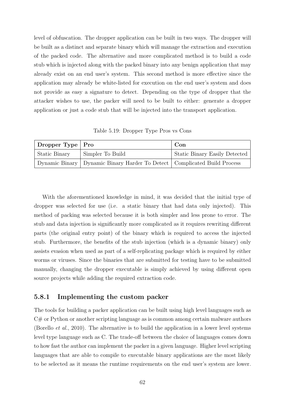level of obfuscation. The dropper application can be built in two ways. The dropper will be built as a distinct and separate binary which will manage the extraction and execution of the packed code. The alternative and more complicated method is to build a code stub which is injected along with the packed binary into any benign application that may already exist on an end user's system. This second method is more effective since the application may already be white-listed for execution on the end user's system and does not provide as easy a signature to detect. Depending on the type of dropper that the attacker wishes to use, the packer will need to be built to either: generate a dropper application or just a code stub that will be injected into the transport application.

Table 5.19: Dropper Type Pros vs Cons

| Dropper Type $ $ Pro |                                                                              | Con                                  |
|----------------------|------------------------------------------------------------------------------|--------------------------------------|
| Static Binary        | Simpler To Build                                                             | <b>Static Binary Easily Detected</b> |
|                      | Dynamic Binary   Dynamic Binary Harder To Detect   Complicated Build Process |                                      |

With the aforementioned knowledge in mind, it was decided that the initial type of dropper was selected for use (i.e. a static binary that had data only injected). This method of packing was selected because it is both simpler and less prone to error. The stub and data injection is significantly more complicated as it requires rewriting different parts (the original entry point) of the binary which is required to access the injected stub. Furthermore, the benefits of the stub injection (which is a dynamic binary) only assists evasion when used as part of a self-replicating package which is required by either worms or viruses. Since the binaries that are submitted for testing have to be submitted manually, changing the dropper executable is simply achieved by using different open source projects while adding the required extraction code.

### 5.8.1 Implementing the custom packer

The tools for building a packer application can be built using high level languages such as  $C#$  or Python or another scripting language as is common among certain malware authors (Borello *et al.*, 2010). The alternative is to build the application in a lower level systems level type language such as C. The trade-off between the choice of languages comes down to how fast the author can implement the packer in a given language. Higher level scripting languages that are able to compile to executable binary applications are the most likely to be selected as it means the runtime requirements on the end user's system are lower.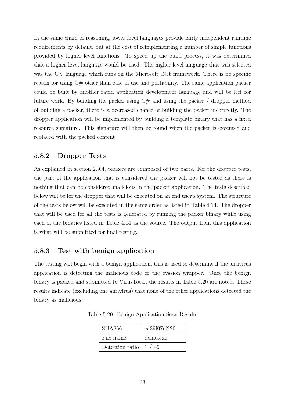In the same chain of reasoning, lower level languages provide fairly independent runtime requirements by default, but at the cost of reimplementing a number of simple functions provided by higher level functions. To speed up the build process, it was determined that a higher level language would be used. The higher level language that was selected was the C# language which runs on the Microsoft .Net framework. There is no specific reason for using C# other than ease of use and portability. The same application packer could be built by another rapid application development language and will be left for future work. By building the packer using  $C#$  and using the packer / dropper method of building a packer, there is a decreased chance of building the packer incorrectly. The dropper application will be implemented by building a template binary that has a fixed resource signature. This signature will then be found when the packer is executed and replaced with the packed content.

### 5.8.2 Dropper Tests

As explained in section 2.9.4, packers are composed of two parts. For the dropper tests, the part of the application that is considered the packer will not be tested as there is nothing that can be considered malicious in the packer application. The tests described below will be for the dropper that will be executed on an end user's system. The structure of the tests below will be executed in the same order as listed in Table 4.14. The dropper that will be used for all the tests is generated by running the packer binary while using each of the binaries listed in Table 4.14 as the source. The output from this application is what will be submitted for final testing.

### 5.8.3 Test with benign application

The testing will begin with a benign application, this is used to determine if the antivirus application is detecting the malicious code or the evasion wrapper. Once the benign binary is packed and submitted to VirusTotal, the results in Table 5.20 are noted. These results indicate (excluding one antivirus) that none of the other applications detected the binary as malicious.

| <b>SHA256</b>                                 | ea $39f07cf220$ |
|-----------------------------------------------|-----------------|
| File name                                     | demo.exe        |
| Detection ratio $\left  \frac{1}{49} \right $ |                 |

Table 5.20: Benign Application Scan Results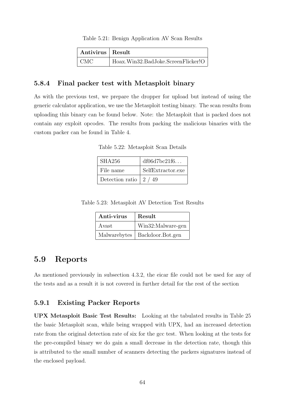#### Table 5.21: Benign Application AV Scan Results

| Antivirus   Result |                                    |
|--------------------|------------------------------------|
| CMC                | Hoax.Win32.BadJoke.ScreenFlicker!O |

#### 5.8.4 Final packer test with Metasploit binary

As with the previous test, we prepare the dropper for upload but instead of using the generic calculator application, we use the Metasploit testing binary. The scan results from uploading this binary can be found below. Note: the Metasploit that is packed does not contain any exploit opcodes. The results from packing the malicious binaries with the custom packer can be found in Table 4.

Table 5.22: Metasploit Scan Details

| SHA256                               | df06d7bc21f6      |
|--------------------------------------|-------------------|
| File name                            | SelfExtractor.exe |
| Detection ratio $\vert 2 \; / \; 49$ |                   |

Table 5.23: Metasploit AV Detection Test Results

| Anti-virus | Result                          |
|------------|---------------------------------|
| Avast      | Win32:Malware-gen               |
|            | Malwarebytes   Backdoor.Bot.gen |

### 5.9 Reports

As mentioned previously in subsection 4.3.2, the eicar file could not be used for any of the tests and as a result it is not covered in further detail for the rest of the section

### 5.9.1 Existing Packer Reports

UPX Metasploit Basic Test Results: Looking at the tabulated results in Table 25 the basic Metasploit scan, while being wrapped with UPX, had an increased detection rate from the original detection rate of six for the gcc test. When looking at the tests for the pre-compiled binary we do gain a small decrease in the detection rate, though this is attributed to the small number of scanners detecting the packers signatures instead of the enclosed payload.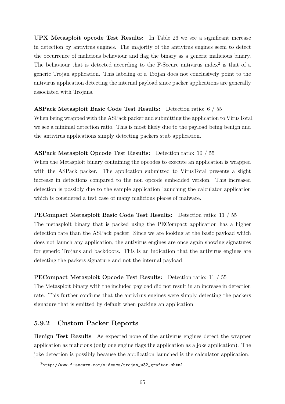UPX Metasploit opcode Test Results: In Table 26 we see a significant increase in detection by antivirus engines. The majority of the antivirus engines seem to detect the occurrence of malicious behaviour and flag the binary as a generic malicious binary. The behaviour that is detected according to the  $F$ -Secure antivirus index<sup>2</sup> is that of a generic Trojan application. This labeling of a Trojan does not conclusively point to the antivirus application detecting the internal payload since packer applications are generally associated with Trojans.

### ASPack Metasploit Basic Code Test Results: Detection ratio: 6 / 55

When being wrapped with the ASPack packer and submitting the application to VirusTotal we see a minimal detection ratio. This is most likely due to the payload being benign and the antivirus applications simply detecting packers stub application.

### ASPack Metasploit Opcode Test Results: Detection ratio: 10 / 55

When the Metasploit binary containing the opcodes to execute an application is wrapped with the ASPack packer. The application submitted to VirusTotal presents a slight increase in detections compared to the non opcode embedded version. This increased detection is possibly due to the sample application launching the calculator application which is considered a test case of many malicious pieces of malware.

#### PECompact Metasploit Basic Code Test Results: Detection ratio: 11 / 55

The metasploit binary that is packed using the PECompact application has a higher detection rate than the ASPack packer. Since we are looking at the basic payload which does not launch any application, the antivirus engines are once again showing signatures for generic Trojans and backdoors. This is an indication that the antivirus engines are detecting the packers signature and not the internal payload.

#### PECompact Metasploit Opcode Test Results: Detection ratio: 11 / 55

The Metasploit binary with the included payload did not result in an increase in detection rate. This further confirms that the antivirus engines were simply detecting the packers signature that is emitted by default when packing an application.

### 5.9.2 Custom Packer Reports

Benign Test Results As expected none of the antivirus engines detect the wrapper application as malicious (only one engine flags the application as a joke application). The joke detection is possibly because the application launched is the calculator application.

 $^{2}$ http://www.f-secure.com/v-descs/trojan\_w32\_graftor.shtml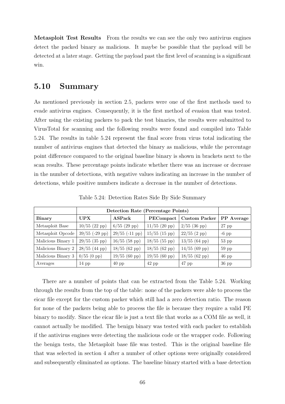Metasploit Test Results From the results we can see the only two antivirus engines detect the packed binary as malicious. It maybe be possible that the payload will be detected at a later stage. Getting the payload past the first level of scanning is a significant win.

## 5.10 Summary

As mentioned previously in section 2.5, packers were one of the first methods used to evade antivirus engines. Consequently, it is the first method of evasion that was tested. After using the existing packers to pack the test binaries, the results were submitted to VirusTotal for scanning and the following results were found and compiled into Table 5.24. The results in table 5.24 represent the final score from virus total indicating the number of antivirus engines that detected the binary as malicious, while the percentage point difference compared to the original baseline binary is shown in brackets next to the scan results. These percentage points indicate whether there was an increase or decrease in the number of detections, with negative values indicating an increase in the number of detections, while positive numbers indicate a decrease in the number of detections.

|                    | Detection Rate (Percentage Points) |                        |                        |                      |            |
|--------------------|------------------------------------|------------------------|------------------------|----------------------|------------|
| <b>Binary</b>      | <b>UPX</b>                         | ASPack                 | <b>PECompact</b>       | <b>Custom Packer</b> | PP Average |
| Metasploit Base    | $10/55$ (22 pp)                    | $6/55$ (29 pp)         | $11/55$ (20 pp)        | $2/55$ (36 pp)       | $27$ pp    |
| Metasploit Opcode  | $39/55$ (-29 pp)                   | $29/55$ (-11 pp)       | $15/55$ (15 pp)        | $22/55$ (2 pp)       | $-6$ pp    |
| Malicious Binary 1 | $29/55$ (35 pp)                    | $16/55$ (58 pp)        | $18/55$ (55 pp)        | $13/55$ (64 pp)      | $53$ pp    |
| Malicious Binary 2 | $28/55$ (44 pp)                    | $18/55(62 \text{ pp})$ | $18/55$ (62 pp)        | $14/55$ (69 pp)      | $59$ pp    |
| Malicious Binary 3 | $0/55$ (0 pp)                      | $19/55(60 \text{ pp})$ | $19/55(60 \text{ pp})$ | $18/55$ (62 pp)      | $46$ pp    |
| Averages           | $14$ pp                            | $40$ pp                | $42$ pp                | $47$ pp              | $36$ pp    |

Table 5.24: Detection Rates Side By Side Summary

There are a number of points that can be extracted from the Table 5.24. Working through the results from the top of the table: none of the packers were able to process the eicar file except for the custom packer which still had a zero detection ratio. The reason for none of the packers being able to process the file is because they require a valid PE binary to modify. Since the eicar file is just a text file that works as a COM file as well, it cannot actually be modified. The benign binary was tested with each packer to establish if the antivirus engines were detecting the malicious code or the wrapper code. Following the benign tests, the Metasploit base file was tested. This is the original baseline file that was selected in section 4 after a number of other options were originally considered and subsequently eliminated as options. The baseline binary started with a base detection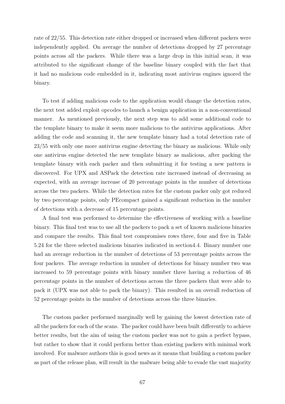rate of 22/55. This detection rate either dropped or increased when different packers were independently applied. On average the number of detections dropped by 27 percentage points across all the packers. While there was a large drop in this initial scan, it was attributed to the significant change of the baseline binary coupled with the fact that it had no malicious code embedded in it, indicating most antivirus engines ignored the binary.

To test if adding malicious code to the application would change the detection rates, the next test added exploit opcodes to launch a benign application in a non-conventional manner. As mentioned previously, the next step was to add some additional code to the template binary to make it seem more malicious to the antivirus applications. After adding the code and scanning it, the new template binary had a total detection rate of 23/55 with only one more antivirus engine detecting the binary as malicious. While only one antivirus engine detected the new template binary as malicious, after packing the template binary with each packer and then submitting it for testing a new pattern is discovered. For UPX and ASPack the detection rate increased instead of decreasing as expected, with an average increase of 20 percentage points in the number of detections across the two packers. While the detection rates for the custom packer only got reduced by two percentage points, only PEcompact gained a significant reduction in the number of detections with a decrease of 15 percentage points.

A final test was performed to determine the effectiveness of working with a baseline binary. This final test was to use all the packers to pack a set of known malicious binaries and compare the results. This final test compromises rows three, four and five in Table 5.24 for the three selected malicious binaries indicated in section4.4. Binary number one had an average reduction in the number of detections of 53 percentage points across the four packers. The average reduction in number of detections for binary number two was increased to 59 percentage points with binary number three having a reduction of 46 percentage points in the number of detections across the three packers that were able to pack it (UPX was not able to pack the binary). This resulted in an overall reduction of 52 percentage points in the number of detections across the three binaries.

The custom packer performed marginally well by gaining the lowest detection rate of all the packers for each of the scans. The packer could have been built differently to achieve better results, but the aim of using the custom packer was not to gain a perfect bypass, but rather to show that it could perform better than existing packers with minimal work involved. For malware authors this is good news as it means that building a custom packer as part of the release plan, will result in the malware being able to evade the vast majority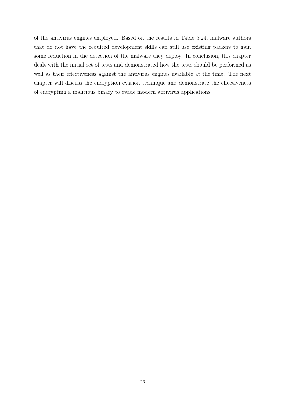of the antivirus engines employed. Based on the results in Table 5.24, malware authors that do not have the required development skills can still use existing packers to gain some reduction in the detection of the malware they deploy. In conclusion, this chapter dealt with the initial set of tests and demonstrated how the tests should be performed as well as their effectiveness against the antivirus engines available at the time. The next chapter will discuss the encryption evasion technique and demonstrate the effectiveness of encrypting a malicious binary to evade modern antivirus applications.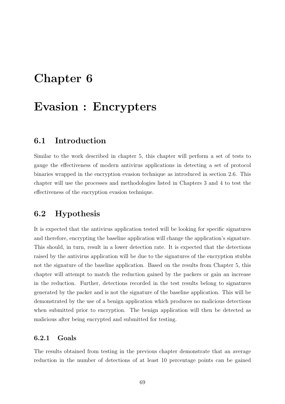# Chapter 6

# Evasion : Encrypters

## 6.1 Introduction

Similar to the work described in chapter 5, this chapter will perform a set of tests to gauge the effectiveness of modern antivirus applications in detecting a set of protocol binaries wrapped in the encryption evasion technique as introduced in section 2.6. This chapter will use the processes and methodologies listed in Chapters 3 and 4 to test the effectiveness of the encryption evasion technique.

# 6.2 Hypothesis

It is expected that the antivirus application tested will be looking for specific signatures and therefore, encrypting the baseline application will change the application's signature. This should, in turn, result in a lower detection rate. It is expected that the detections raised by the antivirus application will be due to the signatures of the encryption stubbs not the signature of the baseline application. Based on the results from Chapter 5, this chapter will attempt to match the reduction gained by the packers or gain an increase in the reduction. Further, detections recorded in the test results belong to signatures generated by the packer and is not the signature of the baseline application. This will be demonstrated by the use of a benign application which produces no malicious detections when submitted prior to encryption. The benign application will then be detected as malicious after being encrypted and submitted for testing.

#### 6.2.1 Goals

The results obtained from testing in the previous chapter demonstrate that an average reduction in the number of detections of at least 10 percentage points can be gained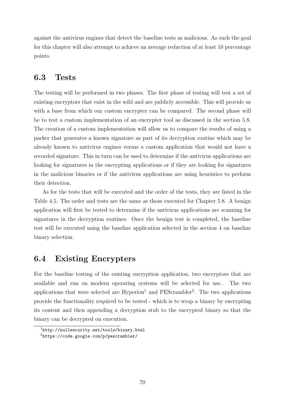against the antivirus engines that detect the baseline tests as malicious. As such the goal for this chapter will also attempt to achieve an average reduction of at least 10 percentage points.

# 6.3 Tests

The testing will be performed in two phases. The first phase of testing will test a set of existing encryptors that exist in the wild and are publicly accessible. This will provide us with a base from which our custom encrypter can be compared. The second phase will be to test a custom implementation of an encrypter tool as discussed in the section 5.8. The creation of a custom implementation will allow us to compare the results of using a packer that generates a known signature as part of its decryption routine which may be already known to antivirus engines versus a custom application that would not have a recorded signature. This in turn can be used to determine if the antivirus applications are looking for signatures in the encrypting applications or if they are looking for signatures in the malicious binaries or if the antivirus applications are using heuristics to perform their detection.

As for the tests that will be executed and the order of the tests, they are listed in the Table 4.5. The order and tests are the same as those executed for Chapter 5.8. A benign application will first be tested to determine if the antivirus applications are scanning for signatures in the decryption routines. Once the benign test is completed, the baseline test will be executed using the baseline application selected in the section 4 on baseline binary selection.

# 6.4 Existing Encrypters

For the baseline testing of the existing encryption application, two encryptors that are available and run on modern operating systems will be selected for use.. The two applications that were selected are  $Hyperion<sup>1</sup>$  and  $PEScrambler<sup>2</sup>$ . The two applications provide the functionality required to be tested - which is to wrap a binary by encrypting its content and then appending a decryption stub to the encrypted binary so that the binary can be decrypted on execution.

<sup>1</sup>http://nullsecurity.net/tools/binary.html

<sup>2</sup>https://code.google.com/p/pescrambler/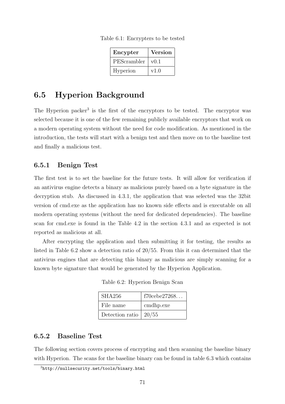| Encypter    | <b>Version</b> |
|-------------|----------------|
| PEScrambler | v(0.1)         |
| Hyperion    | v1.0           |

Table 6.1: Encrypters to be tested

# 6.5 Hyperion Background

The Hyperion packer<sup>3</sup> is the first of the encryptors to be tested. The encryptor was selected because it is one of the few remaining publicly available encryptors that work on a modern operating system without the need for code modification. As mentioned in the introduction, the tests will start with a benign test and then move on to the baseline test and finally a malicious test.

### 6.5.1 Benign Test

The first test is to set the baseline for the future tests. It will allow for verification if an antivirus engine detects a binary as malicious purely based on a byte signature in the decryption stub. As discussed in 4.3.1, the application that was selected was the 32bit version of cmd.exe as the application has no known side effects and is executable on all modern operating systems (without the need for dedicated dependencies). The baseline scan for cmd.exe is found in the Table 4.2 in the section 4.3.1 and as expected is not reported as malicious at all.

After encrypting the application and then submitting it for testing, the results as listed in Table 6.2 show a detection ratio of 20/55. From this it can determined that the antivirus engines that are detecting this binary as malicious are simply scanning for a known byte signature that would be generated by the Hyperion Application.

Table 6.2: Hyperion Benign Scan

| SHA256          | $f70$ cebe $27268$ |
|-----------------|--------------------|
| File name       | cmdhp.exe          |
| Detection ratio | 20/55              |

### 6.5.2 Baseline Test

The following section covers process of encrypting and then scanning the baseline binary with Hyperion. The scans for the baseline binary can be found in table 6.3 which contains

<sup>3</sup>http://nullsecurity.net/tools/binary.html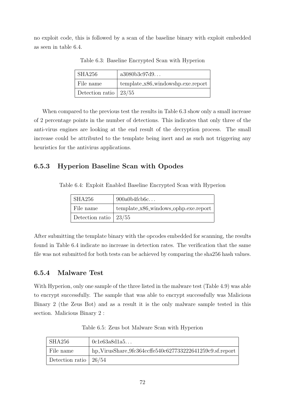no exploit code, this is followed by a scan of the baseline binary with exploit embedded as seen in table 6.4.

| SHA256                    | a3080b3c97d9                        |
|---------------------------|-------------------------------------|
| File name                 | $template_x86_windowshp.exe.report$ |
| Detection ratio   $23/55$ |                                     |

Table 6.3: Baseline Encrypted Scan with Hyperion

When compared to the previous test the results in Table 6.3 show only a small increase of 2 percentage points in the number of detections. This indicates that only three of the anti-virus engines are looking at the end result of the decryption process. The small increase could be attributed to the template being inert and as such not triggering any heuristics for the antivirus applications.

### 6.5.3 Hyperion Baseline Scan with Opodes

Table 6.4: Exploit Enabled Baseline Encrypted Scan with Hyperion

| SHA256                  | 900a0b4fcb6c                            |
|-------------------------|-----------------------------------------|
| File name               | $template_x86_windows\_ophp.exe.report$ |
| Detection ratio   23/55 |                                         |

After submitting the template binary with the opcodes embedded for scanning, the results found in Table 6.4 indicate no increase in detection rates. The verification that the same file was not submitted for both tests can be achieved by comparing the sha256 hash values.

### 6.5.4 Malware Test

With Hyperion, only one sample of the three listed in the malware test (Table 4.9) was able to encrypt successfully. The sample that was able to encrypt successfully was Malicious Binary 2 (the Zeus Bot) and as a result it is the only malware sample tested in this section. Malicious Binary 2 :

| SHA256                    | 0c1e63a8d1a5                                             |
|---------------------------|----------------------------------------------------------|
| File name                 | hp_VirusShare_9fc364ccffe540c627733222641259c9.sf.report |
| Detection ratio   $26/54$ |                                                          |

Table 6.5: Zeus bot Malware Scan with Hyperion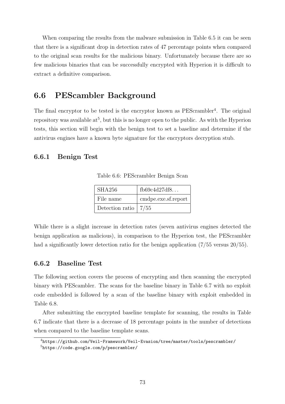When comparing the results from the malware submission in Table 6.5 it can be seen that there is a significant drop in detection rates of 47 percentage points when compared to the original scan results for the malicious binary. Unfortunately because there are so few malicious binaries that can be successfully encrypted with Hyperion it is difficult to extract a definitive comparison.

# 6.6 PEScambler Background

The final encryptor to be tested is the encryptor known as PEScrambler<sup>4</sup>. The original repository was available  $at^5$ , but this is no longer open to the public. As with the Hyperion tests, this section will begin with the benign test to set a baseline and determine if the antivirus engines have a known byte signature for the encryptors decryption stub.

### 6.6.1 Benign Test

| <b>SHA256</b>           | fb69c4d27df8        |
|-------------------------|---------------------|
| File name               | cmdpe.exe.sf.report |
| Detection ratio $ 7/55$ |                     |

Table 6.6: PEScrambler Benign Scan

While there is a slight increase in detection rates (seven antivirus engines detected the benign application as malicious), in comparison to the Hyperion test, the PEScrambler had a significantly lower detection ratio for the benign application (7/55 versus 20/55).

### 6.6.2 Baseline Test

The following section covers the process of encrypting and then scanning the encrypted binary with PEScambler. The scans for the baseline binary in Table 6.7 with no exploit code embedded is followed by a scan of the baseline binary with exploit embedded in Table 6.8.

After submitting the encrypted baseline template for scanning, the results in Table 6.7 indicate that there is a decrease of 18 percentage points in the number of detections when compared to the baseline template scans.

<sup>4</sup>https://github.com/Veil-Framework/Veil-Evasion/tree/master/tools/pescrambler/ <sup>5</sup>https://code.google.com/p/pescrambler/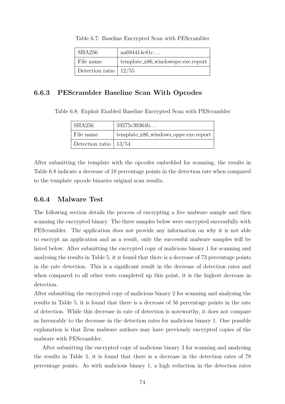| SHA256                    | aa694414c81c                         |
|---------------------------|--------------------------------------|
| File name                 | $template_x86_window spe.exe.report$ |
| Detection ratio   $12/55$ |                                      |

Table 6.7: Baseline Encrypted Scan with PEScrambler

### 6.6.3 PEScrambler Baseline Scan With Opcodes

Table 6.8: Exploit Enabled Baseline Encrypted Scan with PEScrambler

| SHA256                    | 59275c39364b                            |
|---------------------------|-----------------------------------------|
| File name                 | $template_x86_windows\_oppe.exe.report$ |
| Detection ratio   $13/54$ |                                         |

After submitting the template with the opcodes embedded for scanning, the results in Table 6.8 indicate a decrease of 18 percentage points in the detection rate when compared to the template opcode binaries original scan results.

### 6.6.4 Malware Test

The following section details the process of encrypting a live malware sample and then scanning the encrypted binary. The three samples below were encrypted successfully with PEScrambler. The application does not provide any information on why it is not able to encrypt an application and as a result, only the successful malware samples will be listed below. After submitting the encrypted copy of malicious binary 1 for scanning and analysing the results in Table 5, it is found that there is a decrease of 73 percentage points in the rate detection. This is a significant result in the decrease of detection rates and when compared to all other tests completed up this point, it is the highest decrease in detection.

After submitting the encrypted copy of malicious binary 2 for scanning and analysing the results in Table 5, it is found that there is a decrease of 56 percentage points in the rate of detection. While this decrease in rate of detection is noteworthy, it does not compare as favourably to the decrease in the detection rates for malicious binary 1. One possible explanation is that Zeus malware authors may have previously encrypted copies of the malware with PEScrambler.

After submitting the encrypted copy of malicious binary 3 for scanning and analysing the results in Table 5, it is found that there is a decrease in the detection rates of 78 percentage points. As with malicious binary 1, a high reduction in the detection rates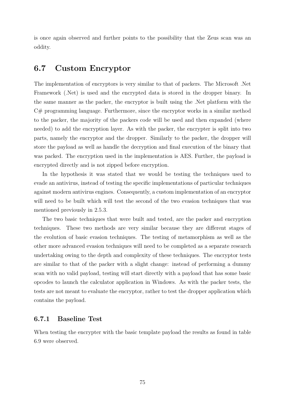is once again observed and further points to the possibility that the Zeus scan was an oddity.

# 6.7 Custom Encryptor

The implementation of encryptors is very similar to that of packers. The Microsoft .Net Framework (.Net) is used and the encrypted data is stored in the dropper binary. In the same manner as the packer, the encryptor is built using the .Net platform with the C# programming language. Furthermore, since the encryptor works in a similar method to the packer, the majority of the packers code will be used and then expanded (where needed) to add the encryption layer. As with the packer, the encrypter is split into two parts, namely the encryptor and the dropper. Similarly to the packer, the dropper will store the payload as well as handle the decryption and final execution of the binary that was packed. The encryption used in the implementation is AES. Further, the payload is encrypted directly and is not zipped before encryption.

In the hypothesis it was stated that we would be testing the techniques used to evade an antivirus, instead of testing the specific implementations of particular techniques against modern antivirus engines. Consequently, a custom implementation of an encryptor will need to be built which will test the second of the two evasion techniques that was mentioned previously in 2.5.3.

The two basic techniques that were built and tested, are the packer and encryption techniques. These two methods are very similar because they are different stages of the evolution of basic evasion techniques. The testing of metamorphism as well as the other more advanced evasion techniques will need to be completed as a separate research undertaking owing to the depth and complexity of these techniques. The encryptor tests are similar to that of the packer with a slight change: instead of performing a dummy scan with no valid payload, testing will start directly with a payload that has some basic opcodes to launch the calculator application in Windows. As with the packer tests, the tests are not meant to evaluate the encryptor, rather to test the dropper application which contains the payload.

### 6.7.1 Baseline Test

When testing the encrypter with the basic template payload the results as found in table 6.9 were observed.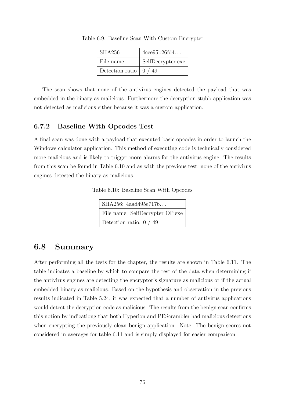| <b>SHA256</b>   | 4cce95b26fd4      |
|-----------------|-------------------|
| File name       | SelfDecrypter.exe |
| Detection ratio | 0/49              |

Table 6.9: Baseline Scan With Custom Encrypter

The scan shows that none of the antivirus engines detected the payload that was embedded in the binary as malicious. Furthermore the decryption stubb application was not detected as malicious either because it was a custom application.

### 6.7.2 Baseline With Opcodes Test

A final scan was done with a payload that executed basic opcodes in order to launch the Windows calculator application. This method of executing code is technically considered more malicious and is likely to trigger more alarms for the antivirus engine. The results from this scan be found in Table 6.10 and as with the previous test, none of the antivirus engines detected the binary as malicious.

Table 6.10: Baseline Scan With Opcodes

| SHA256: 4aad495e7176            |  |  |
|---------------------------------|--|--|
| File name: SelfDecrypter_OP.exe |  |  |
| Detection ratio: $0/49$         |  |  |

# 6.8 Summary

After performing all the tests for the chapter, the results are shown in Table 6.11. The table indicates a baseline by which to compare the rest of the data when determining if the antivirus engines are detecting the encryptor's signature as malicious or if the actual embedded binary as malicious. Based on the hypothesis and observation in the previous results indicated in Table 5.24, it was expected that a number of antivirus applications would detect the decryption code as malicious. The results from the benign scan confirms this notion by indicationg that both Hyperion and PEScrambler had malicious detections when encrypting the previously clean benign application. Note: The benign scores not considered in averages for table 6.11 and is simply displayed for easier comparison.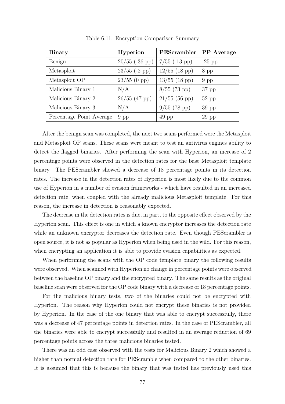| <b>Binary</b>            | Hyperion         | PEScrambler     | PP Average |
|--------------------------|------------------|-----------------|------------|
| Benign                   | $20/55$ (-36 pp) | $7/55$ (-13 pp) | $-25$ pp   |
| Metasploit               | $23/55$ (-2 pp)  | $12/55$ (18 pp) | $8$ pp     |
| Metasploit OP            | $23/55$ (0 pp)   | $13/55$ (18 pp) | $9$ pp     |
| Malicious Binary 1       | N/A              | $8/55$ (73 pp)  | $37$ pp    |
| Malicious Binary 2       | $26/55$ (47 pp)  | $21/55$ (56 pp) | $52$ pp    |
| Malicious Binary 3       | N/A              | $9/55$ (78 pp)  | $39$ pp    |
| Percentage Point Average | $9$ pp           | $49$ pp         | $29$ pp    |

Table 6.11: Encryption Comparison Summary

After the benign scan was completed, the next two scans performed were the Metasploit and Metasploit OP scans. These scans were meant to test an antivirus engines ability to detect the flagged binaries. After performing the scan with Hyperion, an increase of 2 percentage points were observed in the detection rates for the base Metasploit template binary. The PEScrambler showed a decrease of 18 percentage points in its detection rates. The increase in the detection rates of Hyperion is most likely due to the common use of Hyperion in a number of evasion frameworks - which have resulted in an increased detection rate, when coupled with the already malicious Metasploit template. For this reason, the increase in detection is reasonably expected.

The decrease in the detection rates is due, in part, to the opposite effect observed by the Hyperion scan. This effect is one in which a known encryptor increases the detection rate while an unknown encryptor decreases the detection rate. Even though PEScrambler is open source, it is not as popular as Hyperion when being used in the wild. For this reason, when encrypting an application it is able to provide evasion capabilities as expected.

When performing the scans with the OP code template binary the following results were observed. When scanned with Hyperion no change in percentage points were observed between the baseline OP binary and the encrypted binary. The same results as the original baseline scan were observed for the OP code binary with a decrease of 18 percentage points.

For the malicious binary tests, two of the binaries could not be encrypted with Hyperion. The reason why Hyperion could not encrypt these binaries is not provided by Hyperion. In the case of the one binary that was able to encrypt successfully, there was a decrease of 47 percentage points in detection rates. In the case of PEScrambler, all the binaries were able to encrypt successfully and resulted in an average reduction of 69 percentage points across the three malicious binaries tested.

There was an odd case observed with the tests for Malicious Binary 2 which showed a higher than normal detection rate for PEScramble when compared to the other binaries. It is assumed that this is because the binary that was tested has previously used this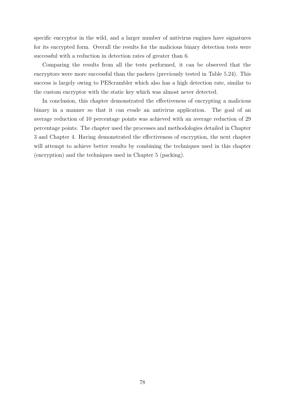specific encryptor in the wild, and a larger number of antivirus engines have signatures for its encrypted form. Overall the results for the malicious binary detection tests were successful with a reduction in detection rates of greater than 6.

Comparing the results from all the tests performed, it can be observed that the encryptors were more successful than the packers (previously tested in Table 5.24). This success is largely owing to PEScrambler which also has a high detection rate, similar to the custom encryptor with the static key which was almost never detected.

In conclusion, this chapter demonstrated the effectiveness of encrypting a malicious binary in a manner so that it can evade an antivirus application. The goal of an average reduction of 10 percentage points was achieved with an average reduction of 29 percentage points. The chapter used the processes and methodologies detailed in Chapter 3 and Chapter 4. Having demonstrated the effectiveness of encryption, the next chapter will attempt to achieve better results by combining the techniques used in this chapter (encryption) and the techniques used in Chapter 5 (packing).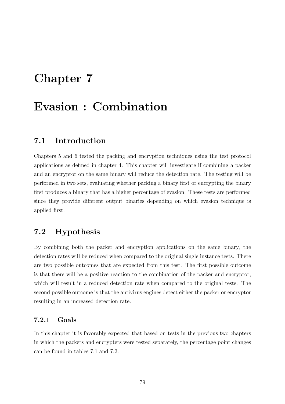# Chapter 7

# Evasion : Combination

## 7.1 Introduction

Chapters 5 and 6 tested the packing and encryption techniques using the test protocol applications as defined in chapter 4. This chapter will investigate if combining a packer and an encryptor on the same binary will reduce the detection rate. The testing will be performed in two sets, evaluating whether packing a binary first or encrypting the binary first produces a binary that has a higher percentage of evasion. These tests are performed since they provide different output binaries depending on which evasion technique is applied first.

# 7.2 Hypothesis

By combining both the packer and encryption applications on the same binary, the detection rates will be reduced when compared to the original single instance tests. There are two possible outcomes that are expected from this test. The first possible outcome is that there will be a positive reaction to the combination of the packer and encryptor, which will result in a reduced detection rate when compared to the original tests. The second possible outcome is that the antivirus engines detect either the packer or encryptor resulting in an increased detection rate.

### 7.2.1 Goals

In this chapter it is favorably expected that based on tests in the previous two chapters in which the packers and encrypters were tested separately, the percentage point changes can be found in tables 7.1 and 7.2.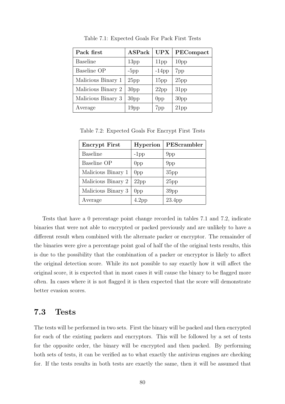| Pack first         | <b>ASPack</b>    | <b>UPX</b>       | PECompact        |
|--------------------|------------------|------------------|------------------|
| <b>Baseline</b>    | 13 <sub>pp</sub> | 11 <sub>pp</sub> | 10 <sub>pp</sub> |
| Baseline OP        | $-5pp$           | $-14$ pp         | 7 <sub>pp</sub>  |
| Malicious Binary 1 | 25pp             | 15 <sub>pp</sub> | 25pp             |
| Malicious Binary 2 | 30 <sub>pp</sub> | 22pp             | 31 <sub>pp</sub> |
| Malicious Binary 3 | 30 <sub>pp</sub> | 0 <sub>pp</sub>  | 30 <sub>pp</sub> |
| Average            | 19 <sub>pp</sub> | 7 <sub>pp</sub>  | 21 <sub>pp</sub> |

Table 7.1: Expected Goals For Pack First Tests

Table 7.2: Expected Goals For Encrypt First Tests

| <b>Encrypt First</b> | <b>Hyperion</b>   | PEScrambler        |
|----------------------|-------------------|--------------------|
| <b>Baseline</b>      | $-1$ pp           | 9 <sub>pp</sub>    |
| Baseline OP          | 0 <sub>pp</sub>   | 9 <sub>pp</sub>    |
| Malicious Binary 1   | 0 <sub>pp</sub>   | 35 <sub>pp</sub>   |
| Malicious Binary 2   | 22pp              | 25pp               |
| Malicious Binary 3   | 0 <sub>pp</sub>   | 39 <sub>pp</sub>   |
| Average              | 4.2 <sub>pp</sub> | 23.4 <sub>pp</sub> |

Tests that have a 0 percentage point change recorded in tables 7.1 and 7.2, indicate binaries that were not able to encrypted or packed previously and are unlikely to have a different result when combined with the alternate packer or encryptor. The remainder of the binaries were give a percentage point goal of half the of the original tests results, this is due to the possibility that the combination of a packer or encryptor is likely to affect the original detection score. While its not possible to say exactly how it will affect the original score, it is expected that in most cases it will cause the binary to be flagged more often. In cases where it is not flagged it is then expected that the score will demonstrate better evasion scores.

### 7.3 Tests

The tests will be performed in two sets. First the binary will be packed and then encrypted for each of the existing packers and encryptors. This will be followed by a set of tests for the opposite order, the binary will be encrypted and then packed. By performing both sets of tests, it can be verified as to what exactly the antivirus engines are checking for. If the tests results in both tests are exactly the same, then it will be assumed that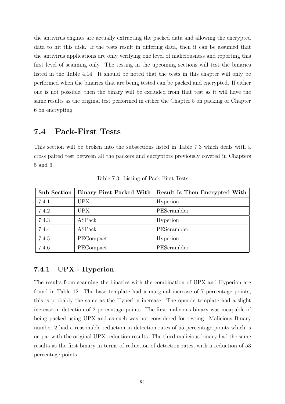the antivirus engines are actually extracting the packed data and allowing the encrypted data to hit this disk. If the tests result in differing data, then it can be assumed that the antivirus applications are only verifying one level of maliciousness and reporting this first level of scanning only. The testing in the upcoming sections will test the binaries listed in the Table 4.14. It should be noted that the tests in this chapter will only be performed when the binaries that are being tested can be packed and encrypted. If either one is not possible, then the binary will be excluded from that test as it will have the same results as the original test performed in either the Chapter 5 on packing or Chapter 6 on encrypting.

## 7.4 Pack-First Tests

This section will be broken into the subsections listed in Table 7.3 which deals with a cross paired test between all the packers and encryptors previously covered in Chapters 5 and 6.

| <b>Sub Section</b> | Binary First Packed With | Result Is Then Encrypted With |
|--------------------|--------------------------|-------------------------------|
| 7.4.1              | <b>UPX</b>               | Hyperion                      |
| 7.4.2              | <b>UPX</b>               | PEScrambler                   |
| 7.4.3              | <b>ASPack</b>            | Hyperion                      |
| 7.4.4              | <b>ASPack</b>            | PEScrambler                   |
| 7.4.5              | PECompact                | Hyperion                      |
| 7.4.6              | PECompact                | PEScrambler                   |

Table 7.3: Listing of Pack First Tests

### 7.4.1 UPX - Hyperion

The results from scanning the binaries with the combination of UPX and Hyperion are found in Table 12. The base template had a marginal increase of 7 percentage points, this is probably the same as the Hyperion increase. The opcode template had a slight increase in detection of 2 percentage points. The first malicious binary was incapable of being packed using UPX and as such was not considered for testing. Malicious Binary number 2 had a reasonable reduction in detection rates of 55 percentage points which is on par with the original UPX reduction results. The third malicious binary had the same results as the first binary in terms of reduction of detection rates, with a reduction of 53 percentage points.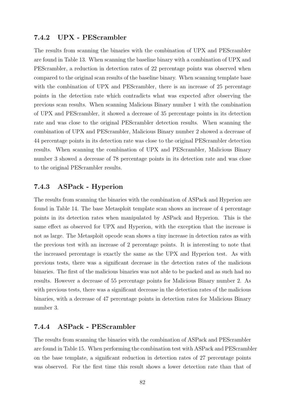### 7.4.2 UPX - PEScrambler

The results from scanning the binaries with the combination of UPX and PEScrambler are found in Table 13. When scanning the baseline binary with a combination of UPX and PEScrambler, a reduction in detection rates of 22 percentage points was observed when compared to the original scan results of the baseline binary. When scanning template base with the combination of UPX and PEScrambler, there is an increase of 25 percentage points in the detection rate which contradicts what was expected after observing the previous scan results. When scanning Malicious Binary number 1 with the combination of UPX and PEScrambler, it showed a decrease of 35 percentage points in its detection rate and was close to the original PEScrambler detection results. When scanning the combination of UPX and PEScrambler, Malicious Binary number 2 showed a decrease of 44 percentage points in its detection rate was close to the original PEScrambler detection results. When scanning the combination of UPX and PEScrambler, Malicious Binary number 3 showed a decrease of 78 percentage points in its detection rate and was close to the original PEScrambler results.

### 7.4.3 ASPack - Hyperion

The results from scanning the binaries with the combination of ASPack and Hyperion are found in Table 14. The base Metasploit template scan shows an increase of 4 percentage points in its detection rates when manipulated by ASPack and Hyperion. This is the same effect as observed for UPX and Hyperion, with the exception that the increase is not as large. The Metasploit opcode scan shows a tiny increase in detection rates as with the previous test with an increase of 2 percentage points. It is interesting to note that the increased percentage is exactly the same as the UPX and Hyperion test. As with previous tests, there was a significant decrease in the detection rates of the malicious binaries. The first of the malicious binaries was not able to be packed and as such had no results. However a decrease of 55 percentage points for Malicious Binary number 2. As with previous tests, there was a significant decrease in the detection rates of the malicious binaries, with a decrease of 47 percentage points in detection rates for Malicious Binary number 3.

### 7.4.4 ASPack - PEScrambler

The results from scanning the binaries with the combination of ASPack and PEScrambler are found in Table 15. When performing the combination test with ASPack and PEScrambler on the base template, a significant reduction in detection rates of 27 percentage points was observed. For the first time this result shows a lower detection rate than that of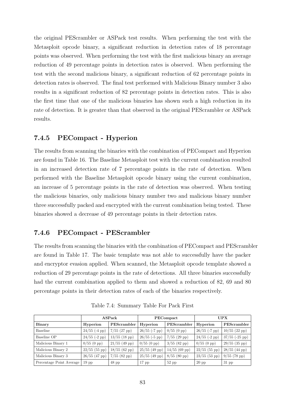the original PEScrambler or ASPack test results. When performing the test with the Metasploit opcode binary, a significant reduction in detection rates of 18 percentage points was observed. When performing the test with the first malicious binary an average reduction of 49 percentage points in detection rates is observed. When performing the test with the second malicious binary, a significant reduction of 62 percentage points in detection rates is observed. The final test performed with Malicious Binary number 3 also results in a significant reduction of 82 percentage points in detection rates. This is also the first time that one of the malicious binaries has shown such a high reduction in its rate of detection. It is greater than that observed in the original PEScrambler or ASPack results.

### 7.4.5 PECompact - Hyperion

The results from scanning the binaries with the combination of PECompact and Hyperion are found in Table 16. The Baseline Metasploit test with the current combination resulted in an increased detection rate of 7 percentage points in the rate of detection. When performed with the Baseline Metasploit opcode binary using the current combination, an increase of 5 percentage points in the rate of detection was observed. When testing the malicious binaries, only malicious binary number two and malicious binary number three successfully packed and encrypted with the current combination being tested. These binaries showed a decrease of 49 percentage points in their detection rates.

### 7.4.6 PECompact - PEScrambler

The results from scanning the binaries with the combination of PECompact and PEScrambler are found in Table 17. The basic template was not able to successfully have the packer and encryptor evasion applied. When scanned, the Metasploit opcode template showed a reduction of 29 percentage points in the rate of detections. All three binaries successfully had the current combination applied to them and showed a reduction of 82, 69 and 80 percentage points in their detection rates of each of the binaries respectively.

|                          |                 | ASPack                |                 | PECompact             |                 | <b>UPX</b>       |
|--------------------------|-----------------|-----------------------|-----------------|-----------------------|-----------------|------------------|
| <b>Binary</b>            | <b>Hyperion</b> | PEScrambler           | Hyperion        | PEScrambler           | Hyperion        | PEScrambler      |
| Baseline                 | $24/55$ (-4 pp) | $7/55$ (27 pp)        | $26/55$ (-7 pp) | $0/55(0 \text{ pp})$  | $26/55$ (-7 pp) | $10/55$ (22 pp)  |
| Baseline OP              | $24/55$ (-2 pp) | $13/55$ (18 pp)       | $26/55$ (-5 pp) | $7/55$ (29 pp)        | $24/55$ (-2 pp) | $37/55$ (-25 pp) |
| Malicious Binary 1       | $0/55$ (0 pp)   | $21/55$ (49 pp)       | $0/55$ (0 pp)   | $3/55$ (82 pp)        | $0/55$ (0 pp)   | $29/55$ (35 pp)  |
| Malicious Binary 2       | $22/55$ (55 pp) | $18/55$ (62 pp)       | $25/55$ (49 pp) | $14/55$ (69 pp)       | $22/55$ (55 pp) | $28/55$ (44 pp)  |
| Malicious Binary 3       | $26/55$ (47 pp) | $7/55(82 \text{ pp})$ | $25/55$ (49 pp) | $8/55(80 \text{ pp})$ | $23/55$ (53 pp) | $9/55$ (78 pp)   |
| Percentage Point Average | $19$ pp         | $48$ pp               | $17$ pp         | $52$ pp               | $20$ pp         | $31$ pp          |

Table 7.4: Summary Table For Pack First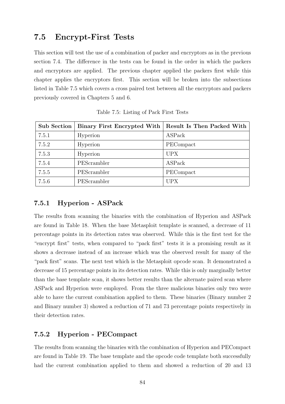# 7.5 Encrypt-First Tests

This section will test the use of a combination of packer and encryptors as in the previous section 7.4. The difference in the tests can be found in the order in which the packers and encryptors are applied. The previous chapter applied the packers first while this chapter applies the encryptors first. This section will be broken into the subsections listed in Table 7.5 which covers a cross paired test between all the encryptors and packers previously covered in Chapters 5 and 6.

| <b>Sub Section</b> | Binary First Encrypted With | Result Is Then Packed With |
|--------------------|-----------------------------|----------------------------|
| 7.5.1              | Hyperion                    | ASPack                     |
| 7.5.2              | Hyperion                    | PECompact                  |
| 7.5.3              | Hyperion                    | <b>UPX</b>                 |
| 7.5.4              | PEScrambler                 | ASPack                     |
| 7.5.5              | PEScrambler                 | PECompact                  |
| 7.5.6              | PEScrambler                 | <b>UPX</b>                 |

Table 7.5: Listing of Pack First Tests

### 7.5.1 Hyperion - ASPack

The results from scanning the binaries with the combination of Hyperion and ASPack are found in Table 18. When the base Metasploit template is scanned, a decrease of 11 percentage points in its detection rates was observed. While this is the first test for the "encrypt first" tests, when compared to "pack first" tests it is a promising result as it shows a decrease instead of an increase which was the observed result for many of the "pack first" scans. The next test which is the Metasploit opcode scan. It demonstrated a decrease of 15 percentage points in its detection rates. While this is only marginally better than the base template scan, it shows better results than the alternate paired scan where ASPack and Hyperion were employed. From the three malicious binaries only two were able to have the current combination applied to them. These binaries (Binary number 2 and Binary number 3) showed a reduction of 71 and 73 percentage points respectively in their detection rates.

### 7.5.2 Hyperion - PECompact

The results from scanning the binaries with the combination of Hyperion and PECompact are found in Table 19. The base template and the opcode code template both successfully had the current combination applied to them and showed a reduction of 20 and 13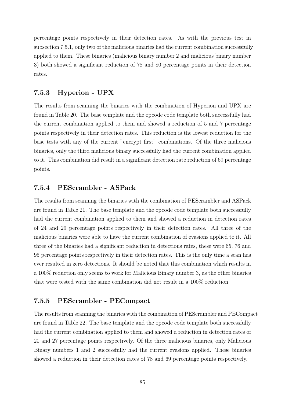percentage points respectively in their detection rates. As with the previous test in subsection 7.5.1, only two of the malicious binaries had the current combination successfully applied to them. These binaries (malicious binary number 2 and malicious binary number 3) both showed a significant reduction of 78 and 80 percentage points in their detection rates.

### 7.5.3 Hyperion - UPX

The results from scanning the binaries with the combination of Hyperion and UPX are found in Table 20. The base template and the opcode code template both successfully had the current combination applied to them and showed a reduction of 5 and 7 percentage points respectively in their detection rates. This reduction is the lowest reduction for the base tests with any of the current "encrypt first" combinations. Of the three malicious binaries, only the third malicious binary successfully had the current combination applied to it. This combination did result in a significant detection rate reduction of 69 percentage points.

### 7.5.4 PEScrambler - ASPack

The results from scanning the binaries with the combination of PEScrambler and ASPack are found in Table 21. The base template and the opcode code template both successfully had the current combination applied to them and showed a reduction in detection rates of 24 and 29 percentage points respectively in their detection rates. All three of the malicious binaries were able to have the current combination of evasions applied to it. All three of the binaries had a significant reduction in detections rates, these were 65, 76 and 95 percentage points respectively in their detection rates. This is the only time a scan has ever resulted in zero detections. It should be noted that this combination which results in a 100% reduction only seems to work for Malicious Binary number 3, as the other binaries that were tested with the same combination did not result in a 100% reduction

### 7.5.5 PEScrambler - PECompact

The results from scanning the binaries with the combination of PEScrambler and PECompact are found in Table 22. The base template and the opcode code template both successfully had the current combination applied to them and showed a reduction in detection rates of 20 and 27 percentage points respectively. Of the three malicious binaries, only Malicious Binary numbers 1 and 2 successfully had the current evasions applied. These binaries showed a reduction in their detection rates of 78 and 69 percentage points respectively.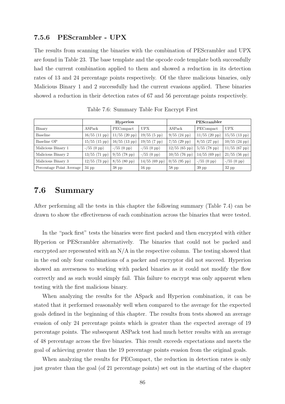#### 7.5.6 PEScrambler - UPX

The results from scanning the binaries with the combination of PEScrambler and UPX are found in Table 23. The base template and the opcode code template both successfully had the current combination applied to them and showed a reduction in its detection rates of 13 and 24 percentage points respectively. Of the three malicious binaries, only Malicious Binary 1 and 2 successfully had the current evasions applied. These binaries showed a reduction in their detection rates of 67 and 56 percentage points respectively.

|                          | <b>Hyperion</b>         |                 |                       | PEScrambler     |                         |                               |
|--------------------------|-------------------------|-----------------|-----------------------|-----------------|-------------------------|-------------------------------|
| Binary                   | $\operatorname{ASPack}$ | PECompact       | <b>UPX</b>            | ASPack          | PECompact               | <b>UPX</b>                    |
| Baseline                 | $16/55$ (11 pp)         | $11/55$ (20 pp) | $19/55(5 \text{ pp})$ | $9/55$ (24 pp)  | $11/55$ (20 pp)         | $15/55$ (13 pp) $\frac{1}{2}$ |
| Baseline OP              | $15/55$ (15 pp)         | $16/55$ (13 pp) | $19/55$ (7 pp)        | $7/55$ (29 pp)  | $8/55$ (27 pp)          | $10/55$ (24 pp)               |
| Malicious Binary 1       | $- / 55 (0 \text{ pp})$ | $- /55$ (0 pp)  | $- /55$ (0 pp)        | $12/55$ (65 pp) | $5/55$ (78 pp)          | $11/55$ (67 pp)               |
| Malicious Binary 2       | $13/55$ (71 pp)         | $9/55$ (78 pp)  | $- /55$ (0 pp)        | $10/55$ (76 pp) | $14/55$ (69 pp)         | $21/55$ (56 pp)               |
| Malicious Binary 3       | $12/55$ (73 pp)         | $8/55$ (80 pp)  | $14/55$ (69 pp)       | $0/55$ (95 pp)  | $- / 55 (0 \text{ pp})$ | $- / 55 (0 \text{ pp})$       |
| Percentage Point Average | $34$ pp                 | $38$ pp         | $16$ pp               | $58$ pp         | $39$ pp                 | $32$ pp                       |

Table 7.6: Summary Table For Encrypt First

## 7.6 Summary

After performing all the tests in this chapter the following summary (Table 7.4) can be drawn to show the effectiveness of each combination across the binaries that were tested.

In the "pack first" tests the binaries were first packed and then encrypted with either Hyperion or PEScrambler alternatively. The binaries that could not be packed and encrypted are represented with an  $N/A$  in the respective column. The testing showed that in the end only four combinations of a packer and encryptor did not succeed. Hyperion showed an averseness to working with packed binaries as it could not modify the flow correctly and as such would simply fail. This failure to encrypt was only apparent when testing with the first malicious binary.

When analyzing the results for the ASpack and Hyperion combination, it can be stated that it performed reasonably well when compared to the average for the expected goals defined in the beginning of this chapter. The results from tests showed an average evasion of only 24 percentage points which is greater than the expected average of 19 percentage points. The subsequent ASPack test had much better results with an average of 48 percentage across the five binaries. This result exceeds expectations and meets the goal of achieving greater than the 19 percentage points evasion from the original goals.

When analyzing the results for PECompact, the reduction in detection rates is only just greater than the goal (of 21 percentage points) set out in the starting of the chapter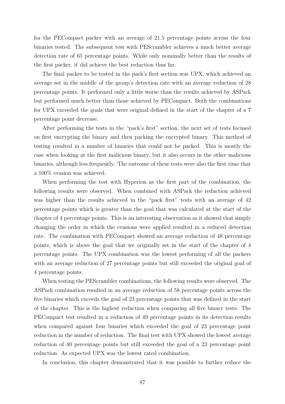for the PECompact packer with an average of 21.5 percentage points across the four binaries tested. The subsequent test with PEScrambler achieves a much better average detection rate of 65 percentage points. While only nominally better than the results of the first packer, it did achieve the best reduction thus far.

The final packer to be tested in the pack's first section was UPX, which achieved an average set in the middle of the group's detection rate with an average reduction of 28 percentage points. It performed only a little worse than the results achieved by ASPack but performed much better than those achieved by PECompact. Both the combinations for UPX exceeded the goals that were original defined in the start of the chapter of a 7 percentage point decrease.

After performing the tests in the "pack's first" section, the next set of tests focused on first encrypting the binary and then packing the encrypted binary. This method of testing resulted in a number of binaries that could not be packed. This is mostly the case when looking at the first malicious binary, but it also occurs in the other malicious binaries, although less frequently. The outcome of these tests were also the first time that a 100% evasion was achieved.

When performing the test with Hyperion as the first part of the combination, the following results were observed. When combined with ASPack the reduction achieved was higher than the results achieved in the "pack first" tests with an average of 42 percentage points which is greater than the goal that was calculated at the start of the chapter of 4 percentage points. This is an interesting observation as it showed that simply changing the order in which the evasions were applied resulted in a reduced detection rate. The combination with PECompact showed an average reduction of 48 percentage points, which is above the goal that we originally set in the start of the chapter of 4 percentage points. The UPX combination was the lowest performing of all the packers with an average reduction of 27 percentage points but still exceeded the original goal of 4 percentage points.

When testing the PEScrambler combinations, the following results were observed. The ASPack combination resulted in an average reduction of 58 percentage points across the five binaries which exceeds the goal of 23 percentage points that was defined in the start of the chapter. This is the highest reduction when comparing all five binary tests. The PECompact test resulted in a reduction of 49 percentage points in its detection results when compared against four binaries which exceeded the goal of 23 percentage point reduction in the number of reduction. The final test with UPX showed the lowest average reduction of 40 percentage points but still exceeded the goal of a 23 percentage point reduction. As expected UPX was the lowest rated combination.

In conclusion, this chapter demonstrated that it was possible to further reduce the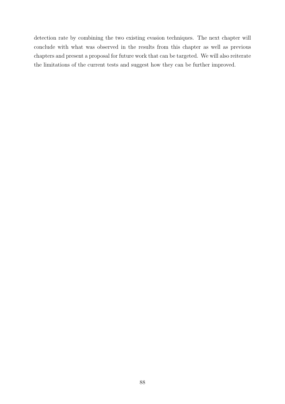detection rate by combining the two existing evasion techniques. The next chapter will conclude with what was observed in the results from this chapter as well as previous chapters and present a proposal for future work that can be targeted. We will also reiterate the limitations of the current tests and suggest how they can be further improved.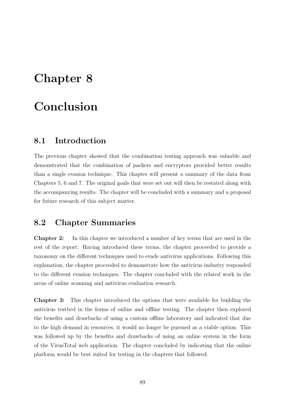# Chapter 8

# Conclusion

## 8.1 Introduction

The previous chapter showed that the combination testing approach was valuable and demonstrated that the combination of packers and encryptors provided better results than a single evasion technique. This chapter will present a summary of the data from Chapters 5, 6 and 7. The original goals that were set out will then be restated along with the accompanying results. The chapter will be concluded with a summary and a proposal for future research of this subject matter.

## 8.2 Chapter Summaries

Chapter 2: In this chapter we introduced a number of key terms that are used in the rest of the report. Having introduced these terms, the chapter proceeded to provide a taxonomy on the different techniques used to evade antivirus applications. Following this explanation, the chapter proceeded to demonstrate how the antivirus industry responded to the different evasion techniques. The chapter concluded with the related work in the areas of online scanning and antivirus evaluation research.

Chapter 3: This chapter introduced the options that were available for building the antivirus testbed in the forms of online and offline testing. The chapter then explored the benefits and drawbacks of using a custom offline laboratory and indicated that due to the high demand in resources, it would no longer be pursued as a viable option. This was followed up by the benefits and drawbacks of using an online system in the form of the VirusTotal web application. The chapter concluded by indicating that the online platform would be best suited for testing in the chapters that followed.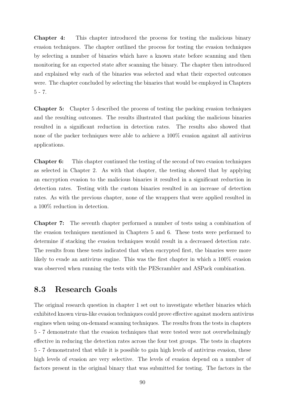Chapter 4: This chapter introduced the process for testing the malicious binary evasion techniques. The chapter outlined the process for testing the evasion techniques by selecting a number of binaries which have a known state before scanning and then monitoring for an expected state after scanning the binary. The chapter then introduced and explained why each of the binaries was selected and what their expected outcomes were. The chapter concluded by selecting the binaries that would be employed in Chapters 5 - 7.

Chapter 5: Chapter 5 described the process of testing the packing evasion techniques and the resulting outcomes. The results illustrated that packing the malicious binaries resulted in a significant reduction in detection rates. The results also showed that none of the packer techniques were able to achieve a 100% evasion against all antivirus applications.

Chapter 6: This chapter continued the testing of the second of two evasion techniques as selected in Chapter 2. As with that chapter, the testing showed that by applying an encryption evasion to the malicious binaries it resulted in a significant reduction in detection rates. Testing with the custom binaries resulted in an increase of detection rates. As with the previous chapter, none of the wrappers that were applied resulted in a 100% reduction in detection.

Chapter 7: The seventh chapter performed a number of tests using a combination of the evasion techniques mentioned in Chapters 5 and 6. These tests were performed to determine if stacking the evasion techniques would result in a decreased detection rate. The results from these tests indicated that when encrypted first, the binaries were more likely to evade an antivirus engine. This was the first chapter in which a  $100\%$  evasion was observed when running the tests with the PEScrambler and ASPack combination.

# 8.3 Research Goals

The original research question in chapter 1 set out to investigate whether binaries which exhibited known virus-like evasion techniques could prove effective against modern antivirus engines when using on-demand scanning techniques. The results from the tests in chapters 5 - 7 demonstrate that the evasion techniques that were tested were not overwhelmingly effective in reducing the detection rates across the four test groups. The tests in chapters 5 - 7 demonstrated that while it is possible to gain high levels of antivirus evasion, these high levels of evasion are very selective. The levels of evasion depend on a number of factors present in the original binary that was submitted for testing. The factors in the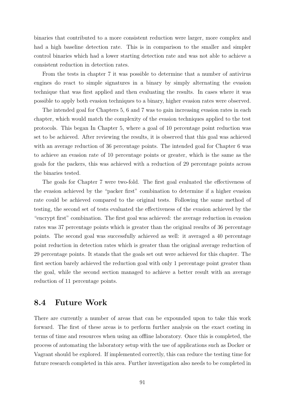binaries that contributed to a more consistent reduction were larger, more complex and had a high baseline detection rate. This is in comparison to the smaller and simpler control binaries which had a lower starting detection rate and was not able to achieve a consistent reduction in detection rates.

From the tests in chapter 7 it was possible to determine that a number of antivirus engines do react to simple signatures in a binary by simply alternating the evasion technique that was first applied and then evaluating the results. In cases where it was possible to apply both evasion techniques to a binary, higher evasion rates were observed.

The intended goal for Chapters 5, 6 and 7 was to gain increasing evasion rates in each chapter, which would match the complexity of the evasion techniques applied to the test protocols. This began In Chapter 5, where a goal of 10 percentage point reduction was set to be achieved. After reviewing the results, it is observed that this goal was achieved with an average reduction of 36 percentage points. The intended goal for Chapter 6 was to achieve an evasion rate of 10 percentage points or greater, which is the same as the goals for the packers, this was achieved with a reduction of 29 percentage points across the binaries tested.

The goals for Chapter 7 were two-fold. The first goal evaluated the effectiveness of the evasion achieved by the "packer first" combination to determine if a higher evasion rate could be achieved compared to the original tests. Following the same method of testing, the second set of tests evaluated the effectiveness of the evasion achieved by the "encrypt first" combination. The first goal was achieved: the average reduction in evasion rates was 37 percentage points which is greater than the original results of 36 percentage points. The second goal was successfully achieved as well: it averaged a 40 percentage point reduction in detection rates which is greater than the original average reduction of 29 percentage points. It stands that the goals set out were achieved for this chapter. The first section barely achieved the reduction goal with only 1 percentage point greater than the goal, while the second section managed to achieve a better result with an average reduction of 11 percentage points.

### 8.4 Future Work

There are currently a number of areas that can be expounded upon to take this work forward. The first of these areas is to perform further analysis on the exact costing in terms of time and resources when using an offline laboratory. Once this is completed, the process of automating the laboratory setup with the use of applications such as Docker or Vagrant should be explored. If implemented correctly, this can reduce the testing time for future research completed in this area. Further investigation also needs to be completed in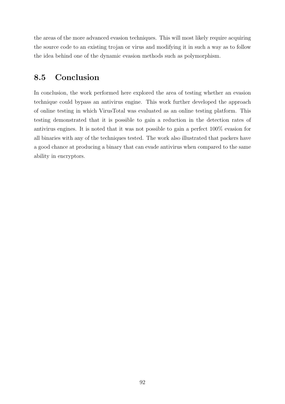the areas of the more advanced evasion techniques. This will most likely require acquiring the source code to an existing trojan or virus and modifying it in such a way as to follow the idea behind one of the dynamic evasion methods such as polymorphism.

# 8.5 Conclusion

In conclusion, the work performed here explored the area of testing whether an evasion technique could bypass an antivirus engine. This work further developed the approach of online testing in which VirusTotal was evaluated as an online testing platform. This testing demonstrated that it is possible to gain a reduction in the detection rates of antivirus engines. It is noted that it was not possible to gain a perfect 100% evasion for all binaries with any of the techniques tested. The work also illustrated that packers have a good chance at producing a binary that can evade antivirus when compared to the same ability in encryptors.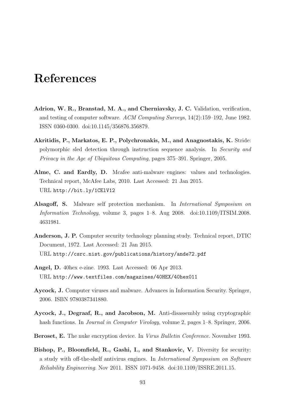# References

- Adrion, W. R., Branstad, M. A., and Cherniavsky, J. C. Validation, verification, and testing of computer software. ACM Computing Surveys, 14(2):159–192, June 1982. ISSN 0360-0300. doi:10.1145/356876.356879.
- Akritidis, P., Markatos, E. P., Polychronakis, M., and Anagnostakis, K. Stride: polymorphic sled detection through instruction sequence analysis. In Security and Privacy in the Age of Ubiquitous Computing, pages 375–391. Springer, 2005.
- Alme, C. and Eardly, D. Mcafee anti-malware engines: values and technologies. Technical report, McAfee Labs, 2010. Last Accessed: 21 Jan 2015. URL http://bit.ly/1CElV12
- Alsagoff, S. Malware self protection mechanism. In International Symposium on Information Technology, volume 3, pages 1–8. Aug 2008. doi:10.1109/ITSIM.2008. 4631981.
- Anderson, J. P. Computer security technology planning study. Technical report, DTIC Document, 1972. Last Accessed: 21 Jan 2015. URL http://csrc.nist.gov/publications/history/ande72.pdf
- Angel, D. 40hex e-zine. 1993. Last Accessed: 06 Apr 2013. URL http://www.textfiles.com/magazines/40HEX/40hex011
- Aycock, J. Computer viruses and malware. Advances in Information Security. Springer, 2006. ISBN 9780387341880.
- Aycock, J., Degraaf, R., and Jacobson, M. Anti-disassembly using cryptographic hash functions. In *Journal in Computer Virology*, volume 2, pages  $1-8$ . Springer, 2006.
- Beroset, E. The nuke encryption device. In Virus Bulletin Conference. November 1993.
- Bishop, P., Bloomfield, R., Gashi, I., and Stankovic, V. Diversity for security: a study with off-the-shelf antivirus engines. In International Symposium on Software Reliability Engineering. Nov 2011. ISSN 1071-9458. doi:10.1109/ISSRE.2011.15.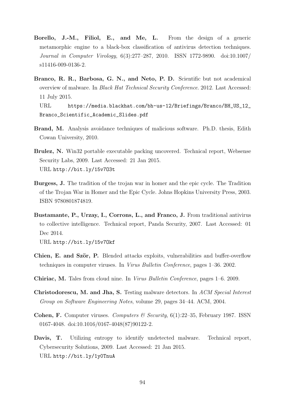- Borello, J.-M., Filiol, E., and Me, L. From the design of a generic metamorphic engine to a black-box classification of antivirus detection techniques. Journal in Computer Virology, 6(3):277–287, 2010. ISSN 1772-9890. doi:10.1007/ s11416-009-0136-2.
- Branco, R. R., Barbosa, G. N., and Neto, P. D. Scientific but not academical overview of malware. In Black Hat Technical Security Conference. 2012. Last Accessed: 11 July 2015.

URL https://media.blackhat.com/bh-us-12/Briefings/Branco/BH\_US\_12\_ Branco\_Scientific\_Academic\_Slides.pdf

- Brand, M. Analysis avoidance techniques of malicious software. Ph.D. thesis, Edith Cowan University, 2010.
- Brulez, N. Win32 portable executable packing uncovered. Technical report, Websense Security Labs, 2009. Last Accessed: 21 Jan 2015. URL http://bit.ly/15v7O3t
- Burgess, J. The tradition of the trojan war in homer and the epic cycle. The Tradition of the Trojan War in Homer and the Epic Cycle. Johns Hopkins University Press, 2003. ISBN 9780801874819.
- Bustamante, P., Urzay, I., Corrons, L., and Franco, J. From traditional antivirus to collective intelligence. Technical report, Panda Security, 2007. Last Accessed: 01 Dec 2014.

URL http://bit.ly/15v7Okf

- Chien, E. and Ször, P. Blended attacks exploits, vulnerabilities and buffer-overflow techniques in computer viruses. In Virus Bulletin Conference, pages 1–36. 2002.
- Chiriac, M. Tales from cloud nine. In Virus Bulletin Conference, pages 1–6. 2009.
- Christodorescu, M. and Jha, S. Testing malware detectors. In ACM Special Interest Group on Software Engineering Notes, volume 29, pages 34–44. ACM, 2004.
- **Cohen, F.** Computer viruses. Computers  $\mathcal{C}$  Security, 6(1):22–35, February 1987. ISSN 0167-4048. doi:10.1016/0167-4048(87)90122-2.
- Davis, T. Utilizing entropy to identify undetected malware. Technical report, Cybersecurity Solutions, 2009. Last Accessed: 21 Jan 2015. URL http://bit.ly/1y0TnuA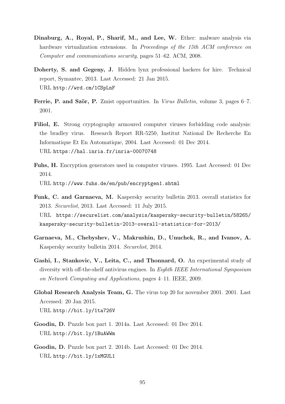- Dinaburg, A., Royal, P., Sharif, M., and Lee, W. Ether: malware analysis via hardware virtualization extensions. In *Proceedings of the 15th ACM conference on* Computer and communications security, pages 51–62. ACM, 2008.
- Doherty, S. and Gegeny, J. Hidden lynx professional hackers for hire. Technical report, Symantec, 2013. Last Accessed: 21 Jan 2015. URL http://wrd.cm/1CSpLnF
- Ferrie, P. and Ször, P. Zmist opportunities. In Virus Bulletin, volume 3, pages 6–7. 2001.
- Filiol, E. Strong cryptography armoured computer viruses forbidding code analysis: the bradley virus. Research Report RR-5250, Institut National De Recherche En Informatique Et En Automatique, 2004. Last Accessed: 01 Dec 2014. URL https://hal.inria.fr/inria-00070748
- Fuhs, H. Encryption generators used in computer viruses. 1995. Last Accessed: 01 Dec 2014.

URL http://www.fuhs.de/en/pub/encryptgen1.shtml

- Funk, C. and Garnaeva, M. Kaspersky security bulletin 2013. overall statistics for 2013. Securelist, 2013. Last Accessed: 11 July 2015. URL https://securelist.com/analysis/kaspersky-security-bulletin/58265/ kaspersky-security-bulletin-2013-overall-statistics-for-2013/
- Garnaeva, M., Chebyshev, V., Makrushin, D., Unuchek, R., and Ivanov, A. Kaspersky security bulletin 2014. Securelist, 2014.
- Gashi, I., Stankovic, V., Leita, C., and Thonnard, O. An experimental study of diversity with off-the-shelf antivirus engines. In Eighth IEEE International Symposium on Network Computing and Applications, pages 4–11. IEEE, 2009.
- Global Research Analysis Team, G. The virus top 20 for november 2001. 2001. Last Accessed: 20 Jan 2015. URL http://bit.ly/1ta726V
- Goodin, D. Puzzle box part 1. 2014a. Last Accessed: 01 Dec 2014. URL http://bit.ly/1BuAWWm
- Goodin, D. Puzzle box part 2. 2014b. Last Accessed: 01 Dec 2014. URL http://bit.ly/1xMGUL1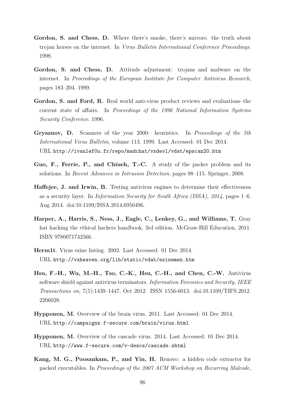- Gordon, S. and Chess, D. Where there's smoke, there's mirrors: the truth about trojan horses on the internet. In Virus Bulletin International Conference Proceedings. 1998.
- Gordon, S. and Chess, D. Attitude adjustment: trojans and malware on the internet. In Proceedings of the European Institute for Computer Antivirus Research, pages 183–204. 1999.
- Gordon, S. and Ford, R. Real world anti-virus product reviews and evaluations–the current state of affairs. In Proceedings of the 1996 National Information Systems Security Conference. 1996.
- Gryaznov, D. Scanners of the year 2000: heuristics. In Proceedings of the 5th International Virus Bulletin, volume 113. 1999. Last Accessed: 01 Dec 2014. URL http://ivanlef0u.fr/repo/madchat/vxdevl/vdat/epscan20.htm
- Guo, F., Ferrie, P., and Chiueh, T.-C. A study of the packer problem and its solutions. In Recent Advances in Intrusion Detection, pages 98–115. Springer, 2008.
- Haffejee, J. and Irwin, B. Testing antivirus engines to determine their effectiveness as a security layer. In Information Security for South Africa (ISSA), 2014, pages 1–6. Aug 2014. doi:10.1109/ISSA.2014.6950496.
- Harper, A., Harris, S., Ness, J., Eagle, C., Lenkey, G., and Williams, T. Gray hat hacking the ethical hackers handbook, 3rd edition. McGraw-Hill Education, 2011. ISBN 9780071742566.
- Herm1t. Virus ezine listing. 2002. Last Accessed: 01 Dec 2014. URL http://vxheaven.org/lib/static/vdat/ezinemen.htm
- Hsu, F.-H., Wu, M.-H., Tso, C.-K., Hsu, C.-H., and Chen, C.-W. Antivirus software shield against antivirus terminators. Information Forensics and Security, IEEE Transactions on, 7(5):1439–1447, Oct 2012. ISSN 1556-6013. doi:10.1109/TIFS.2012. 2206028.
- Hypponen, M. Overview of the brain virus. 2011. Last Accessed: 01 Dec 2014. URL http://campaigns.f-secure.com/brain/virus.html
- Hypponen, M. Overview of the cascade virus. 2014. Last Accessed: 01 Dec 2014. URL http://www.f-secure.com/v-descs/cascade.shtml
- Kang, M. G., Poosankam, P., and Yin, H. Renovo: a hidden code extractor for packed executables. In Proceedings of the 2007 ACM Workshop on Recurring Malcode,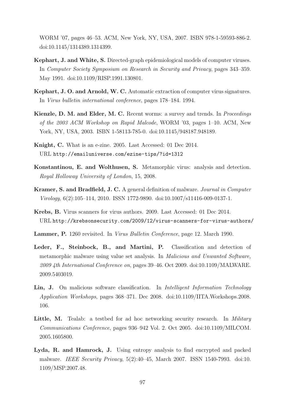WORM '07, pages 46–53. ACM, New York, NY, USA, 2007. ISBN 978-1-59593-886-2. doi:10.1145/1314389.1314399.

- Kephart, J. and White, S. Directed-graph epidemiological models of computer viruses. In Computer Society Symposium on Research in Security and Privacy, pages 343–359. May 1991. doi:10.1109/RISP.1991.130801.
- Kephart, J. O. and Arnold, W. C. Automatic extraction of computer virus signatures. In Virus bulletin international conference, pages 178–184. 1994.
- Kienzle, D. M. and Elder, M. C. Recent worms: a survey and trends. In *Proceedings* of the 2003 ACM Workshop on Rapid Malcode, WORM '03, pages 1–10. ACM, New York, NY, USA, 2003. ISBN 1-58113-785-0. doi:10.1145/948187.948189.
- Knight, C. What is an e-zine. 2005. Last Accessed: 01 Dec 2014. URL http://emailuniverse.com/ezine-tips/?id=1312
- Konstantinou, E. and Wolthusen, S. Metamorphic virus: analysis and detection. Royal Holloway University of London, 15, 2008.
- Kramer, S. and Bradfield, J. C. A general definition of malware. Journal in Computer Virology, 6(2):105–114, 2010. ISSN 1772-9890. doi:10.1007/s11416-009-0137-1.
- Krebs, B. Virus scanners for virus authors. 2009. Last Accessed: 01 Dec 2014. URL http://krebsonsecurity.com/2009/12/virus-scanners-for-virus-authors/
- Lammer, P. 1260 revisited. In Virus Bulletin Conference, page 12. March 1990.
- Leder, F., Steinbock, B., and Martini, P. Classification and detection of metamorphic malware using value set analysis. In Malicious and Unwanted Software, 2009 4th International Conference on, pages 39–46. Oct 2009. doi:10.1109/MALWARE. 2009.5403019.
- Lin, J. On malicious software classification. In Intelligent Information Technology Application Workshops, pages 368–371. Dec 2008. doi:10.1109/IITA.Workshops.2008. 106.
- Little, M. Tealab: a testbed for ad hoc networking security research. In Military Communications Conference, pages 936–942 Vol. 2. Oct 2005. doi:10.1109/MILCOM. 2005.1605800.
- Lyda, R. and Hamrock, J. Using entropy analysis to find encrypted and packed malware. IEEE Security Privacy, 5(2):40–45, March 2007. ISSN 1540-7993. doi:10. 1109/MSP.2007.48.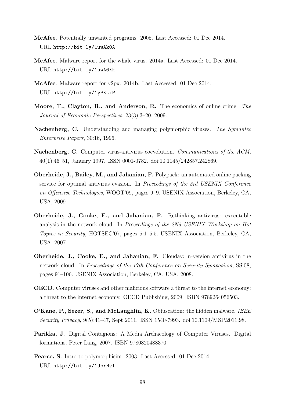- McAfee. Potentially unwanted programs. 2005. Last Accessed: 01 Dec 2014. URL http://bit.ly/1uwAk0A
- McAfee. Malware report for the whale virus. 2014a. Last Accessed: 01 Dec 2014. URL http://bit.ly/1uwA6Xk
- McAfee. Malware report for v2px. 2014b. Last Accessed: 01 Dec 2014. URL http://bit.ly/1yPKLxP
- Moore, T., Clayton, R., and Anderson, R. The economics of online crime. The Journal of Economic Perspectives, 23(3):3–20, 2009.
- Nachenberg, C. Understanding and managing polymorphic viruses. The Symantec Enterprise Papers, 30:16, 1996.
- Nachenberg, C. Computer virus-antivirus coevolution. Communications of the ACM, 40(1):46–51, January 1997. ISSN 0001-0782. doi:10.1145/242857.242869.
- Oberheide, J., Bailey, M., and Jahanian, F. Polypack: an automated online packing service for optimal antivirus evasion. In Proceedings of the 3rd USENIX Conference on Offensive Technologies, WOOT'09, pages 9–9. USENIX Association, Berkeley, CA, USA, 2009.
- Oberheide, J., Cooke, E., and Jahanian, F. Rethinking antivirus: executable analysis in the network cloud. In Proceedings of the 2Nd USENIX Workshop on Hot Topics in Security, HOTSEC'07, pages 5:1–5:5. USENIX Association, Berkeley, CA, USA, 2007.
- Oberheide, J., Cooke, E., and Jahanian, F. Cloudav: n-version antivirus in the network cloud. In Proceedings of the 17th Conference on Security Symposium, SS'08, pages 91–106. USENIX Association, Berkeley, CA, USA, 2008.
- OECD. Computer viruses and other malicious software a threat to the internet economy: a threat to the internet economy. OECD Publishing, 2009. ISBN 9789264056503.
- O'Kane, P., Sezer, S., and McLaughlin, K. Obfuscation: the hidden malware. IEEE Security Privacy, 9(5):41–47, Sept 2011. ISSN 1540-7993. doi:10.1109/MSP.2011.98.
- Parikka, J. Digital Contagions: A Media Archaeology of Computer Viruses. Digital formations. Peter Lang, 2007. ISBN 9780820488370.
- Pearce, S. Intro to polymorphisim. 2003. Last Accessed: 01 Dec 2014. URL http://bit.ly/1JbrHvl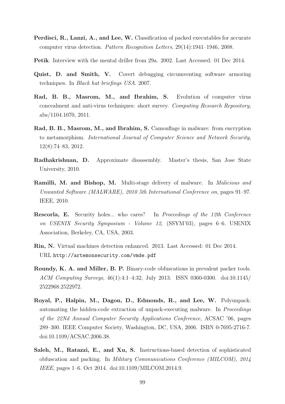- Perdisci, R., Lanzi, A., and Lee, W. Classification of packed executables for accurate computer virus detection. Pattern Recognition Letters, 29(14):1941–1946, 2008.
- Petik. Interview with the mental driller from 29a. 2002. Last Accessed: 01 Dec 2014.
- Quist, D. and Smith, V. Covert debugging circumventing software armoring techniques. In Black hat briefings USA. 2007.
- Rad, B. B., Masrom, M., and Ibrahim, S. Evolution of computer virus concealment and anti-virus techniques: short survey. Computing Research Repository, abs/1104.1070, 2011.
- Rad, B. B., Masrom, M., and Ibrahim, S. Camouflage in malware: from encryption to metamorphism. International Journal of Computer Science and Network Security, 12(8):74–83, 2012.
- Radhakrishnan, D. Approximate disassembly. Master's thesis, San Jose State University, 2010.
- Ramilli, M. and Bishop, M. Multi-stage delivery of malware. In Malicious and Unwanted Software (MALWARE), 2010 5th International Conference on, pages 91–97. IEEE, 2010.
- Rescorla, E. Security holes... who cares? In Proceedings of the 12th Conference on USENIX Security Symposium - Volume 12, (SSYM'03), pages 6–6. USENIX Association, Berkeley, CA, USA, 2003.
- Rin, N. Virtual machines detection enhanced. 2013. Last Accessed: 01 Dec 2014. URL http://artemonsecurity.com/vmde.pdf
- Roundy, K. A. and Miller, B. P. Binary-code obfuscations in prevalent packer tools. ACM Computing Surveys, 46(1):4:1–4:32, July 2013. ISSN 0360-0300. doi:10.1145/ 2522968.2522972.
- Royal, P., Halpin, M., Dagon, D., Edmonds, R., and Lee, W. Polyunpack: automating the hidden-code extraction of unpack-executing malware. In Proceedings of the 22Nd Annual Computer Security Applications Conference, ACSAC '06, pages 289–300. IEEE Computer Society, Washington, DC, USA, 2006. ISBN 0-7695-2716-7. doi:10.1109/ACSAC.2006.38.
- Saleh, M., Ratazzi, E., and Xu, S. Instructions-based detection of sophisticated obfuscation and packing. In Military Communications Conference (MILCOM), 2014 IEEE, pages 1–6. Oct 2014. doi:10.1109/MILCOM.2014.9.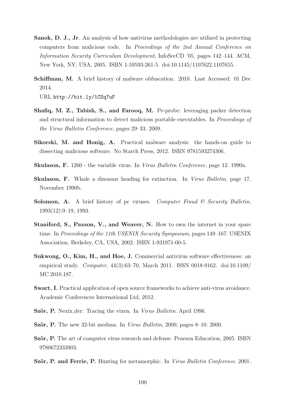- Sanok, D. J., Jr. An analysis of how antivirus methodologies are utilized in protecting computers from malicious code. In Proceedings of the 2nd Annual Conference on Information Security Curriculum Development, InfoSecCD '05, pages 142–144. ACM, New York, NY, USA, 2005. ISBN 1-59593-261-5. doi:10.1145/1107622.1107655.
- Schiffman, M. A brief history of malware obfuscation. 2010. Last Accessed: 01 Dec 2014.

URL http://bit.ly/1CSq7uF

- Shafiq, M. Z., Tabish, S., and Farooq, M. Pe-probe: leveraging packer detection and structural information to detect malicious portable executables. In Proceedings of the Virus Bulletin Conference, pages 29–33. 2009.
- Sikorski, M. and Honig, A. Practical malware analysis: the hands-on guide to dissecting malicious software. No Starch Press, 2012. ISBN 9781593274306.
- Skulason, F. 1260 the variable virus. In Virus Bulletin Conference, page 12. 1990a.
- Skulason, F. Whale a dinosaur heading for extinction. In Virus Bulletin, page 17. November 1990b.
- **Solomon, A.** A brief history of pc viruses. Computer Fraud  $\&$  Security Bulletin, 1993(12):9–19, 1993.
- Staniford, S., Paxson, V., and Weaver, N. How to own the internet in your spare time. In Proceedings of the 11th USENIX Security Symposium, pages 149–167. USENIX Association, Berkeley, CA, USA, 2002. ISBN 1-931971-00-5.
- Sukwong, O., Kim, H., and Hoe, J. Commercial antivirus software effectiveness: an empirical study. Computer, 44(3):63–70, March 2011. ISSN 0018-9162. doi:10.1109/ MC.2010.187.
- Swart, I. Practical application of open source frameworks to achieve anti-virus avoidance. Academic Conferences International Ltd, 2012.
- Ször, P. Nexix der: Tracing the vixen. In Virus Bulletin. April 1996.
- Ször, P. The new 32-bit medusa. In *Virus Bulletin*, 2000, pages  $8-10$ . 2000.
- Ször, P. The art of computer virus research and defense. Pearson Education, 2005. ISBN 9780672333903.
- Ször, P. and Ferrie, P. Hunting for metamorphic. In Virus Bulletin Conference. 2001.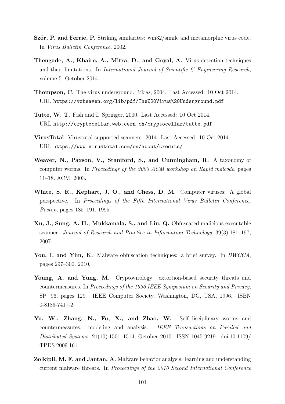- Ször, P. and Ferrie, P. Striking similarites: win32/simile and metamorphic virus code. In Virus Bulletin Conference. 2002.
- Thengade, A., Khaire, A., Mitra, D., and Goyal, A. Virus detection techniques and their limitations. In *International Journal of Scientific*  $\mathscr B$  *Engineering Research*, volume 5. October 2014.
- Thompson, C. The virus underground. Virus, 2004. Last Accessed: 10 Oct 2014. URL https://vxheaven.org/lib/pdf/The%20Virus%20Underground.pdf
- Tutte, W. T. Fish and I. Springer, 2000. Last Accessed: 10 Oct 2014. URL http://cryptocellar.web.cern.ch/cryptocellar/tutte.pdf
- VirusTotal. Virustotal supported scanners. 2014. Last Accessed: 10 Oct 2014. URL https://www.virustotal.com/en/about/credits/
- Weaver, N., Paxson, V., Staniford, S., and Cunningham, R. A taxonomy of computer worms. In Proceedings of the 2003 ACM workshop on Rapid malcode, pages 11–18. ACM, 2003.
- White, S. R., Kephart, J. O., and Chess, D. M. Computer viruses: A global perspective. In Proceedings of the Fifth International Virus Bulletin Conference, Boston, pages 185–191. 1995.
- Xu, J., Sung, A. H., Mukkamala, S., and Liu, Q. Obfuscated malicious executable scanner. Journal of Research and Practice in Information Technology, 39(3):181–197, 2007.
- You, I. and Yim, K. Malware obfuscation techniques: a brief survey. In BWCCA, pages 297–300. 2010.
- Young, A. and Yung, M. Cryptovirology: extortion-based security threats and countermeasures. In Proceedings of the 1996 IEEE Symposium on Security and Privacy, SP '96, pages 129–. IEEE Computer Society, Washington, DC, USA, 1996. ISBN 0-8186-7417-2.
- Yu, W., Zhang, N., Fu, X., and Zhao, W. Self-disciplinary worms and countermeasures: modeling and analysis. IEEE Transactions on Parallel and Distributed Systems, 21(10):1501–1514, October 2010. ISSN 1045-9219. doi:10.1109/ TPDS.2009.161.
- Zolkipli, M. F. and Jantan, A. Malware behavior analysis: learning and understanding current malware threats. In Proceedings of the 2010 Second International Conference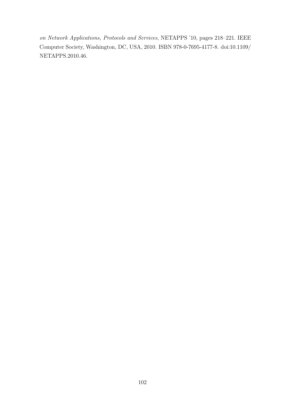on Network Applications, Protocols and Services, NETAPPS '10, pages 218–221. IEEE Computer Society, Washington, DC, USA, 2010. ISBN 978-0-7695-4177-8. doi:10.1109/ NETAPPS.2010.46.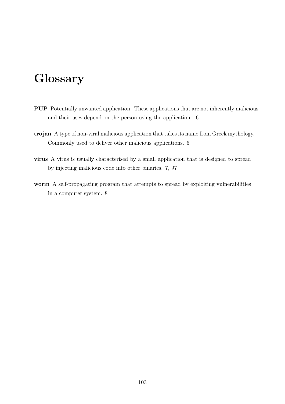## Glossary

- PUP Potentially unwanted application. These applications that are not inherently malicious and their uses depend on the person using the application.. 6
- trojan A type of non-viral malicious application that takes its name from Greek mythology. Commonly used to deliver other malicious applications. 6
- virus A virus is usually characterised by a small application that is designed to spread by injecting malicious code into other binaries. 7, 97
- worm A self-propagating program that attempts to spread by exploiting vulnerabilities in a computer system. 8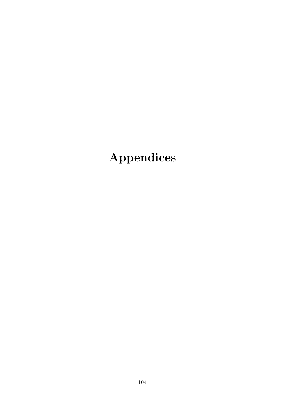Appendices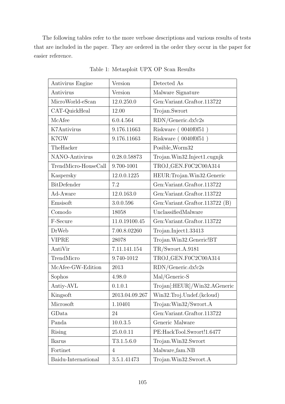The following tables refer to the more verbose descriptions and various results of tests that are included in the paper. They are ordered in the order they occur in the paper for easier reference.

| Antivirus Engine     | Version        | Detected As                       |
|----------------------|----------------|-----------------------------------|
| Antivirus            | Version        | Malware Signature                 |
| MicroWorld-eScan     | 12.0.250.0     | Gen:Variant.Graftor.113722        |
| CAT-QuickHeal        | 12.00          | Trojan.Swrort                     |
| McAfee               | 6.0.4.564      | RDN/Generic.dx!c2s                |
| K7Antivirus          | 9.176.11663    | Riskware $(0040f0f51)$            |
| K7GW                 | 9.176.11663    | Riskware $(0040f0f51)$            |
| TheHacker            |                | Posible_Worm32                    |
| NANO-Antivirus       | 0.28.0.58873   | Trojan.Win32.Inject1.cugnjk       |
| TrendMicro-HouseCall | 9.700-1001     | TROJ_GEN.F0C2C00A314              |
| Kaspersky            | 12.0.0.1225    | HEUR:Trojan.Win32.Generic         |
| BitDefender          | 7.2            | Gen: Variant. Graftor. 113722     |
| Ad-Aware             | 12.0.163.0     | Gen: Variant. Graftor. 113722     |
| Emsisoft             | 3.0.0.596      | Gen: Variant. Graftor. 113722 (B) |
| Comodo               | 18058          | UnclassifiedMalware               |
| F-Secure             | 11.0.19100.45  | Gen: Variant. Graftor. 113722     |
| DrWeb                | 7.00.8.02260   | Trojan.Inject1.33413              |
| <b>VIPRE</b>         | 28078          | Trojan.Win32.Generic!BT           |
| AntiVir              | 7.11.141.154   | TR/Swrort.A.9181                  |
| TrendMicro           | 9.740-1012     | TROJ_GEN.F0C2C00A314              |
| McAfee-GW-Edition    | 2013           | RDN/Generic.dx!c2s                |
| Sophos               | 4.98.0         | Mal/Generic-S                     |
| Antiy-AVL            | 0.1.0.1        | Trojan[:HEUR]/Win32.AGeneric      |
| Kingsoft             | 2013.04.09.267 | Win32.Troj.Undef.(kcloud)         |
| Microsoft            | 1.10401        | Trojan:Win32/Swrort.A             |
| GData                | 24             | Gen: Variant. Graftor. 113722     |
| Panda                | 10.0.3.5       | Generic Malware                   |
| <b>Rising</b>        | 25.0.0.11      | PE:HackTool.Swrort!1.6477         |
| Ikarus               | T3.1.5.6.0     | Trojan.Win32.Swrort               |
| Fortinet             | $\overline{4}$ | Malware_fam.NB                    |
| Baidu-International  | 3.5.1.41473    | Trojan.Win32.Swrort.A             |

Table 1: Metasploit UPX OP Scan Results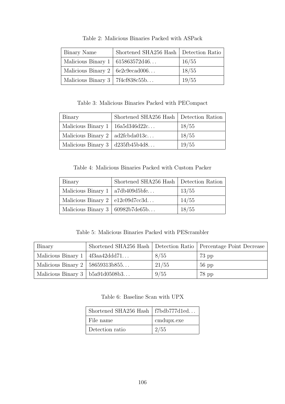| Binary Name                            | Shortened SHA256 Hash   Detection Ratio |       |
|----------------------------------------|-----------------------------------------|-------|
| Malicious Binary $1   615863572d46$    |                                         | 16/55 |
| Malicious Binary $2 \mid 6e2c9ecad006$ |                                         | 18/55 |
| Malicious Binary $3 \mid 7f4cf838c55b$ |                                         | 19/55 |

Table 2: Malicious Binaries Packed with ASPack

Table 3: Malicious Binaries Packed with PECompact

| Binary                                        | Shortened SHA256 Hash   Detection Ration |       |
|-----------------------------------------------|------------------------------------------|-------|
| Malicious Binary $1 \mid 16a5d346d22c$        |                                          | 18/55 |
| Malicious Binary $2 \mid \text{ad2fcbda013c}$ |                                          | 18/55 |
| Malicious Binary $3   d235f b45b4d8$          |                                          | 19/55 |

Table 4: Malicious Binaries Packed with Custom Packer

| Binary                                  | Shortened SHA256 Hash   Detection Ration |       |
|-----------------------------------------|------------------------------------------|-------|
| Malicious Binary $1   a7db409d5bfe$     |                                          | 13/55 |
| Malicious Binary $2 \mid e12c09d7c c3d$ |                                          | 14/55 |
| Malicious Binary $3   60982b7de65b$     |                                          | 18/55 |

Table 5: Malicious Binaries Packed with PEScrambler

| Binary                                 |       | Shortened SHA256 Hash   Detection Ratio   Percentage Point Decrease |
|----------------------------------------|-------|---------------------------------------------------------------------|
| Malicious Binary $1 \mid 4f3aa42ddd71$ | 8/55  | $73$ pp                                                             |
| Malicious Binary $2 \mid 58659313b855$ | 21/55 | $56$ pp                                                             |
| Malicious Binary $3 \mid b5a91d0508b3$ | 9/55  | $78$ pp                                                             |

Table 6: Baseline Scan with UPX

| Shortened SHA256 Hash   $f7bdb777d1ed$ |            |
|----------------------------------------|------------|
| File name                              | cmdupx.exe |
| Detection ratio                        | 2/55       |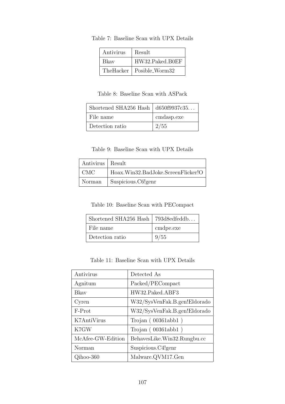| Antivirus | Result          |
|-----------|-----------------|
| Bkay      | HW32.Paked.B0EF |
| TheHacker | Posible_Worm32  |

Table 7: Baseline Scan with UPX Details

Table 8: Baseline Scan with ASPack

| Shortened SHA256 Hash $\vert$ d650f9937c35 |            |
|--------------------------------------------|------------|
| File name                                  | cmdasp.exe |
| Detection ratio                            | 2/55       |

Table 9: Baseline Scan with UPX Details

| Antivirus   Result |                                    |
|--------------------|------------------------------------|
| CMC                | Hoax.Win32.BadJoke.ScreenFlicker!O |
| Norman             | Suspicious.C6!genr                 |

Table 10: Baseline Scan with PECompact

| Shortened SHA256 Hash   793d8edfeddb |           |
|--------------------------------------|-----------|
| File name                            | cmdpe.exe |
| Detection ratio                      | 9/55      |

Table 11: Baseline Scan with UPX Details

| Antivirus         | Detected As                  |
|-------------------|------------------------------|
| Agnitum           | Packed/PECompact             |
| <b>Bkay</b>       | HW32.Paked.ABF3              |
| Cyren             | W32/SysVenFak.B.gen!Eldorado |
| F-Prot            | W32/SysVenFak.B.gen!Eldorado |
| K7AntiVirus       | Trojan $(00361abbl)$         |
| K7GW              | Trojan $(00361abbl)$         |
| McAfee-GW-Edition | BehavesLike.Win32.Rungbu.cc  |
| Norman            | Suspicious.C4!genr           |
| Qihoo-360         | Malware.QVM17.Gen            |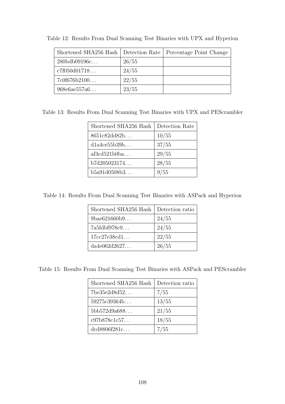| Shortened SHA256 Hash |       | Detection Rate   Percentage Point Change |
|-----------------------|-------|------------------------------------------|
| $280$ bdb $09196c$    | 26/55 |                                          |
| c7f050d01718          | 24/55 |                                          |
| 7c0f676b2100          | 22/55 |                                          |
| 968e6ae557a6          | 23/55 |                                          |

Table 12: Results From Dual Scanning Test Binaries with UPX and Hyperion

Table 13: Results From Dual Scanning Test Binaries with UPX and PEScrambler

| Shortened SHA256 Hash | Detection Rate |
|-----------------------|----------------|
| 8651c82dd82b          | 10/55          |
| dla4ce55b39b          | 37/55          |
| af3cd521b0ba          | 29/55          |
| b7d205023174          | 28/55          |
| b5a91d0508b3          | 9/55           |

Table 14: Results From Dual Scanning Test Binaries with ASPack and Hyperion

| Shortened SHA256 Hash | Detection ratio |
|-----------------------|-----------------|
| 9bae621660b9          | 24/55           |
| 7a5fdbf978c9          | 24/55           |
| 17cc27e38cd1          | 22/55           |
| da4e062d2627          | 26/55           |

Table 15: Results From Dual Scanning Test Binaries with ASPack and PEScrambler

| Shortened SHA256 Hash | Detection ratio |
|-----------------------|-----------------|
| 7be35e2d8d52          | 7/55            |
| 59275c39364b          | 13/55           |
| 5bb572d9a688          | 21/55           |
| c97b878c1c57          | 18/55           |
| dcd8806f281c          | 7/55            |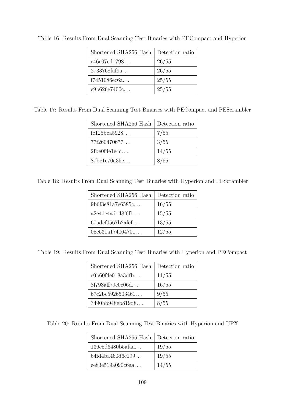| Shortened SHA256 Hash | Detection ratio |
|-----------------------|-----------------|
| c46e07ed1798          | 26/55           |
| 2733768faf9a          | 26/55           |
| f7451086ec6a          | 25/55           |
| e9b626e7400c          | 25/55           |

Table 16: Results From Dual Scanning Test Binaries with PECompact and Hyperion

Table 17: Results From Dual Scanning Test Binaries with PECompact and PEScrambler

| Shortened SHA256 Hash           | Detection ratio |
|---------------------------------|-----------------|
| $fc125$ bea $5928$              | 7/55            |
| 77f260470677                    | 3/55            |
| $2$ fbe $0$ f $4$ e $1$ e $4$ c | 14/55           |
| 87be1e70a35e                    | 8/55            |

Table 18: Results From Dual Scanning Test Binaries with Hyperion and PEScrambler

| Shortened SHA256 Hash       | Detection ratio |
|-----------------------------|-----------------|
| 9b6f3e81a7e6585c            | 16/55           |
| a2e41c4a6b48f6f1            | 15/55           |
| $67$ adcf $0567$ b $2$ afef | 13/55           |
| 05c531a174064701            | 12/55           |

Table 19: Results From Dual Scanning Test Binaries with Hyperion and PECompact

| Shortened SHA256 Hash | Detection ratio |
|-----------------------|-----------------|
| e0b60f4e018a3dfb      | 11/55           |
| 8f793aff79e0c06d      | 16/55           |
| 67c2bc5926503461      | 9/55            |
| 3490bb948eb819d8      | 8/55            |

Table 20: Results From Dual Scanning Test Binaries with Hyperion and UPX

| Shortened SHA256 Hash | Detection ratio |
|-----------------------|-----------------|
| 136c5d6480b5afaa      | 19/55           |
| 64fd4ba460d6c199      | 19/55           |
| ee83e519a090c6aa      | 14/55           |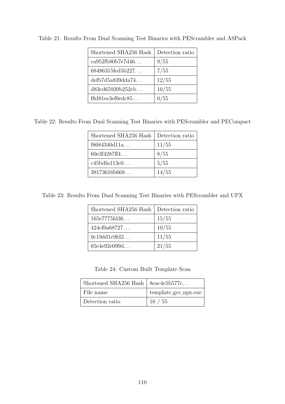| Shortened SHA256 Hash | Detection ratio |
|-----------------------|-----------------|
| ca952fb80b7e7d46      | 9/55            |
| 68486315fed5b227      | 7/55            |
| defb7d5a839dda74      | 12/55           |
| d83cd65920b252cb      | 10/55           |
| f8d81ee3ef0edc85      | 0/55            |

Table 21: Results From Dual Scanning Test Binaries with PEScrambler and ASPack

Table 22: Results From Dual Scanning Test Binaries with PEScrambler and PECompact

| Shortened SHA256 Hash | Detection ratio |
|-----------------------|-----------------|
| f8684340d11a          | 11/55           |
| 60e3f4287ff4          | 8/55            |
| c45bdfa113c0          | 5/55            |
| 38173616b668          | 14/55           |

Table 23: Results From Dual Scanning Test Binaries with PEScrambler and UPX

| Shortened SHA256 Hash | Detection ratio |
|-----------------------|-----------------|
| 165e7775fd36          | 15/55           |
| 424c f0a68727         | 10/55           |
| 0c19dd1e9fd2          | 11/55           |
| 65e4e92e099d          | 21/55           |

Table 24: Custom Built Template Scan

| Shortened SHA256 Hash   $8eac4e5b577c$ |                      |
|----------------------------------------|----------------------|
| File name                              | template_gcc_upx.exe |
| Detection ratio                        | 10/55                |